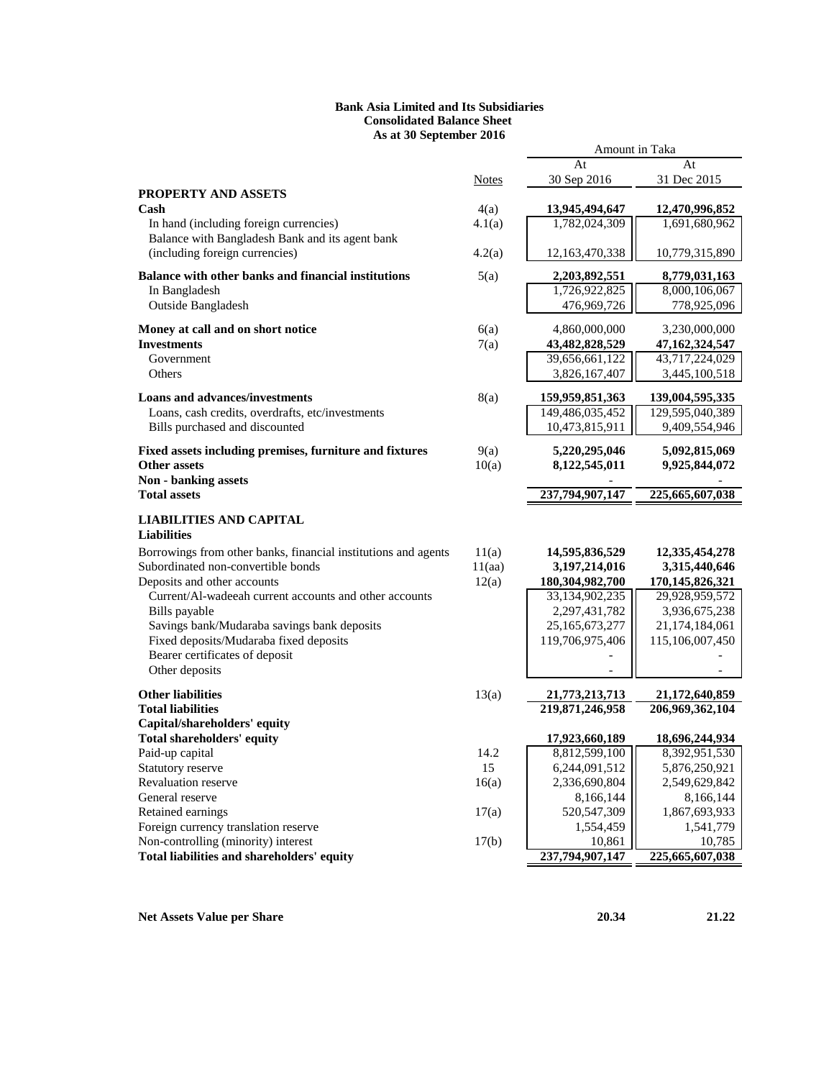### **Bank Asia Limited and Its Subsidiaries Consolidated Balance Sheet As at 30 September 2016**

|                                                                                   |              | At                                | At                                |
|-----------------------------------------------------------------------------------|--------------|-----------------------------------|-----------------------------------|
|                                                                                   | <b>Notes</b> | 30 Sep 2016                       | 31 Dec 2015                       |
| <b>PROPERTY AND ASSETS</b>                                                        |              |                                   |                                   |
| Cash                                                                              | 4(a)         | 13,945,494,647                    | 12,470,996,852                    |
| In hand (including foreign currencies)                                            | 4.1(a)       | 1,782,024,309                     | 1,691,680,962                     |
| Balance with Bangladesh Bank and its agent bank<br>(including foreign currencies) | 4.2(a)       | 12,163,470,338                    | 10,779,315,890                    |
|                                                                                   |              |                                   |                                   |
| Balance with other banks and financial institutions                               | 5(a)         | 2,203,892,551                     | 8,779,031,163                     |
| In Bangladesh<br>Outside Bangladesh                                               |              | 1,726,922,825<br>476,969,726      | 8,000,106,067                     |
|                                                                                   |              |                                   | 778,925,096                       |
| Money at call and on short notice                                                 | 6(a)         | 4,860,000,000                     | 3,230,000,000                     |
| <b>Investments</b>                                                                | 7(a)         | 43,482,828,529                    | 47,162,324,547                    |
| Government                                                                        |              | 39,656,661,122                    | 43,717,224,029                    |
| Others                                                                            |              | 3,826,167,407                     | 3,445,100,518                     |
| <b>Loans and advances/investments</b>                                             | 8(a)         | 159,959,851,363                   | 139,004,595,335                   |
| Loans, cash credits, overdrafts, etc/investments                                  |              | 149,486,035,452                   | 129,595,040,389                   |
| Bills purchased and discounted                                                    |              | 10,473,815,911                    | 9,409,554,946                     |
| Fixed assets including premises, furniture and fixtures                           | 9(a)         | 5,220,295,046                     | 5,092,815,069                     |
| <b>Other assets</b>                                                               | 10(a)        | 8,122,545,011                     | 9,925,844,072                     |
| Non - banking assets                                                              |              |                                   |                                   |
| <b>Total assets</b>                                                               |              | 237,794,907,147                   | 225,665,607,038                   |
| <b>LIABILITIES AND CAPITAL</b>                                                    |              |                                   |                                   |
| <b>Liabilities</b>                                                                |              |                                   |                                   |
| Borrowings from other banks, financial institutions and agents                    | 11(a)        | 14,595,836,529                    | 12,335,454,278                    |
| Subordinated non-convertible bonds                                                | 11(aa)       | 3,197,214,016                     | 3,315,440,646                     |
| Deposits and other accounts                                                       | 12(a)        | 180,304,982,700                   | 170,145,826,321                   |
| Current/Al-wadeeah current accounts and other accounts                            |              | 33,134,902,235                    | 29,928,959,572                    |
| Bills payable                                                                     |              | 2,297,431,782                     | 3,936,675,238                     |
| Savings bank/Mudaraba savings bank deposits                                       |              | 25,165,673,277                    | 21,174,184,061                    |
| Fixed deposits/Mudaraba fixed deposits                                            |              | 119,706,975,406                   | 115,106,007,450                   |
| Bearer certificates of deposit<br>Other deposits                                  |              |                                   |                                   |
|                                                                                   |              |                                   |                                   |
| <b>Other liabilities</b><br><b>Total liabilities</b>                              | 13(a)        | 21,773,213,713<br>219,871,246,958 | 21,172,640,859<br>206,969,362,104 |
| Capital/shareholders' equity                                                      |              |                                   |                                   |
| <b>Total shareholders' equity</b>                                                 |              | 17,923,660,189                    | 18,696,244,934                    |
| Paid-up capital                                                                   | 14.2         | 8,812,599,100                     | 8,392,951,530                     |
| Statutory reserve                                                                 | 15           | 6,244,091,512                     | 5,876,250,921                     |
| Revaluation reserve                                                               | 16(a)        | 2,336,690,804                     | 2,549,629,842                     |
| General reserve                                                                   |              | 8,166,144                         | 8,166,144                         |
| Retained earnings                                                                 | 17(a)        | 520, 547, 309                     | 1,867,693,933                     |
| Foreign currency translation reserve                                              |              | 1,554,459                         | 1,541,779                         |
| Non-controlling (minority) interest                                               | 17(b)        | 10,861                            | 10,785                            |
| Total liabilities and shareholders' equity                                        |              | 237,794,907,147                   | 225,665,607,038                   |

Amount in Taka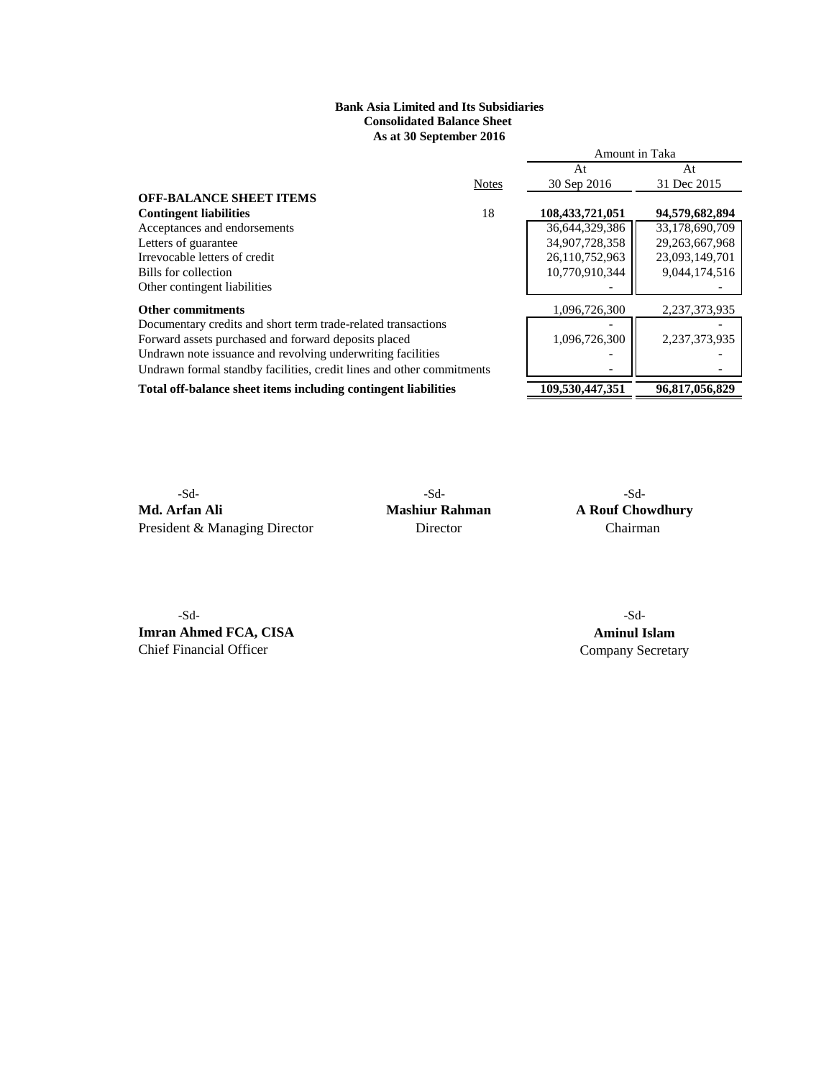# **As at 30 September 2016 Bank Asia Limited and Its Subsidiaries Consolidated Balance Sheet**

|                                                                       |              | Amount in Taka  |                |
|-----------------------------------------------------------------------|--------------|-----------------|----------------|
|                                                                       |              | At              | At             |
|                                                                       | <b>Notes</b> | 30 Sep 2016     | 31 Dec 2015    |
| <b>OFF-BALANCE SHEET ITEMS</b>                                        |              |                 |                |
| <b>Contingent liabilities</b>                                         | 18           | 108,433,721,051 | 94,579,682,894 |
| Acceptances and endorsements                                          |              | 36,644,329,386  | 33,178,690,709 |
| Letters of guarantee                                                  |              | 34,907,728,358  | 29,263,667,968 |
| Irrevocable letters of credit                                         |              | 26,110,752,963  | 23,093,149,701 |
| Bills for collection                                                  |              | 10,770,910,344  | 9,044,174,516  |
| Other contingent liabilities                                          |              |                 |                |
| <b>Other commitments</b>                                              |              | 1,096,726,300   | 2,237,373,935  |
| Documentary credits and short term trade-related transactions         |              |                 |                |
| Forward assets purchased and forward deposits placed                  |              | 1.096.726.300   | 2,237,373,935  |
| Undrawn note issuance and revolving underwriting facilities           |              |                 |                |
| Undrawn formal standby facilities, credit lines and other commitments |              |                 |                |
| Total off-balance sheet items including contingent liabilities        |              | 109,530,447,351 | 96,817,056,829 |

-Sd- -Sd- -Sd-**Md. Arfan Ali Mashiur Rahman A Rouf Chowdhury**<br>President & Managing Director **Chairman Director Chairman** President & Managing Director

-Sd- -Sd-**Imran Ahmed FCA, CISA Aminul Islam**<br> **Company Secretary** 

Company Secretary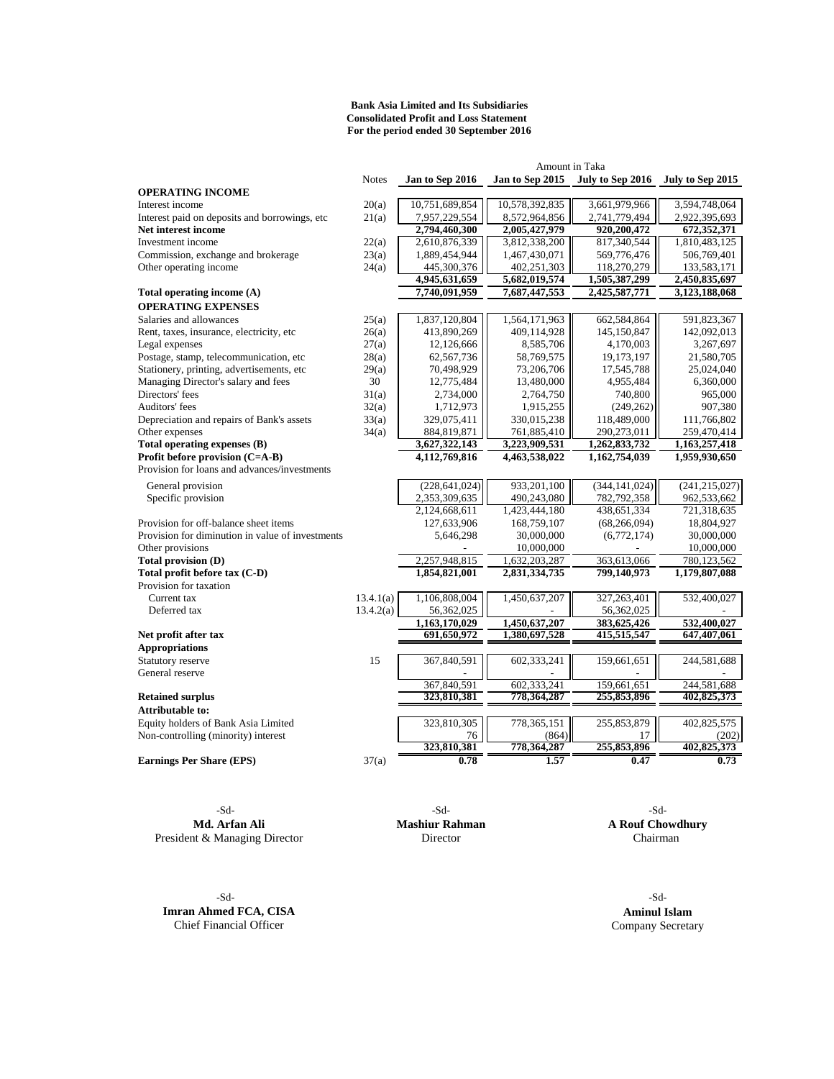#### **For the period ended 30 September 2016 Bank Asia Limited and Its Subsidiaries Consolidated Profit and Loss Statement**

| Amount in Taka                                   |              |                 |                 |                  |                  |
|--------------------------------------------------|--------------|-----------------|-----------------|------------------|------------------|
|                                                  | <b>Notes</b> | Jan to Sep 2016 | Jan to Sep 2015 | July to Sep 2016 | July to Sep 2015 |
| <b>OPERATING INCOME</b>                          |              |                 |                 |                  |                  |
| Interest income                                  | 20(a)        | 10,751,689,854  | 10,578,392,835  | 3,661,979,966    | 3,594,748,064    |
| Interest paid on deposits and borrowings, etc    | 21(a)        | 7,957,229,554   | 8,572,964,856   | 2,741,779,494    | 2,922,395,693    |
| Net interest income                              |              | 2,794,460,300   | 2,005,427,979   | 920,200,472      | 672,352,371      |
| Investment income                                | 22(a)        | 2,610,876,339   | 3,812,338,200   | 817,340,544      | 1,810,483,125    |
| Commission, exchange and brokerage               | 23(a)        | 1,889,454,944   | 1,467,430,071   | 569,776,476      | 506,769,401      |
| Other operating income                           | 24(a)        | 445,300,376     | 402,251,303     | 118,270,279      | 133,583,171      |
|                                                  |              | 4,945,631,659   | 5,682,019,574   | 1,505,387,299    | 2,450,835,697    |
| Total operating income (A)                       |              | 7,740,091,959   | 7,687,447,553   | 2,425,587,771    | 3,123,188,068    |
| <b>OPERATING EXPENSES</b>                        |              |                 |                 |                  |                  |
| Salaries and allowances                          | 25(a)        | 1,837,120,804   | 1,564,171,963   | 662,584,864      | 591,823,367      |
| Rent, taxes, insurance, electricity, etc         | 26(a)        | 413,890,269     | 409,114,928     | 145,150,847      | 142,092,013      |
| Legal expenses                                   | 27(a)        | 12,126,666      | 8,585,706       | 4,170,003        | 3,267,697        |
| Postage, stamp, telecommunication, etc           | 28(a)        | 62,567,736      | 58,769,575      | 19,173,197       | 21,580,705       |
| Stationery, printing, advertisements, etc        | 29(a)        | 70,498,929      | 73,206,706      | 17,545,788       | 25,024,040       |
| Managing Director's salary and fees              | 30           | 12,775,484      | 13,480,000      | 4,955,484        | 6,360,000        |
| Directors' fees                                  | 31(a)        | 2,734,000       | 2,764,750       | 740,800          | 965,000          |
| Auditors' fees                                   | 32(a)        | 1,712,973       | 1,915,255       | (249, 262)       | 907,380          |
| Depreciation and repairs of Bank's assets        | 33(a)        | 329,075,411     | 330,015,238     | 118,489,000      | 111,766,802      |
| Other expenses                                   | 34(a)        | 884,819,871     | 761,885,410     | 290,273,011      | 259,470,414      |
| Total operating expenses (B)                     |              | 3,627,322,143   | 3,223,909,531   | 1,262,833,732    | 1,163,257,418    |
| Profit before provision (C=A-B)                  |              | 4,112,769,816   | 4,463,538,022   | 1,162,754,039    | 1,959,930,650    |
| Provision for loans and advances/investments     |              |                 |                 |                  |                  |
| General provision                                |              | (228, 641, 024) | 933,201,100     | (344, 141, 024)  | (241, 215, 027)  |
| Specific provision                               |              | 2,353,309,635   | 490,243,080     | 782,792,358      | 962,533,662      |
|                                                  |              | 2,124,668,611   | 1,423,444,180   | 438,651,334      | 721,318,635      |
| Provision for off-balance sheet items            |              | 127,633,906     | 168,759,107     | (68, 266, 094)   | 18,804,927       |
| Provision for diminution in value of investments |              | 5,646,298       | 30,000,000      | (6,772,174)      | 30,000,000       |
| Other provisions                                 |              |                 | 10,000,000      |                  | 10,000,000       |
| Total provision (D)                              |              | 2,257,948,815   | 1,632,203,287   | 363,613,066      | 780,123,562      |
| Total profit before tax (C-D)                    |              | 1,854,821,001   | 2,831,334,735   | 799,140,973      | 1,179,807,088    |
| Provision for taxation                           |              |                 |                 |                  |                  |
| Current tax                                      | 13.4.1(a)    | 1,106,808,004   | 1,450,637,207   | 327,263,401      | 532,400,027      |
| Deferred tax                                     | 13.4.2(a)    | 56,362,025      |                 | 56,362,025       |                  |
|                                                  |              | 1.163.170.029   | 1.450.637.207   | 383,625,426      | 532,400,027      |
| Net profit after tax                             |              | 691,650,972     | 1,380,697,528   | 415,515,547      | 647,407,061      |
| <b>Appropriations</b>                            |              |                 |                 |                  |                  |
| Statutory reserve                                | 15           | 367,840,591     | 602,333,241     | 159,661,651      | 244,581,688      |
| General reserve                                  |              |                 |                 |                  |                  |
|                                                  |              | 367,840,591     | 602,333,241     | 159,661,651      | 244,581,688      |
| <b>Retained surplus</b>                          |              | 323,810,381     | 778,364,287     | 255,853,896      | 402,825,373      |
| Attributable to:                                 |              |                 |                 |                  |                  |
| Equity holders of Bank Asia Limited              |              | 323,810,305     | 778, 365, 151   | 255,853,879      | 402,825,575      |
| Non-controlling (minority) interest              |              | 76              | (864)           | 17               | (202)            |
|                                                  |              | 323,810,381     | 778,364,287     | 255,853,896      | 402,825,373      |
| <b>Earnings Per Share (EPS)</b>                  | 37(a)        | 0.78            | 1.57            | 0.47             | 0.73             |

**Md. Arfan Ali Mashiur Rahman A Rouf Chowdhury** President & Managing Director Director Director Chairman

-Sd- -Sd- -Sd-

-Sd- -Sd-**Imran Ahmed FCA, CISA Aminul Islam**<br> **Chief Financial Officer Company Secretary** Chief Financial Officer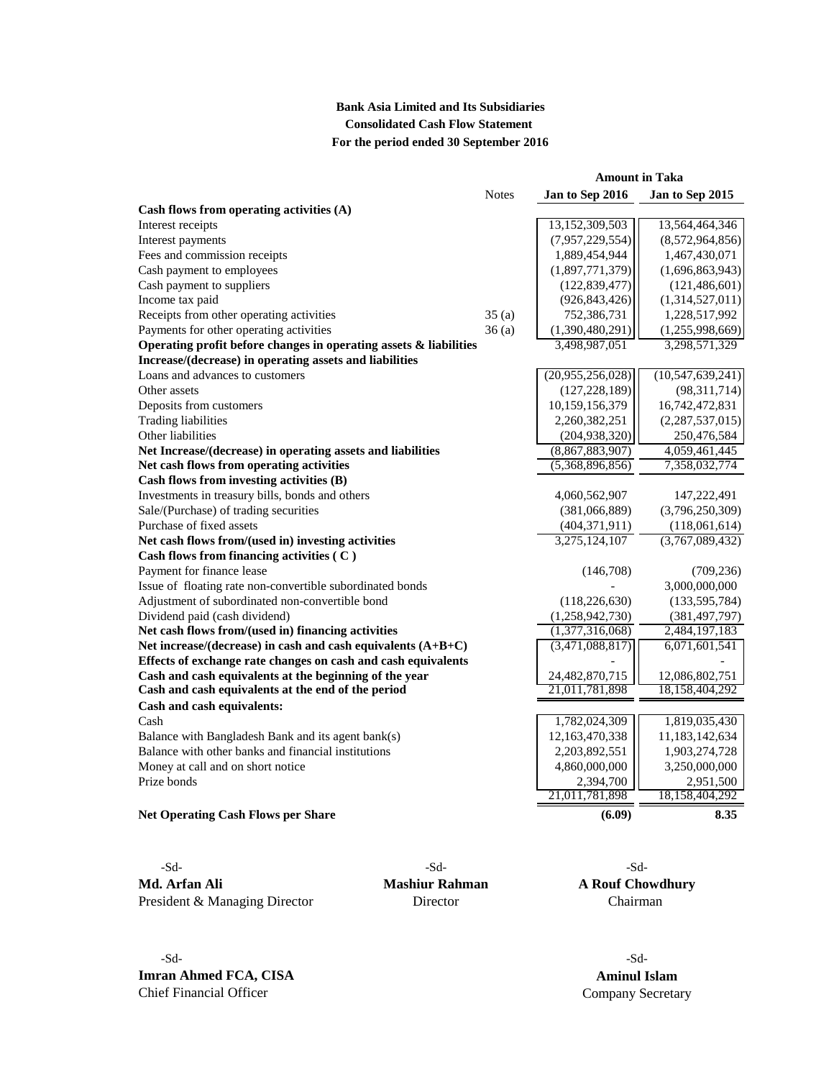# **Bank Asia Limited and Its Subsidiaries Consolidated Cash Flow Statement For the period ended 30 September 2016**

|                                                                      |              | <b>Amount in Taka</b> |                     |
|----------------------------------------------------------------------|--------------|-----------------------|---------------------|
|                                                                      | <b>Notes</b> | Jan to Sep 2016       | Jan to Sep 2015     |
| Cash flows from operating activities (A)                             |              |                       |                     |
| Interest receipts                                                    |              | 13,152,309,503        | 13,564,464,346      |
| Interest payments                                                    |              | (7,957,229,554)       | (8,572,964,856)     |
| Fees and commission receipts                                         |              | 1,889,454,944         | 1,467,430,071       |
| Cash payment to employees                                            |              | (1,897,771,379)       | (1,696,863,943)     |
| Cash payment to suppliers                                            |              | (122, 839, 477)       | (121, 486, 601)     |
| Income tax paid                                                      |              | (926, 843, 426)       | (1,314,527,011)     |
| Receipts from other operating activities                             | 35(a)        | 752,386,731           | 1,228,517,992       |
| Payments for other operating activities                              | 36(a)        | (1,390,480,291)       | (1,255,998,669)     |
| Operating profit before changes in operating assets $\&$ liabilities |              | 3,498,987,051         | 3,298,571,329       |
| Increase/(decrease) in operating assets and liabilities              |              |                       |                     |
| Loans and advances to customers                                      |              | (20,955,256,028)      | (10, 547, 639, 241) |
| Other assets                                                         |              | (127, 228, 189)       | (98,311,714)        |
| Deposits from customers                                              |              | 10,159,156,379        | 16,742,472,831      |
| <b>Trading liabilities</b>                                           |              | 2,260,382,251         | (2,287,537,015)     |
| Other liabilities                                                    |              | (204, 938, 320)       | 250,476,584         |
| Net Increase/(decrease) in operating assets and liabilities          |              | (8,867,883,907)       | 4,059,461,445       |
| Net cash flows from operating activities                             |              | (5,368,896,856)       | 7,358,032,774       |
| Cash flows from investing activities (B)                             |              |                       |                     |
| Investments in treasury bills, bonds and others                      |              | 4,060,562,907         | 147,222,491         |
| Sale/(Purchase) of trading securities                                |              | (381,066,889)         | (3,796,250,309)     |
| Purchase of fixed assets                                             |              | (404, 371, 911)       | (118,061,614)       |
| Net cash flows from/(used in) investing activities                   |              | 3,275,124,107         | (3,767,089,432)     |
| Cash flows from financing activities (C)                             |              |                       |                     |
| Payment for finance lease                                            |              | (146,708)             | (709, 236)          |
| Issue of floating rate non-convertible subordinated bonds            |              |                       | 3,000,000,000       |
| Adjustment of subordinated non-convertible bond                      |              | (118, 226, 630)       | (133, 595, 784)     |
| Dividend paid (cash dividend)                                        |              | (1,258,942,730)       | (381, 497, 797)     |
| Net cash flows from/(used in) financing activities                   |              | (1,377,316,068)       | 2,484,197,183       |
| Net increase/(decrease) in cash and cash equivalents $(A+B+C)$       |              | (3,471,088,817)       | 6,071,601,541       |
| Effects of exchange rate changes on cash and cash equivalents        |              |                       |                     |
| Cash and cash equivalents at the beginning of the year               |              | 24,482,870,715        | 12,086,802,751      |
| Cash and cash equivalents at the end of the period                   |              | 21,011,781,898        | 18,158,404,292      |
| Cash and cash equivalents:                                           |              |                       |                     |
| Cash                                                                 |              | 1,782,024,309         | 1,819,035,430       |
| Balance with Bangladesh Bank and its agent bank(s)                   |              | 12,163,470,338        | 11,183,142,634      |
| Balance with other banks and financial institutions                  |              | 2,203,892,551         | 1,903,274,728       |
| Money at call and on short notice                                    |              | 4,860,000,000         | 3,250,000,000       |
| Prize bonds                                                          |              | 2,394,700             | 2,951,500           |
|                                                                      |              | 21,011,781,898        | 18,158,404,292      |
| <b>Net Operating Cash Flows per Share</b>                            |              | (6.09)                | 8.35                |

-Sd- 5d-**Md. Arfan Ali Mashiur Rahman A Rouf Chowdhury** President & Managing Director Director Director Chairman

-Sd- -Sd-**Imran Ahmed FCA, CISA Aminul Islam**<br> **Company Secreta Company Secreta** 

Company Secretary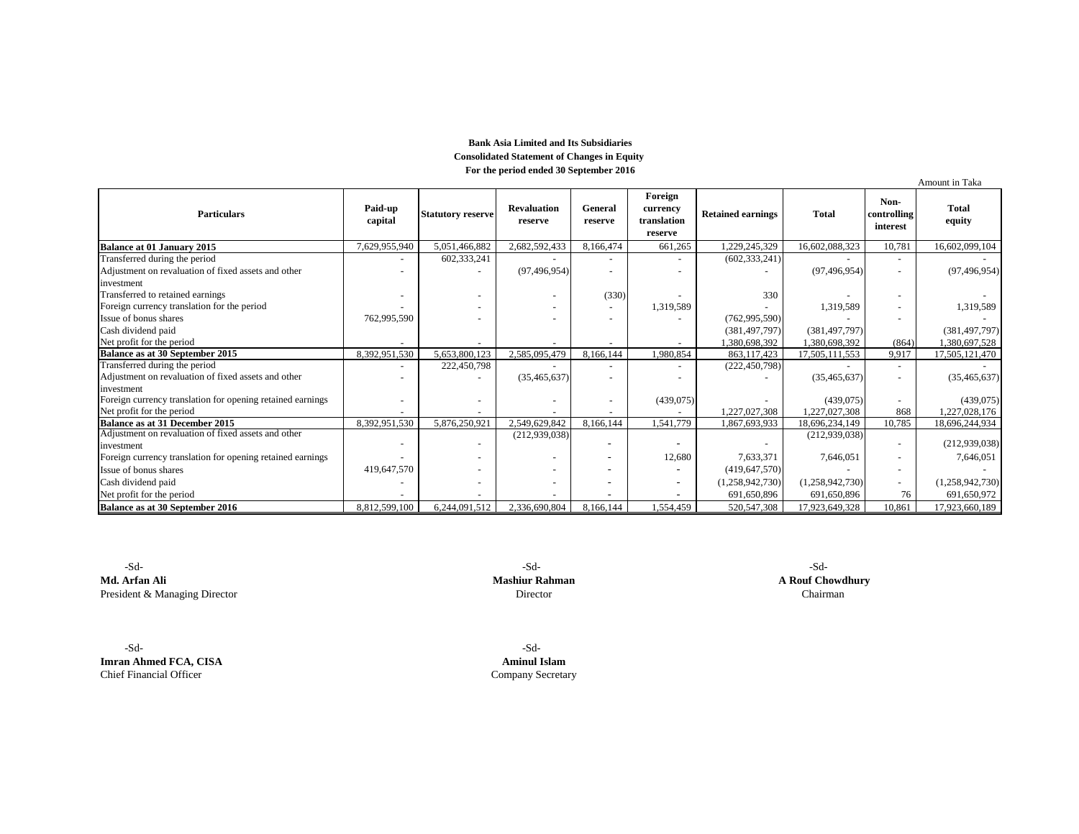### **Bank Asia Limited and Its Subsidiaries Consolidated Statement of Changes in Equity For the period ended 30 September 2016**

|                                                            |                    |                          |                               |                          |                                               |                          |                 |                                 | Amount in Taka         |
|------------------------------------------------------------|--------------------|--------------------------|-------------------------------|--------------------------|-----------------------------------------------|--------------------------|-----------------|---------------------------------|------------------------|
| <b>Particulars</b>                                         | Paid-up<br>capital | <b>Statutory reserve</b> | <b>Revaluation</b><br>reserve | General<br>reserve       | Foreign<br>currency<br>translation<br>reserve | <b>Retained earnings</b> | <b>Total</b>    | Non-<br>controlling<br>interest | <b>Total</b><br>equity |
| <b>Balance at 01 January 2015</b>                          | 7,629,955,940      | 5,051,466,882            | 2,682,592,433                 | 8,166,474                | 661,265                                       | 1,229,245,329            | 16,602,088,323  | 10,781                          | 16,602,099,104         |
| Transferred during the period                              |                    | 602,333,241              |                               | $\overline{\phantom{a}}$ | $\overline{\phantom{a}}$                      | (602, 333, 241)          |                 | $\overline{\phantom{a}}$        |                        |
| Adjustment on revaluation of fixed assets and other        |                    |                          | (97, 496, 954)                |                          |                                               |                          | (97, 496, 954)  | $\sim$                          | (97, 496, 954)         |
| investment                                                 |                    |                          |                               |                          |                                               |                          |                 |                                 |                        |
| Transferred to retained earnings                           |                    |                          |                               | (330)                    |                                               | 330                      |                 | $\overline{\phantom{a}}$        |                        |
| Foreign currency translation for the period                |                    |                          |                               |                          | 1,319,589                                     |                          | 1,319,589       | $\overline{\phantom{a}}$        | 1,319,589              |
| Issue of bonus shares                                      | 762,995,590        |                          |                               | $\overline{\phantom{a}}$ |                                               | (762, 995, 590)          |                 |                                 |                        |
| Cash dividend paid                                         |                    |                          |                               |                          |                                               | (381, 497, 797)          | (381, 497, 797) |                                 | (381, 497, 797)        |
| Net profit for the period                                  |                    |                          |                               |                          |                                               | 1.380.698.392            | 1,380,698,392   | (864)                           | 1,380,697,528          |
| Balance as at 30 September 2015                            | 8,392,951,530      | 5,653,800,123            | 2,585,095,479                 | 8,166,144                | 1,980,854                                     | 863,117,423              | 17,505,111,553  | 9,917                           | 17,505,121,470         |
| Transferred during the period                              |                    | 222,450,798              |                               |                          |                                               | (222, 450, 798)          |                 |                                 |                        |
| Adjustment on revaluation of fixed assets and other        |                    |                          | (35, 465, 637)                |                          |                                               |                          | (35, 465, 637)  | ٠                               | (35, 465, 637)         |
| investment                                                 |                    |                          |                               |                          |                                               |                          |                 |                                 |                        |
| Foreign currency translation for opening retained earnings |                    |                          |                               |                          | (439,075)                                     |                          | (439,075)       |                                 | (439,075)              |
| Net profit for the period                                  |                    |                          |                               |                          |                                               | 1,227,027,308            | 1,227,027,308   | 868                             | 1,227,028,176          |
| Balance as at 31 December 2015                             | 8,392,951,530      | 5,876,250,921            | 2,549,629,842                 | 8,166,144                | 1,541,779                                     | 1.867.693.933            | 18,696,234,149  | 10,785                          | 18,696,244,934         |
| Adjustment on revaluation of fixed assets and other        |                    |                          | (212, 939, 038)               |                          |                                               |                          | (212, 939, 038) |                                 |                        |
| investment                                                 |                    |                          |                               | $\overline{\phantom{a}}$ |                                               |                          |                 | $\sim$                          | (212, 939, 038)        |
| Foreign currency translation for opening retained earnings |                    |                          |                               | $\overline{\phantom{a}}$ | 12,680                                        | 7,633,371                | 7,646,051       | $\overline{\phantom{a}}$        | 7,646,051              |
| Issue of bonus shares                                      | 419,647,570        |                          |                               | $\overline{\phantom{0}}$ |                                               | (419, 647, 570)          |                 | $\overline{\phantom{a}}$        |                        |
| Cash dividend paid                                         |                    |                          |                               |                          | ٠                                             | (1,258,942,730)          | (1,258,942,730) | $\sim$                          | (1,258,942,730)        |
| Net profit for the period                                  |                    |                          |                               |                          |                                               | 691,650,896              | 691,650,896     | 76                              | 691,650,972            |
| <b>Balance as at 30 September 2016</b>                     | 8,812,599,100      | 6,244,091,512            | 2,336,690,804                 | 8,166,144                | 1,554,459                                     | 520, 547, 308            | 17,923,649,328  | 10,861                          | 17,923,660,189         |

 -Sd- -Sd- -Sd-**Md. Arfan Ali Mashiur Rahman A Rouf Chowdhury** President & Managing Director

 -Sd- -Sd-**Imran Ahmed FCA, CISA Aminul Islam**<br> **Company Secretary Company Secretary** 

Company Secretary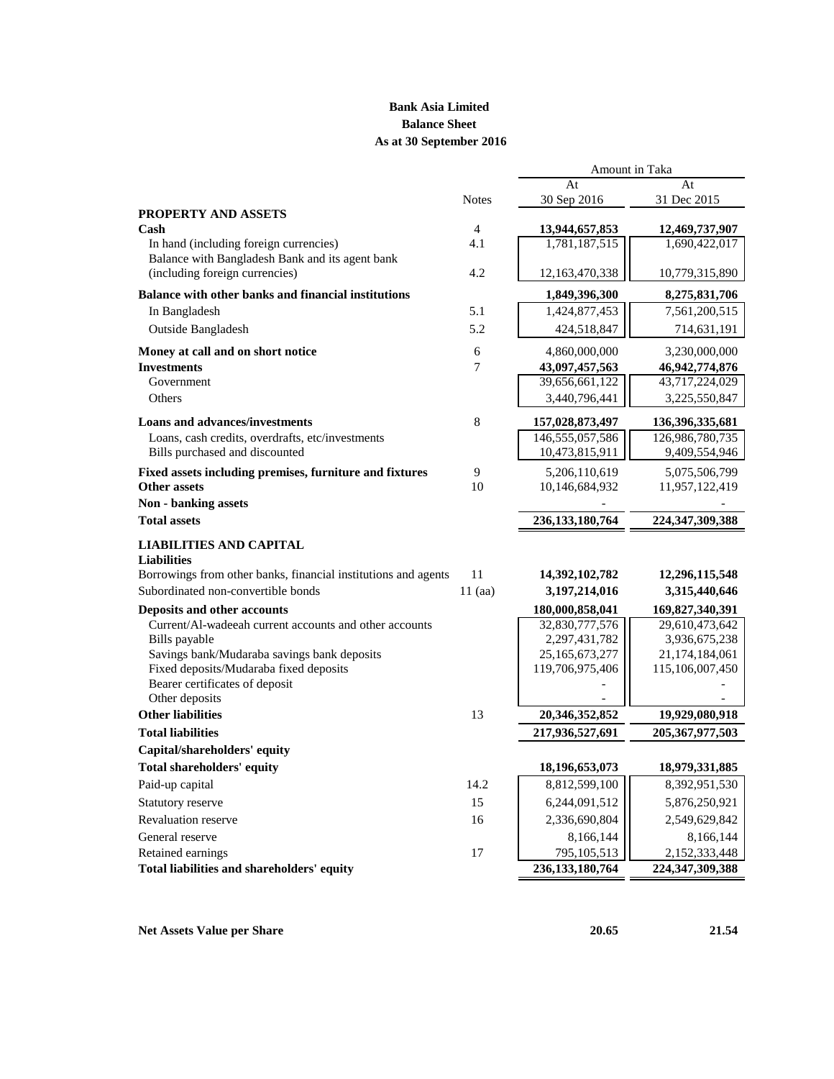# **Bank Asia Limited Balance Sheet As at 30 September 2016**

|                                                                |                       | Amount in Taka                  |                                 |
|----------------------------------------------------------------|-----------------------|---------------------------------|---------------------------------|
|                                                                |                       | At                              | At                              |
|                                                                | <b>Notes</b>          | 30 Sep 2016                     | 31 Dec 2015                     |
| <b>PROPERTY AND ASSETS</b>                                     |                       |                                 |                                 |
| Cash<br>In hand (including foreign currencies)                 | $\overline{4}$<br>4.1 | 13,944,657,853<br>1,781,187,515 | 12,469,737,907<br>1,690,422,017 |
| Balance with Bangladesh Bank and its agent bank                |                       |                                 |                                 |
| (including foreign currencies)                                 | 4.2                   | 12,163,470,338                  | 10,779,315,890                  |
|                                                                |                       |                                 |                                 |
| Balance with other banks and financial institutions            |                       | 1,849,396,300                   | 8,275,831,706                   |
| In Bangladesh                                                  | 5.1                   | 1,424,877,453                   | 7,561,200,515                   |
| Outside Bangladesh                                             | 5.2                   | 424,518,847                     | 714,631,191                     |
| Money at call and on short notice                              | 6                     | 4,860,000,000                   | 3,230,000,000                   |
| <b>Investments</b>                                             | $\overline{7}$        | 43,097,457,563                  | 46,942,774,876                  |
| Government                                                     |                       | 39,656,661,122                  | 43,717,224,029                  |
| Others                                                         |                       | 3,440,796,441                   | 3,225,550,847                   |
| <b>Loans and advances/investments</b>                          | 8                     | 157,028,873,497                 | 136, 396, 335, 681              |
| Loans, cash credits, overdrafts, etc/investments               |                       | 146,555,057,586                 | 126,986,780,735                 |
| Bills purchased and discounted                                 |                       | 10,473,815,911                  | 9,409,554,946                   |
| Fixed assets including premises, furniture and fixtures        | 9                     | 5,206,110,619                   | 5,075,506,799                   |
| <b>Other assets</b>                                            | 10                    | 10,146,684,932                  | 11,957,122,419                  |
| Non - banking assets                                           |                       |                                 |                                 |
| <b>Total assets</b>                                            |                       | 236, 133, 180, 764              | 224,347,309,388                 |
| <b>LIABILITIES AND CAPITAL</b>                                 |                       |                                 |                                 |
| <b>Liabilities</b>                                             |                       |                                 |                                 |
| Borrowings from other banks, financial institutions and agents | 11                    | 14,392,102,782                  | 12,296,115,548                  |
| Subordinated non-convertible bonds                             | $11$ (aa)             | 3,197,214,016                   | 3,315,440,646                   |
| Deposits and other accounts                                    |                       | 180,000,858,041                 | 169,827,340,391                 |
| Current/Al-wadeeah current accounts and other accounts         |                       | 32,830,777,576                  | 29,610,473,642                  |
| Bills payable                                                  |                       | 2,297,431,782                   | 3,936,675,238                   |
| Savings bank/Mudaraba savings bank deposits                    |                       | 25, 165, 673, 277               | 21,174,184,061                  |
| Fixed deposits/Mudaraba fixed deposits                         |                       | 119,706,975,406                 | 115,106,007,450                 |
| Bearer certificates of deposit                                 |                       |                                 |                                 |
| Other deposits<br><b>Other liabilities</b>                     | 13                    | 20,346,352,852                  | 19,929,080,918                  |
| <b>Total liabilities</b>                                       |                       | 217,936,527,691                 | 205, 367, 977, 503              |
| Capital/shareholders' equity                                   |                       |                                 |                                 |
| <b>Total shareholders' equity</b>                              |                       | 18,196,653,073                  | 18,979,331,885                  |
| Paid-up capital                                                | 14.2                  | 8,812,599,100                   | 8,392,951,530                   |
|                                                                | 15                    |                                 |                                 |
| Statutory reserve                                              |                       | 6,244,091,512                   | 5,876,250,921                   |
| <b>Revaluation reserve</b>                                     | 16                    | 2,336,690,804                   | 2,549,629,842                   |
| General reserve                                                |                       | 8,166,144                       | 8,166,144                       |
| Retained earnings                                              | 17                    | 795,105,513                     | 2,152,333,448                   |
| Total liabilities and shareholders' equity                     |                       | 236, 133, 180, 764              | 224, 347, 309, 388              |

**Net Assets Value per Share 20.65** 21.54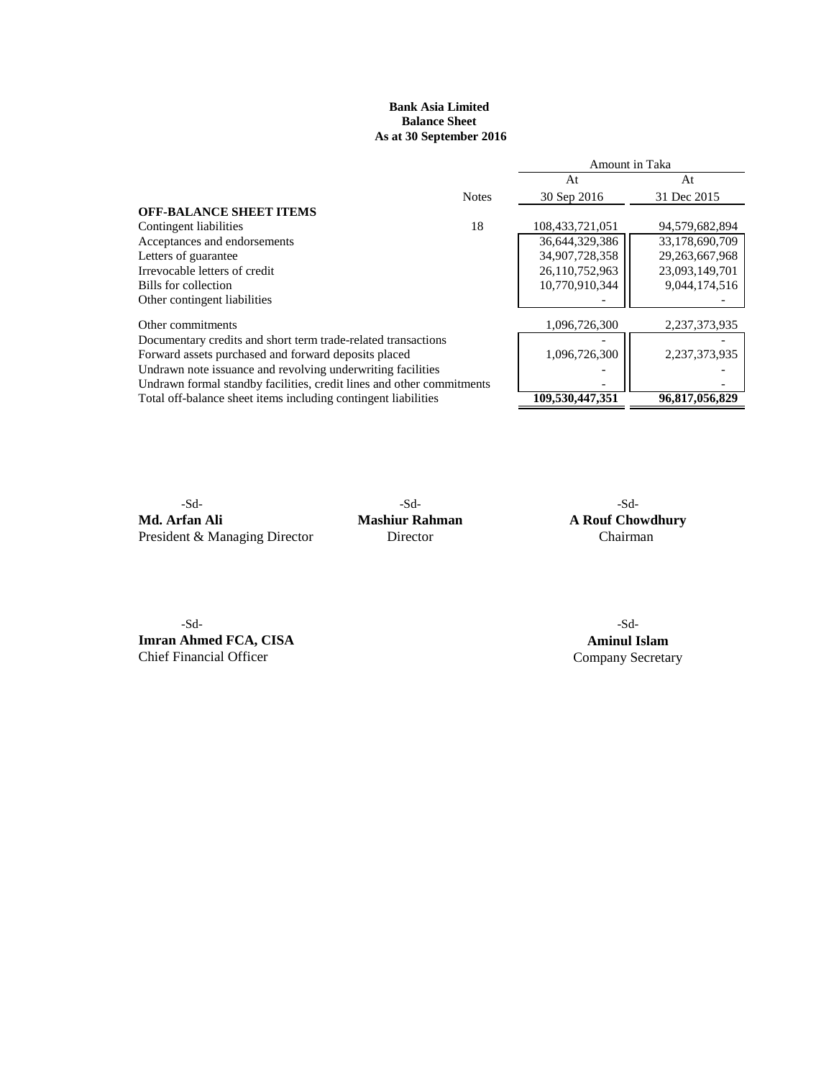# **Bank Asia Limited Balance Sheet As at 30 September 2016**

|                                                                       |              | Amount in Taka  |                |  |
|-----------------------------------------------------------------------|--------------|-----------------|----------------|--|
|                                                                       |              | At              | At             |  |
|                                                                       | <b>Notes</b> | 30 Sep 2016     | 31 Dec 2015    |  |
| <b>OFF-BALANCE SHEET ITEMS</b>                                        |              |                 |                |  |
| Contingent liabilities                                                | 18           | 108,433,721,051 | 94,579,682,894 |  |
| Acceptances and endorsements                                          |              | 36,644,329,386  | 33,178,690,709 |  |
| Letters of guarantee                                                  |              | 34,907,728,358  | 29,263,667,968 |  |
| Irrevocable letters of credit                                         |              | 26,110,752,963  | 23,093,149,701 |  |
| Bills for collection                                                  |              | 10,770,910,344  | 9,044,174,516  |  |
| Other contingent liabilities                                          |              |                 |                |  |
| Other commitments                                                     |              | 1,096,726,300   | 2,237,373,935  |  |
| Documentary credits and short term trade-related transactions         |              |                 |                |  |
| Forward assets purchased and forward deposits placed                  |              | 1,096,726,300   | 2,237,373,935  |  |
| Undrawn note issuance and revolving underwriting facilities           |              |                 |                |  |
| Undrawn formal standby facilities, credit lines and other commitments |              |                 |                |  |
| Total off-balance sheet items including contingent liabilities        |              | 109.530.447.351 | 96,817,056,829 |  |
|                                                                       |              |                 |                |  |

**Md. Arfan Ali Mashiur Rahman A Rouf Chowdhury** President & Managing Director Director Chairman

-Sd- -Sd- -Sd-

-Sd- -Sd-**Imran Ahmed FCA, CISA Aminul Islam**<br> **Company Secretary** Chief Financial Officer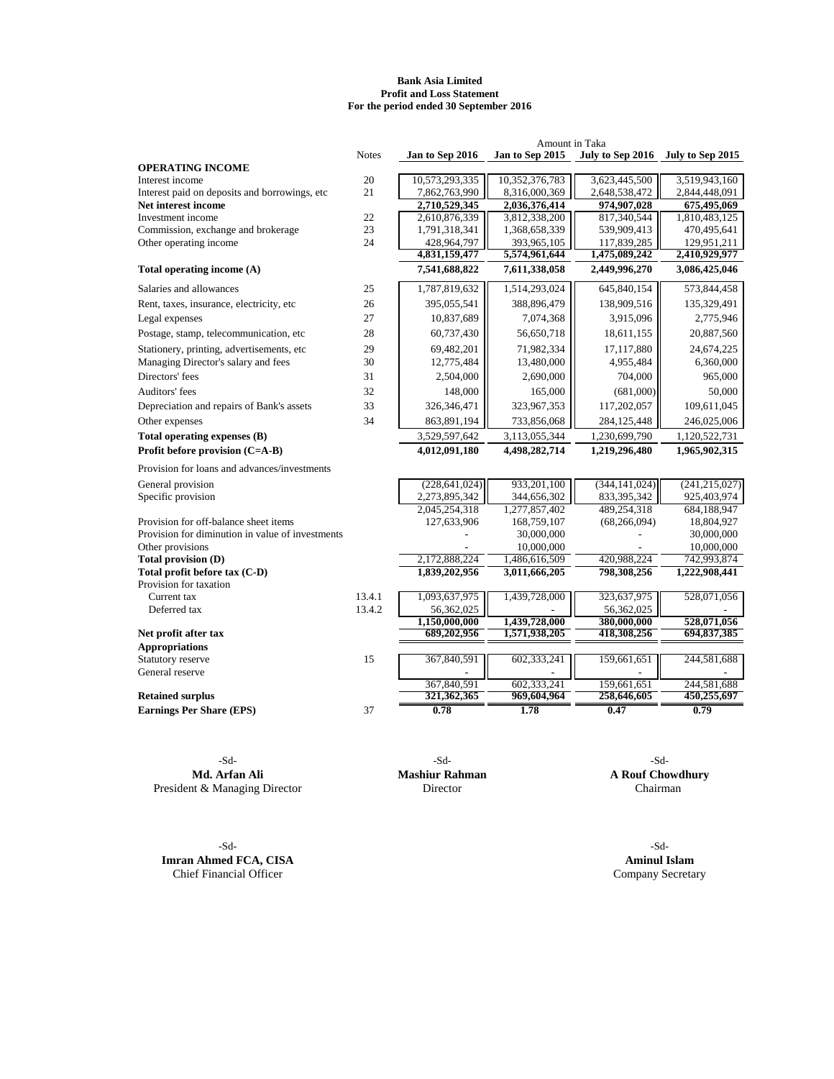#### **Bank Asia Limited Profit and Loss Statement For the period ended 30 September 2016**

|                                                  |              |                              | Amount in Taka               |                              |                                   |
|--------------------------------------------------|--------------|------------------------------|------------------------------|------------------------------|-----------------------------------|
|                                                  | <b>Notes</b> | Jan to Sep 2016              | Jan to Sep 2015              |                              | July to Sep 2016 July to Sep 2015 |
| <b>OPERATING INCOME</b>                          |              |                              |                              |                              |                                   |
| Interest income                                  | 20           | 10,573,293,335               | 10,352,376,783               | 3,623,445,500                | 3,519,943,160                     |
| Interest paid on deposits and borrowings, etc    | 21           | 7,862,763,990                | 8,316,000,369                | 2,648,538,472                | 2,844,448,091                     |
| Net interest income                              |              | 2,710,529,345                | 2,036,376,414                | 974,907,028                  | 675,495,069                       |
| Investment income                                | 22           | 2,610,876,339                | 3,812,338,200                | 817,340,544                  | 1,810,483,125                     |
| Commission, exchange and brokerage               | 23           | 1,791,318,341                | 1,368,658,339                | 539,909,413                  | 470,495,641                       |
| Other operating income                           | 24           | 428,964,797<br>4,831,159,477 | 393,965,105<br>5,574,961,644 | 117,839,285<br>1,475,089,242 | 129,951,211<br>2,410,929,977      |
| Total operating income (A)                       |              | 7,541,688,822                | 7,611,338,058                | 2,449,996,270                | 3,086,425,046                     |
| Salaries and allowances                          | 25           | 1,787,819,632                | 1,514,293,024                | 645,840,154                  | 573,844,458                       |
| Rent, taxes, insurance, electricity, etc         | 26           | 395,055,541                  | 388,896,479                  | 138,909,516                  | 135,329,491                       |
| Legal expenses                                   | 27           | 10,837,689                   | 7,074,368                    | 3,915,096                    | 2,775,946                         |
| Postage, stamp, telecommunication, etc           | 28           | 60,737,430                   | 56,650,718                   | 18,611,155                   | 20,887,560                        |
| Stationery, printing, advertisements, etc        | 29           | 69,482,201                   | 71,982,334                   | 17,117,880                   | 24,674,225                        |
| Managing Director's salary and fees              | 30           | 12,775,484                   | 13,480,000                   | 4,955,484                    | 6,360,000                         |
| Directors' fees                                  | 31           | 2,504,000                    | 2,690,000                    | 704,000                      | 965,000                           |
| Auditors' fees                                   | 32           | 148,000                      | 165,000                      | (681,000)                    | 50,000                            |
| Depreciation and repairs of Bank's assets        | 33           | 326,346,471                  | 323,967,353                  | 117,202,057                  | 109,611,045                       |
| Other expenses                                   | 34           | 863,891,194                  | 733,856,068                  | 284,125,448                  | 246,025,006                       |
| Total operating expenses (B)                     |              | 3,529,597,642                | 3,113,055,344                | 1,230,699,790                | 1,120,522,731                     |
| Profit before provision (C=A-B)                  |              | 4,012,091,180                | 4,498,282,714                | 1,219,296,480                | 1,965,902,315                     |
| Provision for loans and advances/investments     |              |                              |                              |                              |                                   |
| General provision                                |              | (228, 641, 024)              | 933,201,100                  | (344, 141, 024)              | (241, 215, 027)                   |
| Specific provision                               |              | 2,273,895,342                | 344,656,302                  | 833,395,342                  | 925,403,974                       |
|                                                  |              | 2,045,254,318                | 1,277,857,402                | 489,254,318                  | 684,188,947                       |
| Provision for off-balance sheet items            |              | 127,633,906                  | 168,759,107                  | (68, 266, 094)               | 18,804,927                        |
| Provision for diminution in value of investments |              |                              | 30,000,000                   |                              | 30,000,000                        |
| Other provisions                                 |              |                              | 10,000,000                   |                              | 10,000,000                        |
| Total provision (D)                              |              | 2,172,888,224                | 1,486,616,509                | 420,988,224                  | 742,993,874                       |
| Total profit before tax (C-D)                    |              | 1,839,202,956                | 3,011,666,205                | 798,308,256                  | 1,222,908,441                     |
| Provision for taxation                           |              |                              |                              |                              |                                   |
| Current tax                                      | 13.4.1       | 1,093,637,975                | 1,439,728,000                | 323,637,975                  | 528,071,056                       |
| Deferred tax                                     | 13.4.2       | 56,362,025<br>1,150,000,000  | 1,439,728,000                | 56,362,025<br>380,000,000    | 528,071,056                       |
| Net profit after tax                             |              | 689,202,956                  | 1,571,938,205                | 418,308,256                  | 694,837,385                       |
| <b>Appropriations</b>                            |              |                              |                              |                              |                                   |
| Statutory reserve                                | 15           | 367,840,591                  | 602,333,241                  | 159,661,651                  | 244,581,688                       |
| General reserve                                  |              |                              |                              |                              |                                   |
|                                                  |              | 367,840,591                  | 602,333,241                  | 159,661,651                  | 244,581,688                       |
| <b>Retained surplus</b>                          |              | 321,362,365                  | 969,604,964                  | 258,646,605                  | 450,255,697                       |
| <b>Earnings Per Share (EPS)</b>                  | 37           | 0.78                         | 1.78                         | 0.47                         | 0.79                              |

**Md. Arfan Ali Mashiur Rahman A Rouf Chowdhury** and *A* Rouf Chowdhury **A** Rouf Chowdhury **Chairman** President & Managing Director

-Sd- -Sd-**Imran Ahmed FCA, CISA Aminul Islam**<br> **Aminul Islam**<br> **Chief Financial Officer** 

-Sd- -Sd- -Sd-

Company Secretary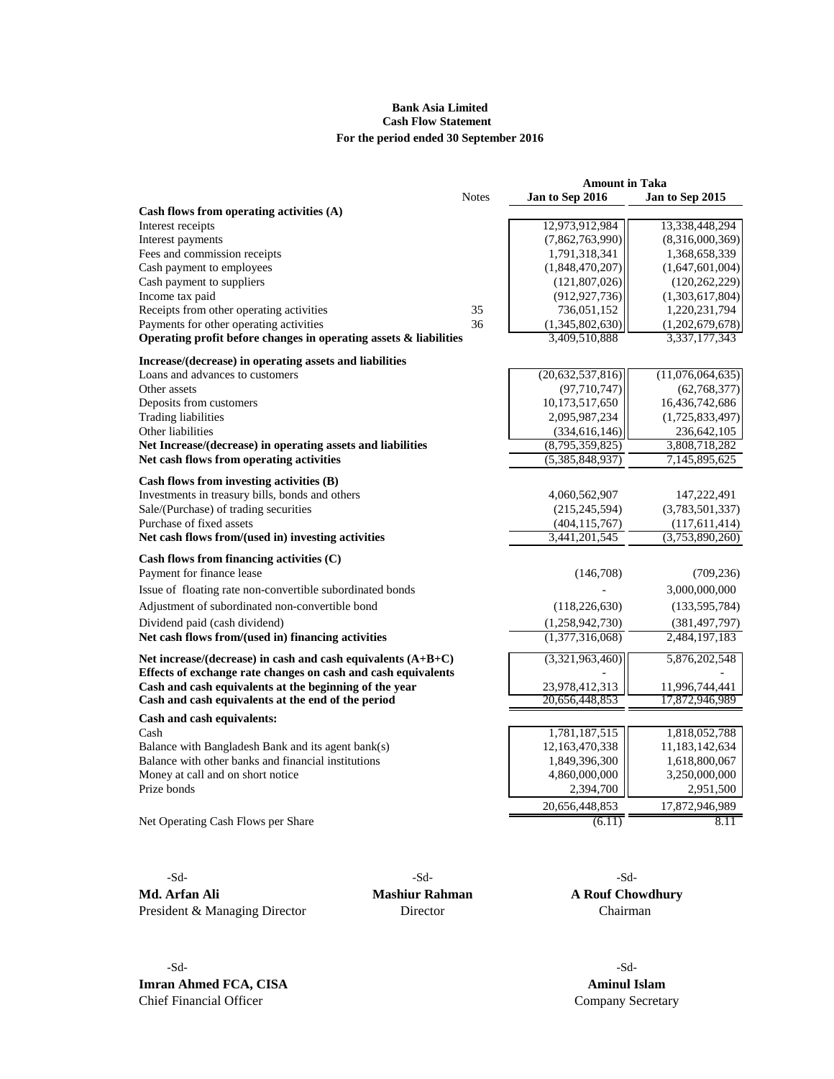# **Bank Asia Limited Cash Flow Statement For the period ended 30 September 2016**

|                                                                      |              | <b>Amount in Taka</b> |                  |
|----------------------------------------------------------------------|--------------|-----------------------|------------------|
|                                                                      | <b>Notes</b> | Jan to Sep 2016       | Jan to Sep 2015  |
| Cash flows from operating activities $(A)$                           |              |                       |                  |
| Interest receipts                                                    |              | 12,973,912,984        | 13,338,448,294   |
| Interest payments                                                    |              | (7,862,763,990)       | (8,316,000,369)  |
| Fees and commission receipts                                         |              | 1,791,318,341         | 1,368,658,339    |
| Cash payment to employees                                            |              | (1,848,470,207)       | (1,647,601,004)  |
| Cash payment to suppliers                                            |              | (121,807,026)         | (120, 262, 229)  |
| Income tax paid                                                      |              | (912, 927, 736)       | (1,303,617,804)  |
| Receipts from other operating activities                             | 35           | 736,051,152           | 1,220,231,794    |
| Payments for other operating activities                              | 36           | (1,345,802,630)       | (1,202,679,678)  |
| Operating profit before changes in operating assets $\&$ liabilities |              | 3,409,510,888         | 3,337,177,343    |
| Increase/(decrease) in operating assets and liabilities              |              |                       |                  |
| Loans and advances to customers                                      |              | (20,632,537,816)      | (11,076,064,635) |
| Other assets                                                         |              | (97, 710, 747)        | (62,768,377)     |
| Deposits from customers                                              |              | 10,173,517,650        | 16,436,742,686   |
| <b>Trading liabilities</b>                                           |              | 2,095,987,234         | (1,725,833,497)  |
| Other liabilities                                                    |              | (334, 616, 146)       | 236,642,105      |
| Net Increase/(decrease) in operating assets and liabilities          |              | (8,795,359,825)       | 3,808,718,282    |
| Net cash flows from operating activities                             |              | (5,385,848,937)       | 7,145,895,625    |
| Cash flows from investing activities (B)                             |              |                       |                  |
| Investments in treasury bills, bonds and others                      |              | 4,060,562,907         | 147,222,491      |
| Sale/(Purchase) of trading securities                                |              | (215, 245, 594)       | (3,783,501,337)  |
| Purchase of fixed assets                                             |              | (404, 115, 767)       | (117,611,414)    |
| Net cash flows from/(used in) investing activities                   |              | 3,441,201,545         | (3,753,890,260)  |
| Cash flows from financing activities $(C)$                           |              |                       |                  |
| Payment for finance lease                                            |              | (146,708)             | (709, 236)       |
| Issue of floating rate non-convertible subordinated bonds            |              |                       | 3,000,000,000    |
| Adjustment of subordinated non-convertible bond                      |              | (118, 226, 630)       | (133, 595, 784)  |
| Dividend paid (cash dividend)                                        |              | (1,258,942,730)       | (381, 497, 797)  |
| Net cash flows from/(used in) financing activities                   |              | (1,377,316,068)       | 2,484,197,183    |
| Net increase/(decrease) in cash and cash equivalents $(A+B+C)$       |              | (3,321,963,460)       | 5,876,202,548    |
| Effects of exchange rate changes on cash and cash equivalents        |              |                       |                  |
| Cash and cash equivalents at the beginning of the year               |              | 23,978,412,313        | 11,996,744,441   |
| Cash and cash equivalents at the end of the period                   |              | 20,656,448,853        | 17,872,946,989   |
| Cash and cash equivalents:                                           |              |                       |                  |
| Cash                                                                 |              | 1,781,187,515         | 1,818,052,788    |
| Balance with Bangladesh Bank and its agent bank(s)                   |              | 12,163,470,338        | 11,183,142,634   |
| Balance with other banks and financial institutions                  |              | 1,849,396,300         | 1,618,800,067    |
| Money at call and on short notice                                    |              | 4,860,000,000         | 3,250,000,000    |
| Prize bonds                                                          |              | 2,394,700             | 2,951,500        |
|                                                                      |              | 20,656,448,853        | 17,872,946,989   |
| Net Operating Cash Flows per Share                                   |              | (6.11)                | 8.11             |
|                                                                      |              |                       |                  |

-Sd-<br>-Sd-<br>-Sd-**Md. Arfan Ali Mashiur Rahman A Rouf Chowdhury** President & Managing Director Director Director Chairman

-Sd- -Sd-**Imran Ahmed FCA, CISA Aminul Islam**<br> **Company Secreta Company Secreta** 

Company Secretary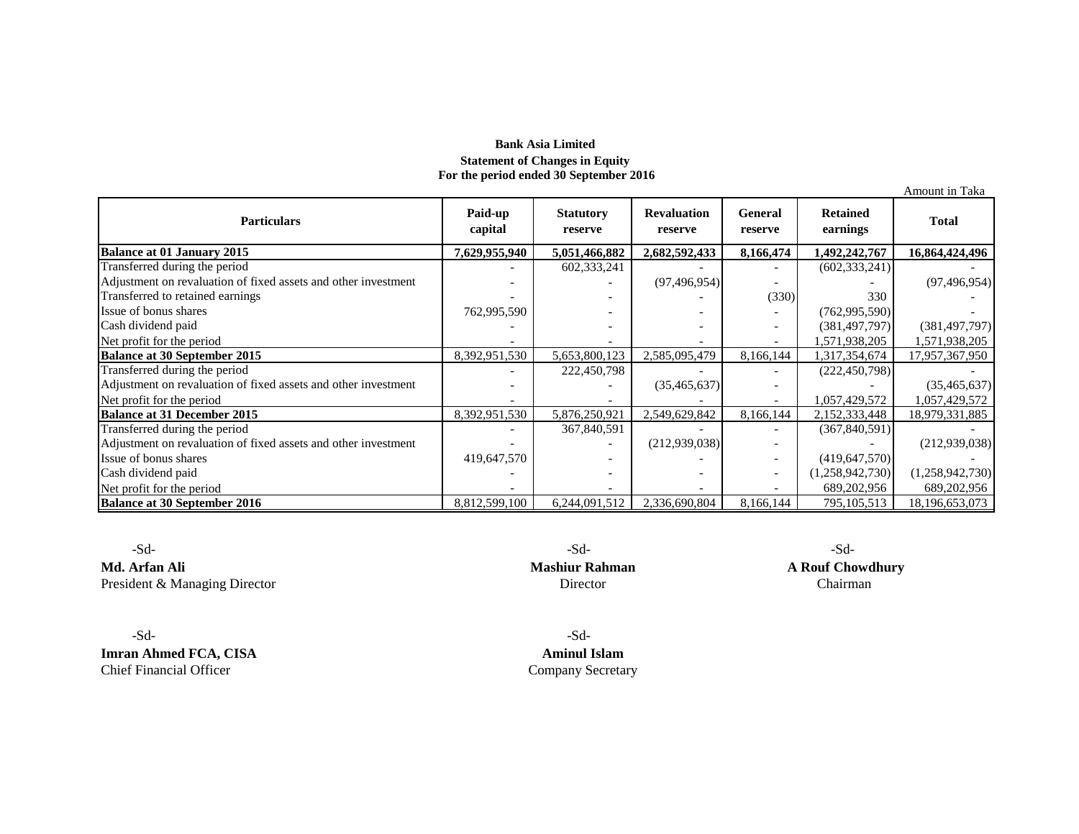# **Bank Asia Limited Statement of Changes in Equity For the period ended 30 September 2016**

Amount in Taka **Balance at 01 January 2015 7,629,955,940 5,051,466,882 2,682,592,433 8,166,474 1,492,242,767 16,864,424,496** Transferred during the period - 602,333,241 - - (602,333,241) - Adjustment on revaluation of fixed assets and other investment  $\begin{vmatrix} 1 & 1 & 1 \end{vmatrix}$  - (97,496,954) - (97,496,954) Transferred to retained earnings - - - (330) 330 - Issue of bonus shares  $\begin{bmatrix} 762,995,590 \\ -40,000 \end{bmatrix}$  -  $\begin{bmatrix} 762,995,590 \\ -40,000 \end{bmatrix}$  -Cash dividend paid and the same of the set of the set of the set of the set of the set of the set of the set of the set of the set of the set of the set of the set of the set of the set of the set of the set of the set of Net profit for the period<br> **Balance at 30 September 2015**<br> **Balance at 30 September 2015**<br> **Balance at 30 September 2015**<br> **Balance at 30 September 2015**<br> **Balance at 30 September 2015**<br> **Balance at 30 September 2015**<br> **Ba Balance at 30 September 2015** 8,392,951,530 5,653,800,123 2,585,095,479 8,166,144 1,317,354,674 Transferred during the period - 222,450,798 - - (222,450,798) - Adjustment on revaluation of fixed assets and other investment - - (35,465,637) - (35,465,637) - (35,465,637) - (35,465,637) - (35,465,637) - (35,465,637) - (35,465,637) - (35,465,637) - (35,465,637) - (35,465,637) - (35,4 Net profit for the period<br> **Balance at 31 December 2015**<br> **Balance at 31 December 2015**<br> **1057,876,250,921**<br> **1058,876,250,921**<br> **1058,876,250,921**<br> **1058,876,250,921 Balance at 31 December 2015** 8,392,951,530 5,876,250,921 2,549,629,842 8,166,144 2,152,333,448 18,979,331,885<br> **Balance at 31 December 2015** 8,392,951,530 5,876,250,921 2,549,629,842 8,166,144 2,152,333,448 18,979,331,885 Transferred during the period  $\overline{367,840,591}$  -  $\overline{367,840,591}$ Adjustment on revaluation of fixed assets and other investment  $\begin{vmatrix} -1 & -1 \\ 2 & -1 \end{vmatrix}$   $\begin{vmatrix} 212939038 \end{vmatrix}$   $\begin{vmatrix} -1 & -1 \\ -1 & -1 \end{vmatrix}$   $\begin{vmatrix} 212939038 \end{vmatrix}$ Issue of bonus shares  $\begin{bmatrix} 419,647,570 \\ -419,647,570 \end{bmatrix}$  -  $\begin{bmatrix} 419,647,570 \\ -1 \end{bmatrix}$  (419,647,570) Cash dividend paid and the period of the period of the period of the period of the period of the period of the period of the period of the period of the period of the period of the period of the period of the period of the Net profit for the period 1995, 202, 956<br>
Balance at 30 September 2016 1995, 105, 513<br>
Balance at 30 September 2016 1995, 105, 513 **Balance at 30 September 2016** 8,812,599,100 6,244,091,512 2,336,690,804 8,166,144 795,105,513 18,196,653,073 **Particulars Paid-up capital Statutory reserve Revaluation reserve General reserve Retained earnings Total** 

 -Sd- -Sd- -Sd-**Md. Arfan Ali Mashiur Rahman A Rouf Chowdhury** President & Managing Director **Chairman** Director **Director** Director **Chairman** 

 -Sd- -Sd-**Imran Ahmed FCA, CISA Aminul Islam** 

Chief Financial Officer Company Secretary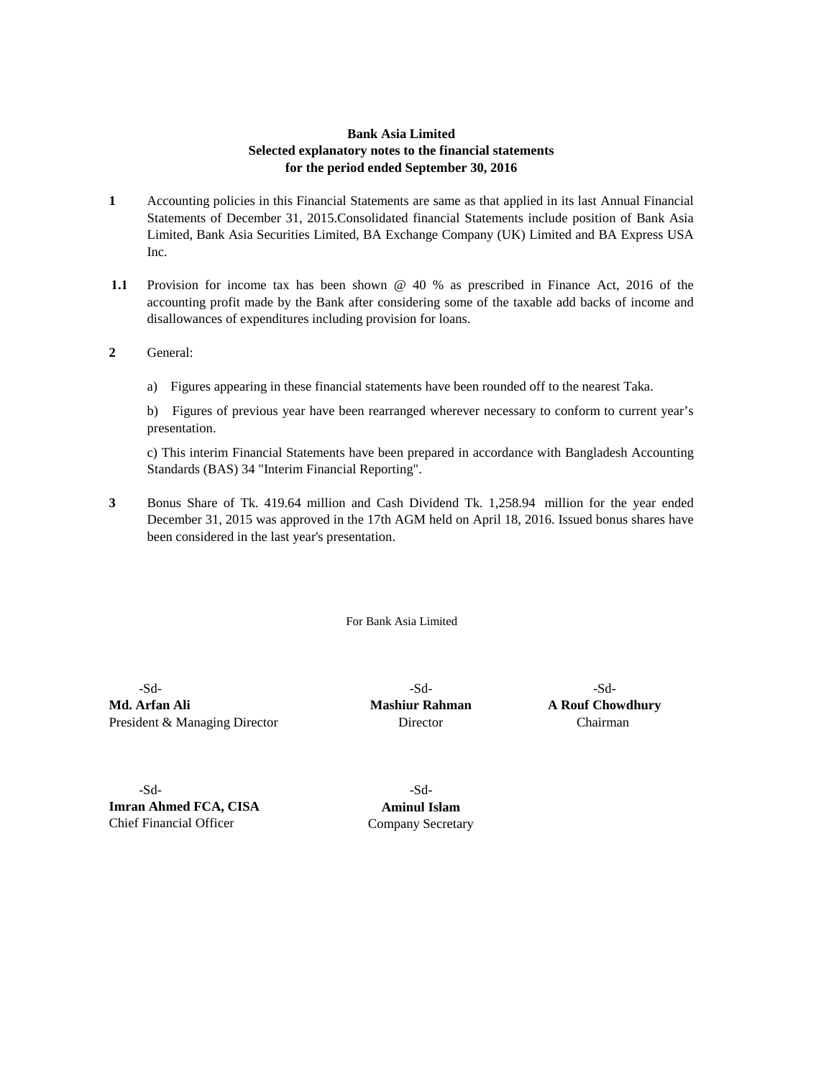# **Bank Asia Limited Selected explanatory notes to the financial statements for the period ended September 30, 2016**

- **1** Accounting policies in this Financial Statements are same as that applied in its last Annual Financial Statements of December 31, 2015.Consolidated financial Statements include position of Bank Asia Limited, Bank Asia Securities Limited, BA Exchange Company (UK) Limited and BA Express USA Inc.
- **1.1**  Provision for income tax has been shown @ 40 % as prescribed in Finance Act, 2016 of the accounting profit made by the Bank after considering some of the taxable add backs of income and disallowances of expenditures including provision for loans.
- **2** General:
	- a) Figures appearing in these financial statements have been rounded off to the nearest Taka.

b) Figures of previous year have been rearranged wherever necessary to conform to current year's presentation.

c) This interim Financial Statements have been prepared in accordance with Bangladesh Accounting Standards (BAS) 34 "Interim Financial Reporting".

**3** Bonus Share of Tk. 419.64 million and Cash Dividend Tk. 1,258.94 million for the year ended December 31, 2015 was approved in the 17th AGM held on April 18, 2016. Issued bonus shares have been considered in the last year's presentation.

For Bank Asia Limited

**Md. Arfan Ali Mashiur Rahman A Rouf Chowdhury** President & Managing Director **Director** Director Chairman

-Sd- -Sd- -Sd-

 -Sd- -Sd-**Imran Ahmed FCA, CISA Aminul Islam** Chief Financial Officer Company Secretary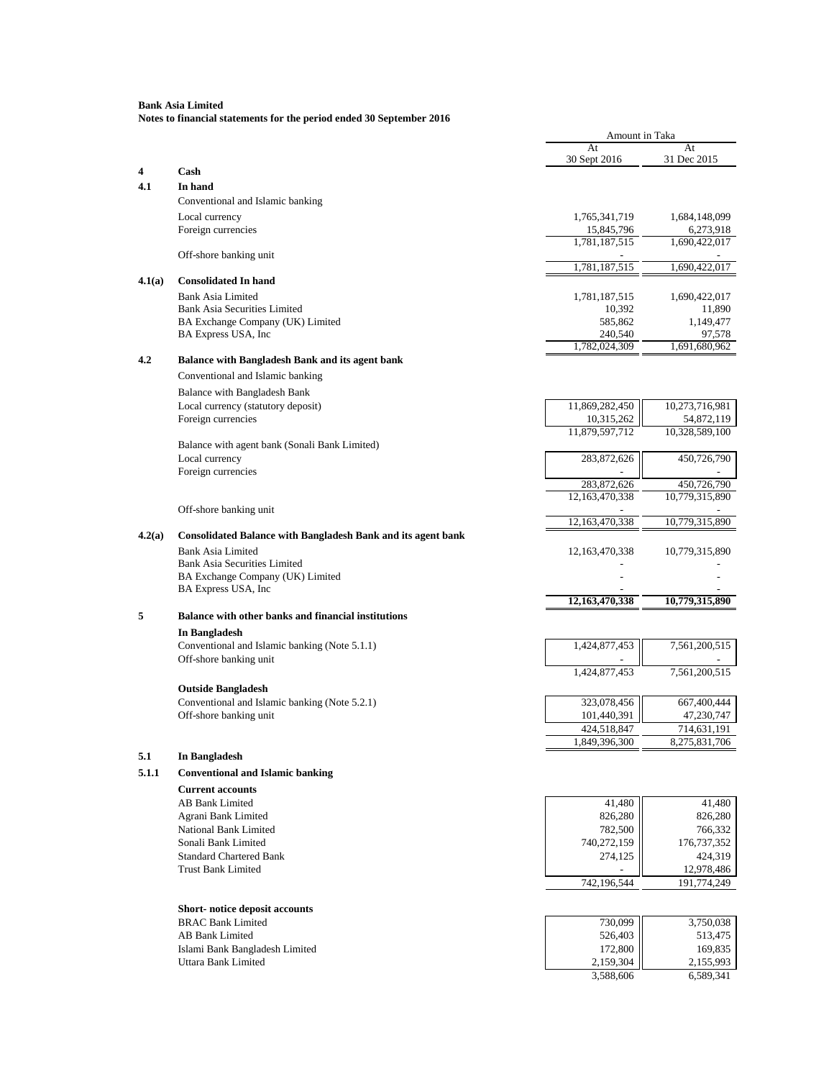|        |                                                                    | Amount in Taka                |                               |
|--------|--------------------------------------------------------------------|-------------------------------|-------------------------------|
|        |                                                                    | At                            | At                            |
| 4      | Cash                                                               | 30 Sept 2016                  | 31 Dec 2015                   |
| 4.1    | In hand                                                            |                               |                               |
|        | Conventional and Islamic banking                                   |                               |                               |
|        | Local currency                                                     | 1,765,341,719                 | 1,684,148,099                 |
|        | Foreign currencies                                                 | 15,845,796                    | 6,273,918                     |
|        |                                                                    | 1,781,187,515                 | 1,690,422,017                 |
|        | Off-shore banking unit                                             | 1,781,187,515                 | 1,690,422,017                 |
| 4.1(a) | <b>Consolidated In hand</b>                                        |                               |                               |
|        | Bank Asia Limited                                                  | 1,781,187,515                 | 1,690,422,017                 |
|        | <b>Bank Asia Securities Limited</b>                                | 10,392                        | 11,890                        |
|        | BA Exchange Company (UK) Limited                                   | 585,862                       | 1,149,477                     |
|        | BA Express USA, Inc                                                | 240,540                       | 97,578                        |
| 4.2    | Balance with Bangladesh Bank and its agent bank                    | 1,782,024,309                 | 1,691,680,962                 |
|        |                                                                    |                               |                               |
|        | Conventional and Islamic banking                                   |                               |                               |
|        | Balance with Bangladesh Bank<br>Local currency (statutory deposit) | 11,869,282,450                | 10,273,716,981                |
|        | Foreign currencies                                                 | 10,315,262                    | 54,872,119                    |
|        |                                                                    | 11,879,597,712                | 10,328,589,100                |
|        | Balance with agent bank (Sonali Bank Limited)                      |                               |                               |
|        | Local currency                                                     | 283,872,626                   | 450,726,790                   |
|        | Foreign currencies                                                 |                               |                               |
|        |                                                                    | 283,872,626<br>12,163,470,338 | 450,726,790<br>10,779,315,890 |
|        | Off-shore banking unit                                             |                               |                               |
|        |                                                                    | 12,163,470,338                | 10,779,315,890                |
| 4.2(a) | Consolidated Balance with Bangladesh Bank and its agent bank       |                               |                               |
|        | <b>Bank Asia Limited</b>                                           | 12, 163, 470, 338             | 10,779,315,890                |
|        | <b>Bank Asia Securities Limited</b>                                |                               |                               |
|        | BA Exchange Company (UK) Limited<br>BA Express USA, Inc            |                               |                               |
|        |                                                                    | 12,163,470,338                | 10,779,315,890                |
| 5      | Balance with other banks and financial institutions                |                               |                               |
|        | In Bangladesh                                                      |                               |                               |
|        | Conventional and Islamic banking (Note 5.1.1)                      | 1,424,877,453                 | 7,561,200,515                 |
|        | Off-shore banking unit                                             |                               |                               |
|        |                                                                    | 1,424,877,453                 | 7,561,200,515                 |
|        | <b>Outside Bangladesh</b>                                          |                               |                               |
|        | Conventional and Islamic banking (Note 5.2.1)                      | 323,078,456                   | 667,400,444                   |
|        | Off-shore banking unit                                             | 101,440,391<br>424,518,847    | 47,230,747                    |
|        |                                                                    | 1,849,396,300                 | 714,631,191<br>8,275,831,706  |
| 5.1    | In Bangladesh                                                      |                               |                               |
| 5.1.1  | <b>Conventional and Islamic banking</b>                            |                               |                               |
|        | <b>Current accounts</b>                                            |                               |                               |
|        | AB Bank Limited                                                    | 41,480                        | 41,480                        |
|        | Agrani Bank Limited                                                | 826,280                       | 826,280                       |
|        | National Bank Limited                                              | 782,500                       | 766,332                       |
|        | Sonali Bank Limited                                                | 740,272,159                   | 176,737,352                   |
|        | <b>Standard Chartered Bank</b>                                     | 274,125                       | 424,319                       |
|        | <b>Trust Bank Limited</b>                                          | 742,196,544                   | 12,978,486<br>191,774,249     |
|        |                                                                    |                               |                               |
|        | Short-notice deposit accounts                                      |                               |                               |
|        | <b>BRAC Bank Limited</b>                                           | 730,099                       | 3,750,038                     |
|        | AB Bank Limited                                                    | 526,403                       | 513,475                       |
|        | Islami Bank Bangladesh Limited                                     | 172,800                       | 169,835                       |
|        | Uttara Bank Limited                                                | 2,159,304                     | 2,155,993                     |
|        |                                                                    | 3,588,606                     | 6,589,341                     |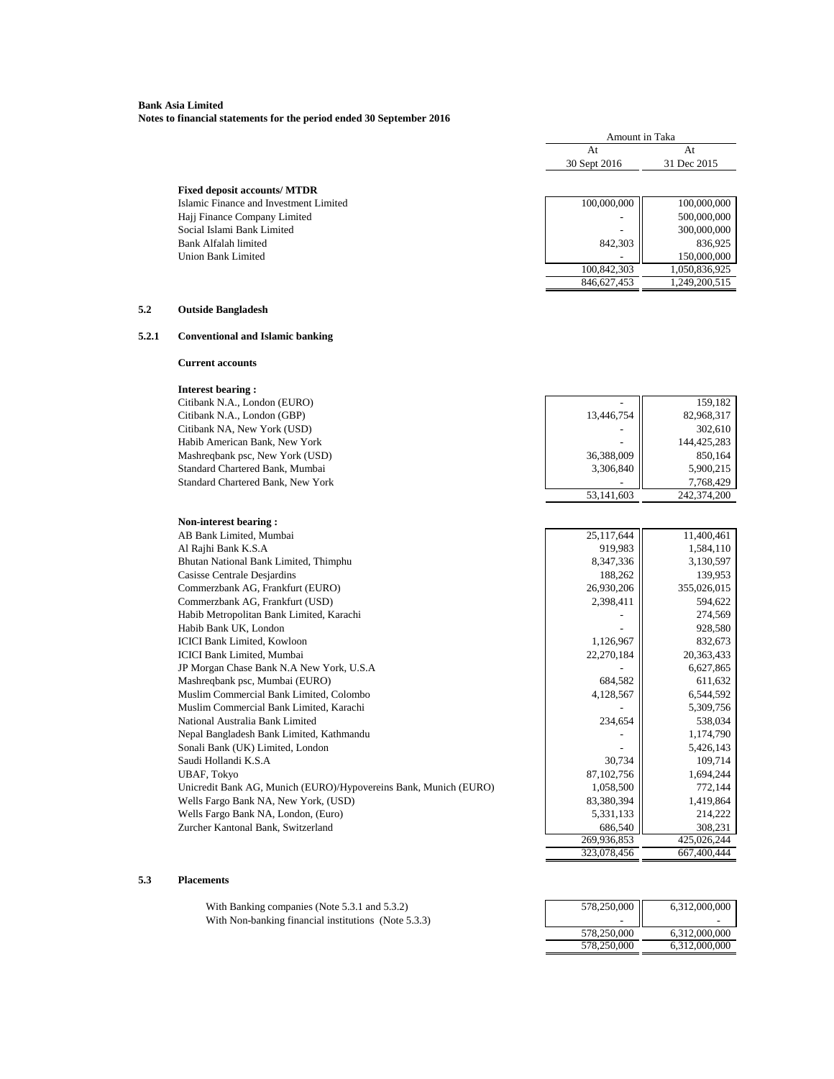**Notes to financial statements for the period ended 30 September 2016**

|       |                                                                           | Amount in Taka             |                                |
|-------|---------------------------------------------------------------------------|----------------------------|--------------------------------|
|       |                                                                           | At                         | At                             |
|       |                                                                           | 30 Sept 2016               | 31 Dec 2015                    |
|       |                                                                           |                            |                                |
|       | <b>Fixed deposit accounts/ MTDR</b>                                       |                            |                                |
|       | Islamic Finance and Investment Limited                                    | 100,000,000                | 100,000,000                    |
|       | Hajj Finance Company Limited                                              |                            | 500,000,000                    |
|       | Social Islami Bank Limited                                                |                            | 300,000,000                    |
|       | Bank Alfalah limited                                                      | 842,303                    | 836,925                        |
|       | Union Bank Limited                                                        |                            | 150,000,000                    |
|       |                                                                           | 100,842,303<br>846,627,453 | 1,050,836,925<br>1,249,200,515 |
|       |                                                                           |                            |                                |
| 5.2   | <b>Outside Bangladesh</b>                                                 |                            |                                |
| 5.2.1 | <b>Conventional and Islamic banking</b>                                   |                            |                                |
|       | <b>Current accounts</b>                                                   |                            |                                |
|       | <b>Interest bearing:</b>                                                  |                            |                                |
|       | Citibank N.A., London (EURO)                                              |                            | 159,182                        |
|       | Citibank N.A., London (GBP)                                               | 13,446,754                 | 82,968,317                     |
|       | Citibank NA, New York (USD)                                               |                            | 302,610                        |
|       | Habib American Bank, New York                                             |                            | 144,425,283                    |
|       | Mashreqbank psc, New York (USD)                                           | 36,388,009                 | 850,164                        |
|       | Standard Chartered Bank, Mumbai                                           | 3,306,840                  | 5,900,215                      |
|       | Standard Chartered Bank, New York                                         |                            | 7,768,429                      |
|       |                                                                           | 53,141,603                 | 242,374,200                    |
|       |                                                                           |                            |                                |
|       | Non-interest bearing:<br>AB Bank Limited, Mumbai                          | 25,117,644                 | 11,400,461                     |
|       | Al Rajhi Bank K.S.A                                                       | 919,983                    | 1,584,110                      |
|       | Bhutan National Bank Limited, Thimphu                                     | 8,347,336                  | 3,130,597                      |
|       | Casisse Centrale Desjardins                                               | 188,262                    | 139,953                        |
|       | Commerzbank AG, Frankfurt (EURO)                                          | 26,930,206                 | 355,026,015                    |
|       | Commerzbank AG, Frankfurt (USD)                                           | 2,398,411                  | 594,622                        |
|       | Habib Metropolitan Bank Limited, Karachi                                  |                            | 274,569                        |
|       | Habib Bank UK, London                                                     |                            | 928,580                        |
|       | <b>ICICI Bank Limited, Kowloon</b>                                        | 1,126,967                  | 832,673                        |
|       | <b>ICICI Bank Limited, Mumbai</b>                                         | 22,270,184                 | 20,363,433                     |
|       | JP Morgan Chase Bank N.A New York, U.S.A                                  |                            | 6,627,865                      |
|       | Mashreqbank psc, Mumbai (EURO)                                            | 684,582                    | 611,632                        |
|       | Muslim Commercial Bank Limited, Colombo                                   | 4,128,567                  | 6,544,592                      |
|       | Muslim Commercial Bank Limited, Karachi                                   |                            | 5,309,756                      |
|       | National Australia Bank Limited                                           | 234,654                    | 538,034                        |
|       | Nepal Bangladesh Bank Limited, Kathmandu                                  |                            | 1,174,790                      |
|       | Sonali Bank (UK) Limited, London                                          |                            | 5,426,143                      |
|       | Saudi Hollandi K.S.A                                                      | 30,734                     | 109,714                        |
|       | <b>UBAF, Tokyo</b>                                                        | 87,102,756                 | 1,694,244                      |
|       | Unicredit Bank AG, Munich (EURO)/Hypovereins Bank, Munich (EURO)          | 1,058,500                  | 772,144                        |
|       | Wells Fargo Bank NA, New York, (USD)                                      | 83,380,394                 | 1,419,864                      |
|       | Wells Fargo Bank NA, London, (Euro)<br>Zurcher Kantonal Bank, Switzerland | 5,331,133<br>686,540       | 214,222<br>308,231             |
|       |                                                                           | 269,936,853                | 425,026,244                    |
|       |                                                                           | 323,078,456                | 667,400,444                    |

### **5.3 Placements**

With Banking companies (Note  $5.3.1$  and  $5.3.2$ ) With Non-banking financial institutions (Note 5.3.3)

| 578,250,000 | 6,312,000,000 |
|-------------|---------------|
|             |               |
| 578,250,000 | 6,312,000,000 |
| 578,250,000 | 6,312,000,000 |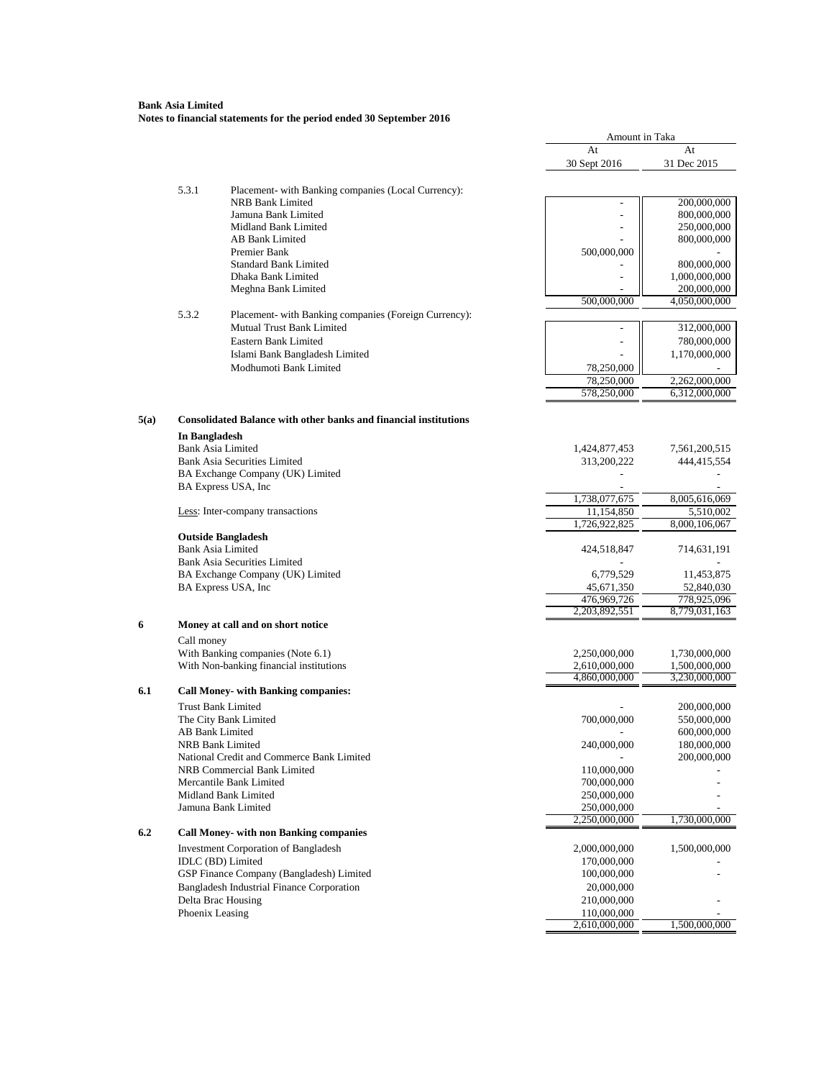# **Bank Asia Limited Notes to financial statements for the period ended 30 September 2016**

|      |                      |                                                                               | Amount in Taka               |               |
|------|----------------------|-------------------------------------------------------------------------------|------------------------------|---------------|
|      |                      |                                                                               | At                           | At            |
|      |                      |                                                                               | 30 Sept 2016                 | 31 Dec 2015   |
|      |                      |                                                                               |                              |               |
|      | 5.3.1                | Placement-with Banking companies (Local Currency):<br><b>NRB Bank Limited</b> | $\overline{\phantom{a}}$     | 200,000,000   |
|      |                      | Jamuna Bank Limited                                                           |                              | 800,000,000   |
|      |                      | Midland Bank Limited                                                          | $\overline{a}$               | 250,000,000   |
|      |                      | AB Bank Limited                                                               |                              | 800,000,000   |
|      |                      | Premier Bank                                                                  | 500,000,000                  |               |
|      |                      | <b>Standard Bank Limited</b>                                                  |                              | 800,000,000   |
|      |                      | Dhaka Bank Limited                                                            |                              | 1,000,000,000 |
|      |                      | Meghna Bank Limited                                                           |                              | 200,000,000   |
|      |                      |                                                                               | 500,000,000                  | 4,050,000,000 |
|      | 5.3.2                | Placement- with Banking companies (Foreign Currency):                         |                              |               |
|      |                      | Mutual Trust Bank Limited                                                     |                              | 312,000,000   |
|      |                      | Eastern Bank Limited                                                          |                              | 780,000,000   |
|      |                      | Islami Bank Bangladesh Limited                                                |                              | 1,170,000,000 |
|      |                      | Modhumoti Bank Limited                                                        | 78,250,000                   |               |
|      |                      |                                                                               | 78,250,000                   | 2,262,000,000 |
|      |                      |                                                                               | 578,250,000                  | 6,312,000,000 |
|      |                      | <b>Consolidated Balance with other banks and financial institutions</b>       |                              |               |
| 5(a) |                      |                                                                               |                              |               |
|      | <b>In Bangladesh</b> |                                                                               |                              |               |
|      |                      | <b>Bank Asia Limited</b>                                                      | 1,424,877,453                | 7,561,200,515 |
|      |                      | <b>Bank Asia Securities Limited</b>                                           | 313,200,222                  | 444,415,554   |
|      |                      | BA Exchange Company (UK) Limited<br>BA Express USA, Inc                       |                              |               |
|      |                      |                                                                               | 1,738,077,675                | 8,005,616,069 |
|      |                      | Less: Inter-company transactions                                              | 11.154.850                   | 5,510,002     |
|      |                      |                                                                               | 1,726,922,825                | 8,000,106,067 |
|      |                      | <b>Outside Bangladesh</b>                                                     |                              |               |
|      |                      | <b>Bank Asia Limited</b>                                                      | 424,518,847                  | 714,631,191   |
|      |                      | <b>Bank Asia Securities Limited</b>                                           |                              |               |
|      |                      | BA Exchange Company (UK) Limited                                              | 6,779,529                    | 11,453,875    |
|      |                      | BA Express USA, Inc.                                                          | 45,671,350                   | 52,840,030    |
|      |                      |                                                                               | 476,969,726                  | 778,925,096   |
|      |                      |                                                                               | 2,203,892,551                | 8,779,031,163 |
| 6    |                      | Money at call and on short notice                                             |                              |               |
|      | Call money           |                                                                               |                              |               |
|      |                      | With Banking companies (Note 6.1)                                             | 2,250,000,000                | 1,730,000,000 |
|      |                      | With Non-banking financial institutions                                       | 2,610,000,000                | 1,500,000,000 |
|      |                      |                                                                               | 4,860,000,000                | 3,230,000,000 |
| 6.1  |                      | <b>Call Money- with Banking companies:</b>                                    |                              |               |
|      |                      | <b>Trust Bank Limited</b>                                                     |                              | 200,000,000   |
|      |                      | The City Bank Limited                                                         | 700,000,000                  | 550,000,000   |
|      |                      | AB Bank Limited                                                               |                              | 600,000,000   |
|      |                      | <b>NRB Bank Limited</b>                                                       | 240,000,000                  | 180,000,000   |
|      |                      | National Credit and Commerce Bank Limited                                     |                              | 200,000,000   |
|      |                      | NRB Commercial Bank Limited                                                   | 110,000,000                  |               |
|      |                      | Mercantile Bank Limited                                                       | 700,000,000                  |               |
|      |                      | Midland Bank Limited                                                          | 250,000,000                  |               |
|      |                      | Jamuna Bank Limited                                                           | 250,000,000<br>2,250,000,000 | 1,730,000,000 |
| 6.2  |                      | <b>Call Money- with non Banking companies</b>                                 |                              |               |
|      |                      |                                                                               |                              |               |
|      |                      | <b>Investment Corporation of Bangladesh</b>                                   | 2,000,000,000                | 1,500,000,000 |
|      |                      | IDLC (BD) Limited                                                             | 170,000,000                  |               |
|      |                      | GSP Finance Company (Bangladesh) Limited                                      | 100,000,000                  |               |
|      |                      | Bangladesh Industrial Finance Corporation                                     | 20,000,000                   |               |
|      |                      | Delta Brac Housing                                                            | 210,000,000                  |               |
|      |                      | Phoenix Leasing                                                               | 110,000,000                  | 1,500,000,000 |
|      |                      |                                                                               | 2,610,000,000                |               |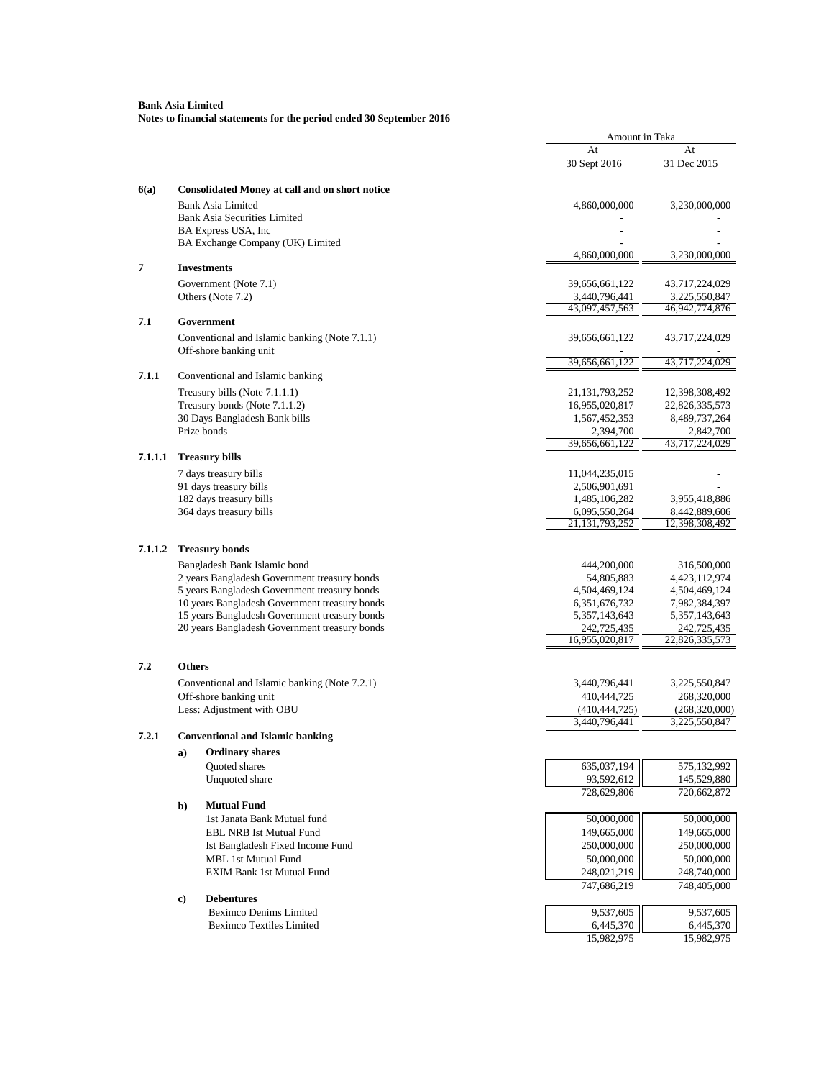|         |                                                                | Amount in Taka                   |                                 |
|---------|----------------------------------------------------------------|----------------------------------|---------------------------------|
|         |                                                                | At                               | At                              |
|         |                                                                | 30 Sept 2016                     | 31 Dec 2015                     |
| 6(a)    | <b>Consolidated Money at call and on short notice</b>          |                                  |                                 |
|         | Bank Asia Limited                                              | 4,860,000,000                    | 3,230,000,000                   |
|         | <b>Bank Asia Securities Limited</b>                            |                                  |                                 |
|         | BA Express USA, Inc                                            |                                  |                                 |
|         | BA Exchange Company (UK) Limited                               |                                  |                                 |
| 7       | <b>Investments</b>                                             | 4,860,000,000                    | 3,230,000,000                   |
|         |                                                                |                                  |                                 |
|         | Government (Note 7.1)<br>Others (Note 7.2)                     | 39,656,661,122<br>3,440,796,441  | 43,717,224,029<br>3,225,550,847 |
|         |                                                                | 43,097,457,563                   | 46,942,774,876                  |
| 7.1     | Government                                                     |                                  |                                 |
|         | Conventional and Islamic banking (Note 7.1.1)                  | 39,656,661,122                   | 43,717,224,029                  |
|         | Off-shore banking unit                                         |                                  |                                 |
|         |                                                                | 39,656,661,122                   | 43,717,224,029                  |
| 7.1.1   | Conventional and Islamic banking                               |                                  |                                 |
|         | Treasury bills (Note 7.1.1.1)                                  | 21, 131, 793, 252                | 12,398,308,492                  |
|         | Treasury bonds (Note 7.1.1.2)                                  | 16,955,020,817                   | 22,826,335,573                  |
|         | 30 Days Bangladesh Bank bills                                  | 1,567,452,353                    | 8,489,737,264                   |
|         | Prize bonds                                                    | 2,394,700<br>39,656,661,122      | 2,842,700<br>43,717,224,029     |
| 7.1.1.1 | <b>Treasury bills</b>                                          |                                  |                                 |
|         | 7 days treasury bills                                          | 11,044,235,015                   |                                 |
|         | 91 days treasury bills                                         | 2,506,901,691                    |                                 |
|         | 182 days treasury bills                                        | 1,485,106,282                    | 3,955,418,886                   |
|         | 364 days treasury bills                                        | 6,095,550,264                    | 8,442,889,606                   |
|         |                                                                | 21, 131, 793, 252                | 12,398,308,492                  |
| 7.1.1.2 | <b>Treasury bonds</b>                                          |                                  |                                 |
|         | Bangladesh Bank Islamic bond                                   | 444,200,000                      | 316,500,000                     |
|         | 2 years Bangladesh Government treasury bonds                   | 54,805,883                       | 4,423,112,974                   |
|         | 5 years Bangladesh Government treasury bonds                   | 4,504,469,124                    | 4,504,469,124                   |
|         | 10 years Bangladesh Government treasury bonds                  | 6, 351, 676, 732                 | 7,982,384,397                   |
|         | 15 years Bangladesh Government treasury bonds                  | 5, 357, 143, 643                 | 5, 357, 143, 643                |
|         | 20 years Bangladesh Government treasury bonds                  | 242,725,435<br>16,955,020,817    | 242,725,435<br>22,826,335,573   |
|         |                                                                |                                  |                                 |
| 7.2     | <b>Others</b>                                                  |                                  |                                 |
|         | Conventional and Islamic banking (Note 7.2.1)                  | 3,440,796,441                    | 3,225,550,847                   |
|         | Off-shore banking unit                                         | 410,444,725                      | 268,320,000                     |
|         | Less: Adjustment with OBU                                      | (410, 444, 725)<br>3,440,796,441 | (268,320,000)<br>3,225,550,847  |
| 7.2.1   | <b>Conventional and Islamic banking</b>                        |                                  |                                 |
|         | <b>Ordinary shares</b><br>a)                                   |                                  |                                 |
|         | <b>Ouoted</b> shares                                           | 635,037,194                      | 575,132,992                     |
|         | Unquoted share                                                 | 93,592,612                       | 145,529,880                     |
|         |                                                                | 728,629,806                      | 720,662,872                     |
|         | <b>Mutual Fund</b><br>b)                                       |                                  |                                 |
|         | 1st Janata Bank Mutual fund                                    | 50,000,000                       | 50,000,000                      |
|         | <b>EBL NRB Ist Mutual Fund</b>                                 | 149,665,000                      | 149,665,000                     |
|         | Ist Bangladesh Fixed Income Fund                               | 250,000,000                      | 250,000,000                     |
|         | <b>MBL 1st Mutual Fund</b><br><b>EXIM Bank 1st Mutual Fund</b> | 50,000,000                       | 50,000,000                      |
|         |                                                                | 248,021,219<br>747,686,219       | 248,740,000<br>748,405,000      |
|         | <b>Debentures</b><br>c)                                        |                                  |                                 |
|         | <b>Beximco Denims Limited</b>                                  | 9,537,605                        | 9,537,605                       |
|         | <b>Beximco Textiles Limited</b>                                | 6,445,370                        | 6,445,370                       |
|         |                                                                | 15,982,975                       | 15,982,975                      |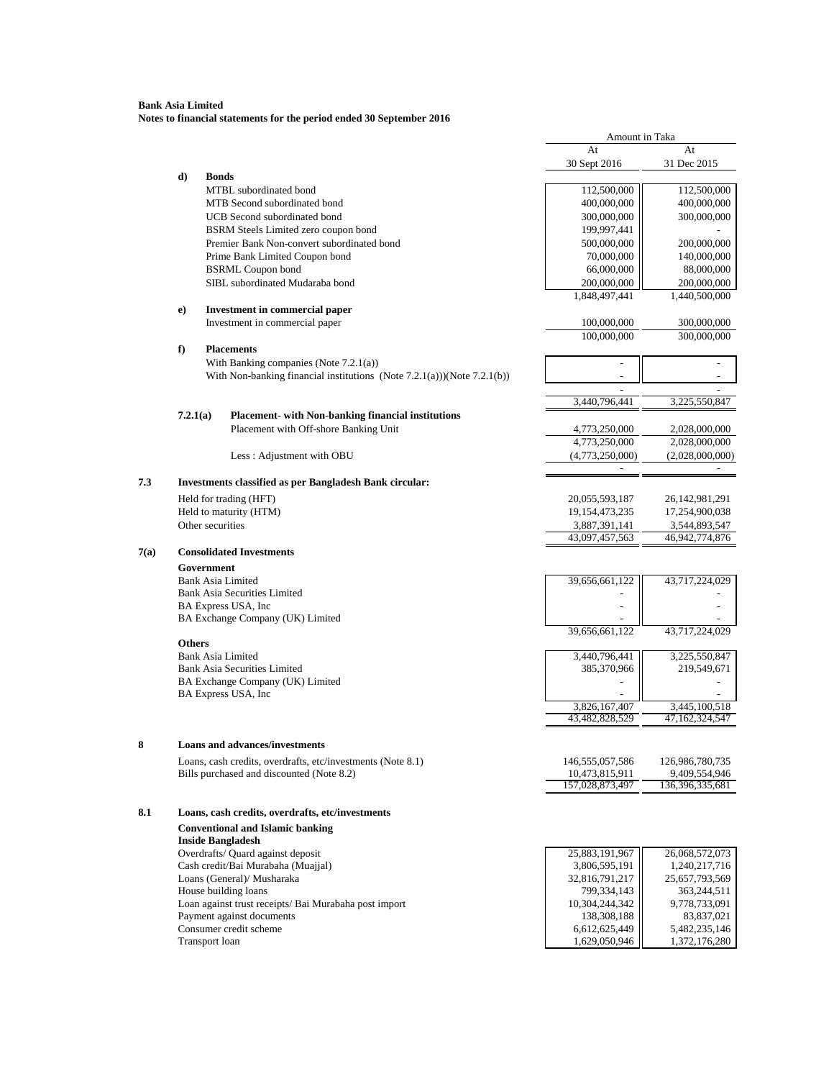|      |                  |                                                                                    | Amount in Taka               |                           |
|------|------------------|------------------------------------------------------------------------------------|------------------------------|---------------------------|
|      |                  |                                                                                    | At                           | At                        |
|      |                  |                                                                                    | 30 Sept 2016                 | 31 Dec 2015               |
|      | d)               | <b>Bonds</b>                                                                       |                              |                           |
|      |                  | MTBL subordinated bond                                                             | 112,500,000                  | 112,500,000               |
|      |                  | MTB Second subordinated bond                                                       | 400,000,000                  | 400,000,000               |
|      |                  | UCB Second subordinated bond                                                       | 300,000,000                  | 300,000,000               |
|      |                  | BSRM Steels Limited zero coupon bond<br>Premier Bank Non-convert subordinated bond | 199,997,441                  |                           |
|      |                  |                                                                                    | 500,000,000                  | 200,000,000               |
|      |                  | Prime Bank Limited Coupon bond<br><b>BSRML</b> Coupon bond                         | 70,000,000<br>66,000,000     | 140,000,000<br>88,000,000 |
|      |                  | SIBL subordinated Mudaraba bond                                                    | 200,000,000                  | 200,000,000               |
|      |                  |                                                                                    | 1,848,497,441                | 1,440,500,000             |
|      | e)               | Investment in commercial paper                                                     |                              |                           |
|      |                  | Investment in commercial paper                                                     | 100,000,000                  | 300,000,000               |
|      |                  |                                                                                    | 100,000,000                  | 300,000,000               |
|      | f                | <b>Placements</b>                                                                  |                              |                           |
|      |                  | With Banking companies (Note $7.2.1(a)$ )                                          |                              |                           |
|      |                  | With Non-banking financial institutions (Note $7.2.1(a)$ ))(Note $7.2.1(b)$ )      |                              |                           |
|      |                  |                                                                                    |                              |                           |
|      |                  |                                                                                    | 3,440,796,441                | 3,225,550,847             |
|      | 7.2.1(a)         | Placement- with Non-banking financial institutions                                 |                              |                           |
|      |                  | Placement with Off-shore Banking Unit                                              | 4,773,250,000                | 2,028,000,000             |
|      |                  |                                                                                    | 4,773,250,000                | 2,028,000,000             |
|      |                  | Less: Adjustment with OBU                                                          | (4,773,250,000)              | (2,028,000,000)           |
| 7.3  |                  | <b>Investments classified as per Bangladesh Bank circular:</b>                     |                              |                           |
|      |                  | Held for trading (HFT)                                                             | 20,055,593,187               | 26,142,981,291            |
|      |                  | Held to maturity (HTM)                                                             | 19,154,473,235               | 17,254,900,038            |
|      | Other securities |                                                                                    | 3,887,391,141                | 3,544,893,547             |
|      |                  |                                                                                    | 43,097,457,563               | 46,942,774,876            |
| 7(a) |                  | <b>Consolidated Investments</b>                                                    |                              |                           |
|      | Government       |                                                                                    |                              |                           |
|      |                  | <b>Bank Asia Limited</b>                                                           | 39,656,661,122               | 43,717,224,029            |
|      |                  | <b>Bank Asia Securities Limited</b>                                                |                              |                           |
|      |                  | BA Express USA, Inc                                                                |                              |                           |
|      |                  | BA Exchange Company (UK) Limited                                                   |                              |                           |
|      |                  |                                                                                    | 39,656,661,122               | 43,717,224,029            |
|      | <b>Others</b>    |                                                                                    |                              |                           |
|      |                  | <b>Bank Asia Limited</b><br><b>Bank Asia Securities Limited</b>                    | 3,440,796,441<br>385,370,966 | 3,225,550,847             |
|      |                  | BA Exchange Company (UK) Limited                                                   |                              | 219,549,671               |
|      |                  | BA Express USA, Inc                                                                |                              |                           |
|      |                  |                                                                                    | 3,826,167,407                | 3,445,100,518             |
|      |                  |                                                                                    | 43,482,828,529               | 47,162,324,547            |
|      |                  |                                                                                    |                              |                           |
| 8    |                  | <b>Loans and advances/investments</b>                                              |                              |                           |
|      |                  | Loans, cash credits, overdrafts, etc/investments (Note 8.1)                        | 146,555,057,586              | 126,986,780,735           |
|      |                  | Bills purchased and discounted (Note 8.2)                                          | 10,473,815,911               | 9,409,554,946             |
|      |                  |                                                                                    | 157,028,873,497              | 136,396,335,681           |
| 8.1  |                  | Loans, cash credits, overdrafts, etc/investments                                   |                              |                           |
|      |                  | <b>Conventional and Islamic banking</b>                                            |                              |                           |
|      |                  | <b>Inside Bangladesh</b>                                                           |                              |                           |
|      |                  | Overdrafts/ Quard against deposit                                                  | 25,883,191,967               | 26,068,572,073            |
|      |                  | Cash credit/Bai Murabaha (Muajjal)                                                 | 3,806,595,191                | 1,240,217,716             |
|      |                  | Loans (General)/ Musharaka                                                         | 32,816,791,217               | 25,657,793,569            |
|      |                  | House building loans                                                               | 799,334,143                  | 363,244,511               |
|      |                  | Loan against trust receipts/ Bai Murabaha post import                              | 10,304,244,342               | 9,778,733,091             |
|      |                  | Payment against documents                                                          | 138, 308, 188                | 83,837,021                |
|      |                  | Consumer credit scheme                                                             | 6,612,625,449                | 5,482,235,146             |
|      | Transport loan   |                                                                                    | 1,629,050,946                | 1,372,176,280             |
|      |                  |                                                                                    |                              |                           |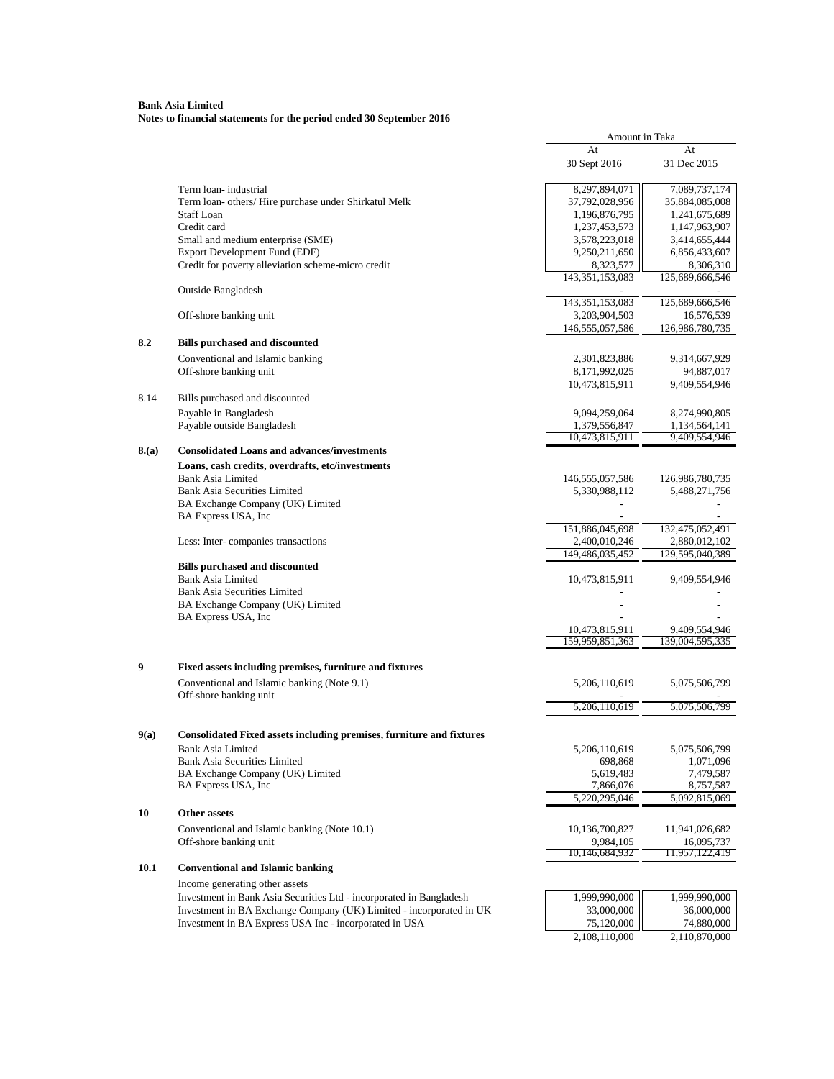# **Bank Asia Limited Notes to financial statements for the period ended 30 September 2016**

|       |                                                                       | Amount in Taka               |                              |
|-------|-----------------------------------------------------------------------|------------------------------|------------------------------|
|       |                                                                       | At                           | At                           |
|       |                                                                       | 30 Sept 2016                 | 31 Dec 2015                  |
|       | Term loan-industrial                                                  | 8,297,894,071                | 7,089,737,174                |
|       | Term loan- others/ Hire purchase under Shirkatul Melk                 | 37,792,028,956               | 35,884,085,008               |
|       | <b>Staff Loan</b>                                                     | 1,196,876,795                | 1,241,675,689                |
|       | Credit card                                                           | 1,237,453,573                | 1,147,963,907                |
|       | Small and medium enterprise (SME)                                     | 3,578,223,018                | 3,414,655,444                |
|       | Export Development Fund (EDF)                                         | 9,250,211,650                | 6,856,433,607                |
|       | Credit for poverty alleviation scheme-micro credit                    |                              |                              |
|       |                                                                       | 8,323,577<br>143,351,153,083 | 8,306,310<br>125,689,666,546 |
|       | <b>Outside Bangladesh</b>                                             |                              |                              |
|       |                                                                       | 143,351,153,083              | 125,689,666,546              |
|       | Off-shore banking unit                                                | 3,203,904,503                | 16,576,539                   |
|       |                                                                       | 146,555,057,586              | 126,986,780,735              |
| 8.2   | <b>Bills purchased and discounted</b>                                 |                              |                              |
|       | Conventional and Islamic banking                                      | 2,301,823,886                | 9,314,667,929                |
|       | Off-shore banking unit                                                | 8,171,992,025                | 94,887,017                   |
|       |                                                                       | 10,473,815,911               | 9,409,554,946                |
| 8.14  | Bills purchased and discounted                                        |                              |                              |
|       | Payable in Bangladesh                                                 | 9,094,259,064                | 8,274,990,805                |
|       | Payable outside Bangladesh                                            | 1,379,556,847                | 1,134,564,141                |
|       |                                                                       | 10,473,815,911               | 9,409,554,946                |
| 8.(a) | <b>Consolidated Loans and advances/investments</b>                    |                              |                              |
|       | Loans, cash credits, overdrafts, etc/investments                      |                              |                              |
|       | <b>Bank Asia Limited</b>                                              | 146,555,057,586              | 126,986,780,735              |
|       | <b>Bank Asia Securities Limited</b>                                   | 5,330,988,112                | 5,488,271,756                |
|       | BA Exchange Company (UK) Limited                                      |                              |                              |
|       | BA Express USA, Inc                                                   |                              |                              |
|       |                                                                       | 151,886,045,698              | 132,475,052,491              |
|       | Less: Inter-companies transactions                                    | 2,400,010,246                | 2,880,012,102                |
|       |                                                                       | 149,486,035,452              | 129,595,040,389              |
|       | <b>Bills purchased and discounted</b>                                 |                              |                              |
|       | <b>Bank Asia Limited</b>                                              | 10,473,815,911               | 9,409,554,946                |
|       | <b>Bank Asia Securities Limited</b>                                   |                              |                              |
|       | BA Exchange Company (UK) Limited                                      |                              |                              |
|       | BA Express USA, Inc                                                   |                              |                              |
|       |                                                                       | 10,473,815,911               | 9,409,554,946                |
|       |                                                                       | 159,959,851,363              | 139,004,595,335              |
| 9     | Fixed assets including premises, furniture and fixtures               |                              |                              |
|       |                                                                       |                              |                              |
|       | Conventional and Islamic banking (Note 9.1)<br>Off-shore banking unit | 5,206,110,619                | 5,075,506,799                |
|       |                                                                       | 5,206,110,619                | 5,075,506,799                |
|       |                                                                       |                              |                              |
| 9(a)  | Consolidated Fixed assets including premises, furniture and fixtures  |                              |                              |
|       | <b>Bank Asia Limited</b>                                              | 5,206,110,619                | 5,075,506,799                |
|       | <b>Bank Asia Securities Limited</b>                                   | 698,868                      | 1,071,096                    |
|       | BA Exchange Company (UK) Limited                                      | 5,619,483                    | 7,479,587                    |
|       | BA Express USA, Inc                                                   | 7,866,076                    | 8,757,587                    |
|       |                                                                       | 5,220,295,046                | 5,092,815,069                |
| 10    | <b>Other assets</b>                                                   |                              |                              |
|       | Conventional and Islamic banking (Note 10.1)                          | 10,136,700,827               | 11,941,026,682               |
|       | Off-shore banking unit                                                | 9.984.105                    | 16,095,737                   |
|       |                                                                       | 10,146,684,932               | 11,957,122,419               |
| 10.1  | <b>Conventional and Islamic banking</b>                               |                              |                              |
|       | Income generating other assets                                        |                              |                              |
|       | Investment in Bank Asia Securities Ltd - incorporated in Bangladesh   | 1,999,990,000                | 1,999,990,000                |
|       | Investment in BA Exchange Company (UK) Limited - incorporated in UK   | 33,000,000                   | 36,000,000                   |
|       | Investment in BA Express USA Inc - incorporated in USA                | 75,120,000                   | 74,880,000                   |
|       |                                                                       | 2,108,110,000                |                              |
|       |                                                                       |                              | 2,110,870,000                |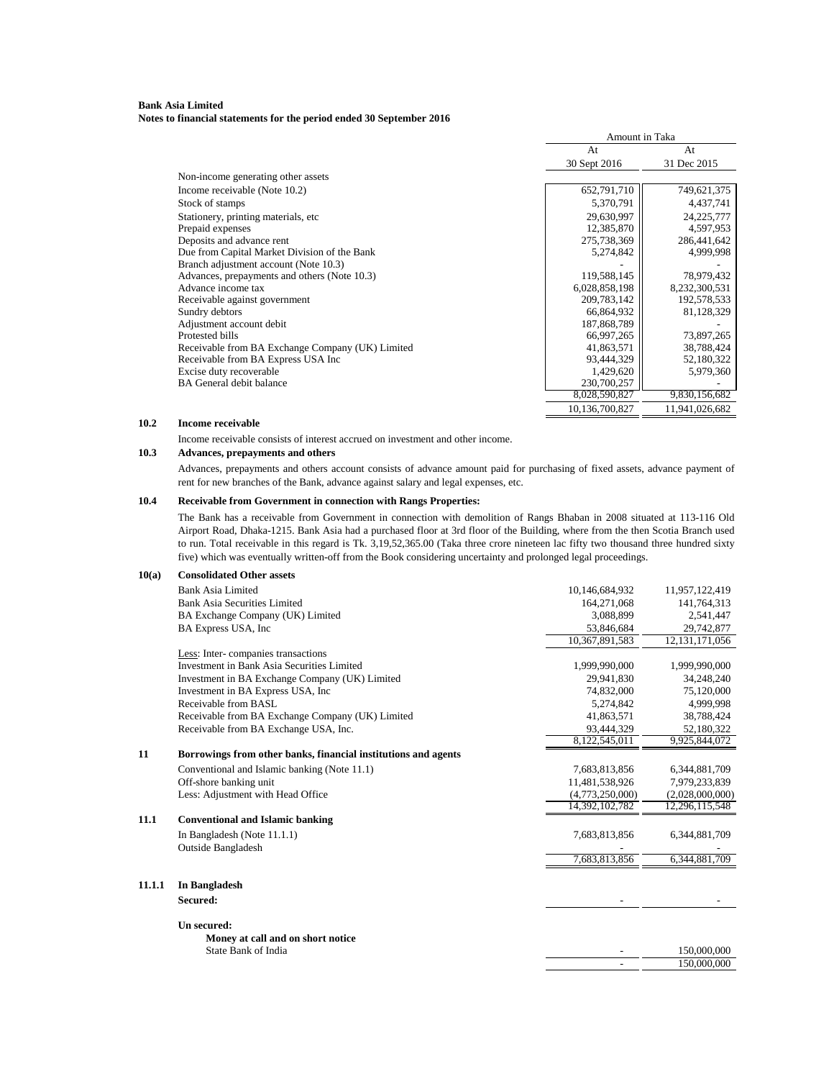**Notes to financial statements for the period ended 30 September 2016**

|                                                  |                | Amount in Taka |  |
|--------------------------------------------------|----------------|----------------|--|
|                                                  | At             | At             |  |
|                                                  | 30 Sept 2016   | 31 Dec 2015    |  |
| Non-income generating other assets               |                |                |  |
| Income receivable (Note 10.2)                    | 652,791,710    | 749,621,375    |  |
| Stock of stamps                                  | 5,370,791      | 4,437,741      |  |
| Stationery, printing materials, etc.             | 29,630,997     | 24, 225, 777   |  |
| Prepaid expenses                                 | 12,385,870     | 4,597,953      |  |
| Deposits and advance rent                        | 275,738,369    | 286,441,642    |  |
| Due from Capital Market Division of the Bank     | 5,274,842      | 4,999,998      |  |
| Branch adjustment account (Note 10.3)            |                |                |  |
| Advances, prepayments and others (Note 10.3)     | 119,588,145    | 78,979,432     |  |
| Advance income tax                               | 6,028,858,198  | 8,232,300,531  |  |
| Receivable against government                    | 209, 783, 142  | 192,578,533    |  |
| Sundry debtors                                   | 66,864,932     | 81,128,329     |  |
| Adjustment account debit                         | 187,868,789    |                |  |
| Protested bills                                  | 66,997,265     | 73,897,265     |  |
| Receivable from BA Exchange Company (UK) Limited | 41,863,571     | 38,788,424     |  |
| Receivable from BA Express USA Inc               | 93,444,329     | 52,180,322     |  |
| Excise duty recoverable                          | 1,429,620      | 5,979,360      |  |
| <b>BA</b> General debit balance                  | 230,700,257    |                |  |
|                                                  | 8,028,590,827  | 9,830,156,682  |  |
|                                                  | 10,136,700,827 | 11,941,026,682 |  |

#### **10.2 Income receivable**

Income receivable consists of interest accrued on investment and other income.

#### **10.3 Advances, prepayments and others**

Advances, prepayments and others account consists of advance amount paid for purchasing of fixed assets, advance payment of rent for new branches of the Bank, advance against salary and legal expenses, etc.

# **10.4 Receivable from Government in connection with Rangs Properties:**

The Bank has a receivable from Government in connection with demolition of Rangs Bhaban in 2008 situated at 113-116 Old Airport Road, Dhaka-1215. Bank Asia had a purchased floor at 3rd floor of the Building, where from the then Scotia Branch used to run. Total receivable in this regard is Tk. 3,19,52,365.00 (Taka three crore nineteen lac fifty two thousand three hundred sixty five) which was eventually written-off from the Book considering uncertainty and prolonged legal proceedings.

| 10(a)  | <b>Consolidated Other assets</b>                               |                 |                   |
|--------|----------------------------------------------------------------|-----------------|-------------------|
|        | <b>Bank Asia Limited</b>                                       | 10,146,684,932  | 11,957,122,419    |
|        | Bank Asia Securities Limited                                   | 164,271,068     | 141,764,313       |
|        | BA Exchange Company (UK) Limited                               | 3,088,899       | 2,541,447         |
|        | BA Express USA, Inc.                                           | 53,846,684      | 29,742,877        |
|        |                                                                | 10,367,891,583  | 12, 131, 171, 056 |
|        | Less: Inter-companies transactions                             |                 |                   |
|        | Investment in Bank Asia Securities Limited                     | 1,999,990,000   | 1,999,990,000     |
|        | Investment in BA Exchange Company (UK) Limited                 | 29,941,830      | 34,248,240        |
|        | Investment in BA Express USA, Inc.                             | 74,832,000      | 75,120,000        |
|        | Receivable from BASL                                           | 5.274.842       | 4.999.998         |
|        | Receivable from BA Exchange Company (UK) Limited               | 41,863,571      | 38,788,424        |
|        | Receivable from BA Exchange USA, Inc.                          | 93,444,329      | 52,180,322        |
|        |                                                                | 8,122,545,011   | 9,925,844,072     |
| 11     | Borrowings from other banks, financial institutions and agents |                 |                   |
|        | Conventional and Islamic banking (Note 11.1)                   | 7,683,813,856   | 6,344,881,709     |
|        | Off-shore banking unit                                         | 11,481,538,926  | 7,979,233,839     |
|        | Less: Adjustment with Head Office                              | (4,773,250,000) | (2,028,000,000)   |
|        |                                                                | 14,392,102,782  | 12,296,115,548    |
| 11.1   | <b>Conventional and Islamic banking</b>                        |                 |                   |
|        | In Bangladesh (Note 11.1.1)                                    | 7,683,813,856   | 6,344,881,709     |
|        | <b>Outside Bangladesh</b>                                      |                 |                   |
|        |                                                                | 7,683,813,856   | 6,344,881,709     |
| 11.1.1 | In Bangladesh                                                  |                 |                   |
|        | Secured:                                                       |                 |                   |
|        |                                                                |                 |                   |
|        | Un secured:                                                    |                 |                   |
|        | Money at call and on short notice                              |                 |                   |
|        | State Bank of India                                            |                 | 150,000,000       |
|        |                                                                |                 | 150,000,000       |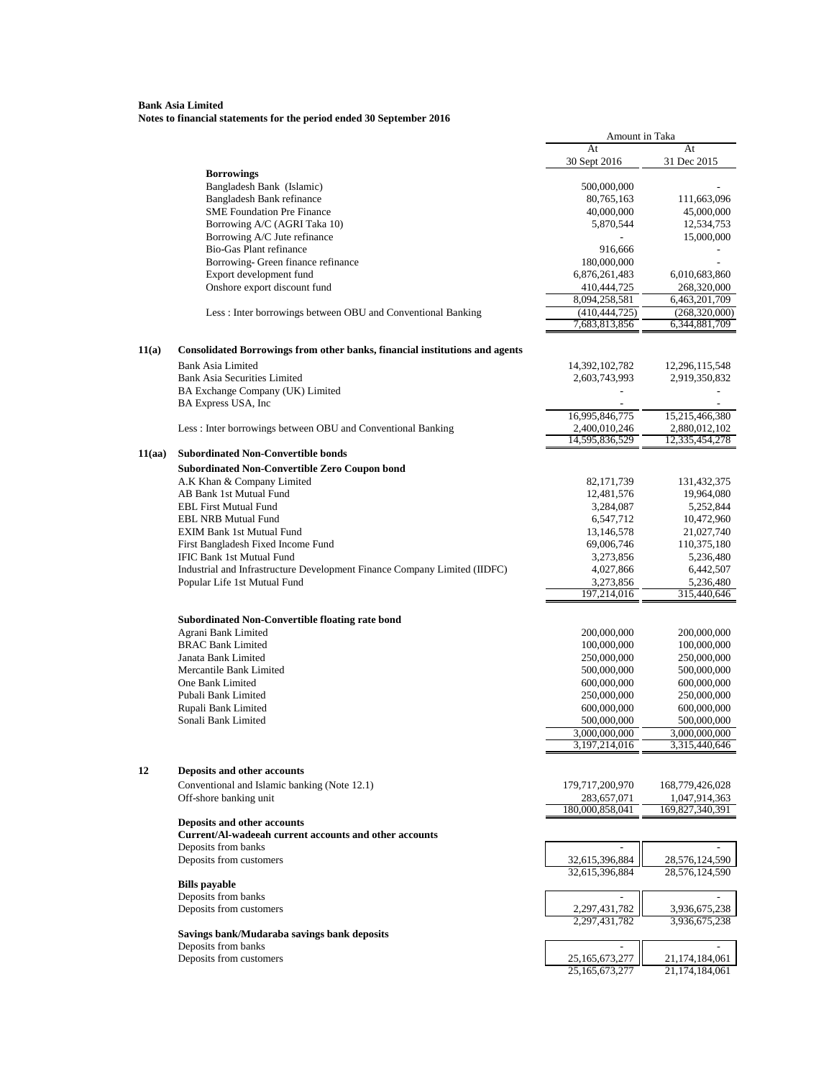|        |                                                                             | Amount in Taka                   |                                  |
|--------|-----------------------------------------------------------------------------|----------------------------------|----------------------------------|
|        |                                                                             | At                               | At                               |
|        | <b>Borrowings</b>                                                           | 30 Sept 2016                     | 31 Dec 2015                      |
|        | Bangladesh Bank (Islamic)                                                   | 500,000,000                      |                                  |
|        | Bangladesh Bank refinance                                                   | 80,765,163                       | 111,663,096                      |
|        | <b>SME Foundation Pre Finance</b>                                           | 40,000,000                       | 45,000,000                       |
|        | Borrowing A/C (AGRI Taka 10)                                                | 5,870,544                        | 12,534,753                       |
|        | Borrowing A/C Jute refinance                                                |                                  | 15,000,000                       |
|        | <b>Bio-Gas Plant refinance</b><br>Borrowing- Green finance refinance        | 916,666                          |                                  |
|        | Export development fund                                                     | 180,000,000<br>6,876,261,483     | 6,010,683,860                    |
|        | Onshore export discount fund                                                | 410,444,725                      | 268,320,000                      |
|        |                                                                             | 8,094,258,581                    | 6,463,201,709                    |
|        | Less : Inter borrowings between OBU and Conventional Banking                | (410, 444, 725)                  | (268,320,000)                    |
|        |                                                                             | 7,683,813,856                    | 6,344,881,709                    |
|        |                                                                             |                                  |                                  |
| 11(a)  | Consolidated Borrowings from other banks, financial institutions and agents |                                  |                                  |
|        | <b>Bank Asia Limited</b>                                                    | 14,392,102,782                   | 12,296,115,548                   |
|        | <b>Bank Asia Securities Limited</b>                                         | 2,603,743,993                    | 2,919,350,832                    |
|        | BA Exchange Company (UK) Limited<br>BA Express USA, Inc                     |                                  |                                  |
|        |                                                                             | 16,995,846,775                   | 15,215,466,380                   |
|        | Less: Inter borrowings between OBU and Conventional Banking                 | 2,400,010,246                    | 2,880,012,102                    |
|        |                                                                             | 14,595,836,529                   | 12,335,454,278                   |
| 11(aa) | <b>Subordinated Non-Convertible bonds</b>                                   |                                  |                                  |
|        | <b>Subordinated Non-Convertible Zero Coupon bond</b>                        |                                  |                                  |
|        | A.K Khan & Company Limited                                                  | 82, 171, 739                     | 131,432,375                      |
|        | AB Bank 1st Mutual Fund                                                     | 12,481,576                       | 19,964,080                       |
|        | <b>EBL First Mutual Fund</b>                                                | 3,284,087                        | 5,252,844                        |
|        | <b>EBL NRB Mutual Fund</b>                                                  | 6,547,712                        | 10,472,960                       |
|        | <b>EXIM Bank 1st Mutual Fund</b><br>First Bangladesh Fixed Income Fund      | 13,146,578<br>69,006,746         | 21,027,740<br>110,375,180        |
|        | <b>IFIC Bank 1st Mutual Fund</b>                                            | 3,273,856                        | 5,236,480                        |
|        | Industrial and Infrastructure Development Finance Company Limited (IIDFC)   | 4,027,866                        | 6,442,507                        |
|        | Popular Life 1st Mutual Fund                                                | 3,273,856                        | 5,236,480                        |
|        |                                                                             | 197,214,016                      | 315,440,646                      |
|        |                                                                             |                                  |                                  |
|        | <b>Subordinated Non-Convertible floating rate bond</b>                      |                                  |                                  |
|        | Agrani Bank Limited<br><b>BRAC Bank Limited</b>                             | 200,000,000<br>100,000,000       | 200,000,000<br>100,000,000       |
|        | Janata Bank Limited                                                         | 250,000,000                      | 250,000,000                      |
|        | Mercantile Bank Limited                                                     | 500,000,000                      | 500,000,000                      |
|        | One Bank Limited                                                            | 600,000,000                      | 600,000,000                      |
|        | Pubali Bank Limited                                                         | 250,000,000                      | 250,000,000                      |
|        | Rupali Bank Limited                                                         | 600,000,000                      | 600,000,000                      |
|        | Sonali Bank Limited                                                         | 500,000,000                      | 500,000,000                      |
|        |                                                                             | 3,000,000,000                    | 3,000,000,000                    |
|        |                                                                             | 3,197,214,016                    | 3,315,440,646                    |
| 12     | Deposits and other accounts                                                 |                                  |                                  |
|        | Conventional and Islamic banking (Note 12.1)                                | 179,717,200,970                  | 168,779,426,028                  |
|        | Off-shore banking unit                                                      | 283,657,071                      | 1,047,914,363                    |
|        |                                                                             | 180,000,858,041                  | 169,827,340,391                  |
|        | Deposits and other accounts                                                 |                                  |                                  |
|        | Current/Al-wadeeah current accounts and other accounts                      |                                  |                                  |
|        | Deposits from banks                                                         | $\overline{a}$                   |                                  |
|        | Deposits from customers                                                     | 32,615,396,884<br>32,615,396,884 | 28,576,124,590<br>28,576,124,590 |
|        | <b>Bills</b> payable                                                        |                                  |                                  |
|        | Deposits from banks                                                         | $\overline{\phantom{a}}$         |                                  |
|        | Deposits from customers                                                     | 2,297,431,782                    | 3,936,675,238                    |
|        |                                                                             | 2,297,431,782                    | 3,936,675,238                    |
|        | Savings bank/Mudaraba savings bank deposits                                 |                                  |                                  |
|        | Deposits from banks                                                         | $\overline{a}$                   |                                  |
|        | Deposits from customers                                                     | 25,165,673,277<br>25,165,673,277 | 21,174,184,061<br>21,174,184,061 |
|        |                                                                             |                                  |                                  |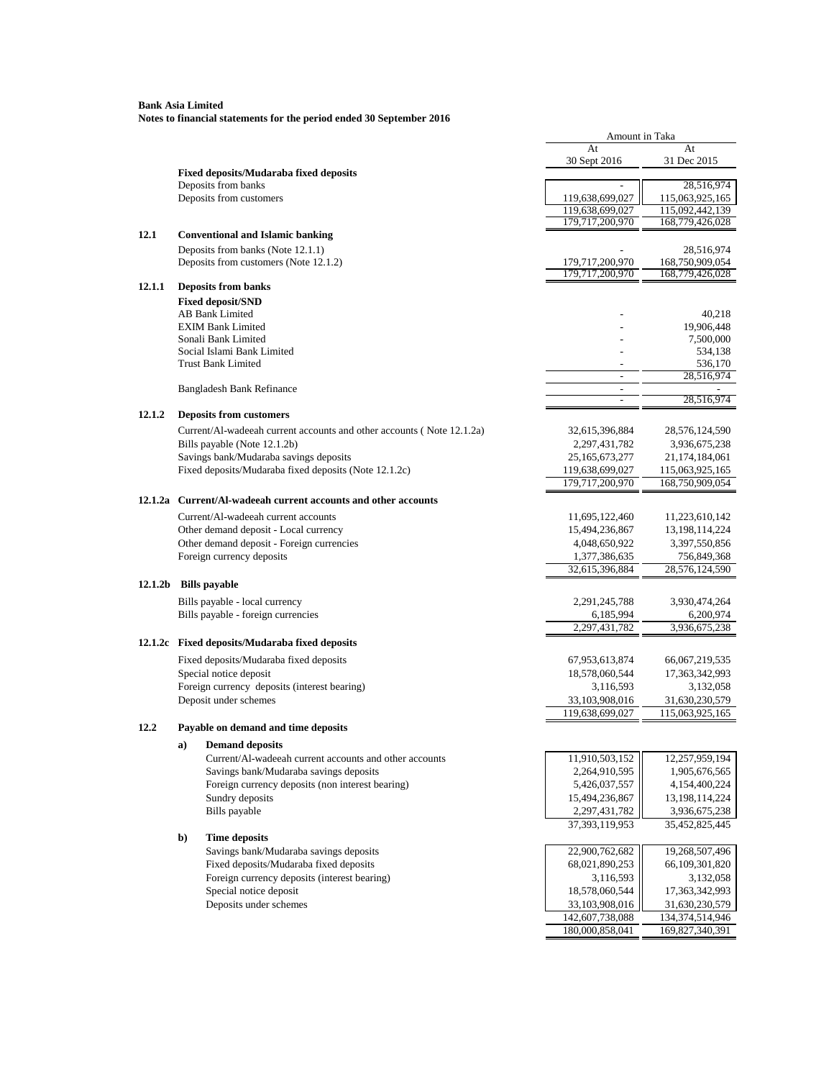**Bank Asia Limited Notes to financial statements for the period ended 30 September 2016**

|         |    |                                                                       | Amount in Taka                     |                                    |
|---------|----|-----------------------------------------------------------------------|------------------------------------|------------------------------------|
|         |    |                                                                       | At                                 | At                                 |
|         |    |                                                                       | 30 Sept 2016                       | 31 Dec 2015                        |
|         |    | <b>Fixed deposits/Mudaraba fixed deposits</b><br>Deposits from banks  | $\overline{a}$                     | 28,516,974                         |
|         |    | Deposits from customers                                               | 119,638,699,027                    | 115,063,925,165                    |
|         |    |                                                                       | 119,638,699,027                    | 115,092,442,139                    |
|         |    |                                                                       | 179,717,200,970                    | 168,779,426,028                    |
| 12.1    |    | <b>Conventional and Islamic banking</b>                               |                                    |                                    |
|         |    | Deposits from banks (Note 12.1.1)                                     |                                    | 28,516,974                         |
|         |    | Deposits from customers (Note 12.1.2)                                 | 179,717,200,970                    | 168,750,909,054                    |
|         |    |                                                                       | 179,717,200,970                    | 168,779,426,028                    |
| 12.1.1  |    | <b>Deposits from banks</b>                                            |                                    |                                    |
|         |    | <b>Fixed deposit/SND</b><br>AB Bank Limited                           |                                    | 40,218                             |
|         |    | <b>EXIM Bank Limited</b>                                              |                                    | 19,906,448                         |
|         |    | Sonali Bank Limited                                                   |                                    | 7,500,000                          |
|         |    | Social Islami Bank Limited                                            |                                    | 534,138                            |
|         |    | <b>Trust Bank Limited</b>                                             |                                    | 536,170                            |
|         |    |                                                                       | $\overline{a}$                     | 28,516,974                         |
|         |    | Bangladesh Bank Refinance                                             | $\overline{a}$                     |                                    |
|         |    |                                                                       | $\sim$                             | 28,516,974                         |
| 12.1.2  |    | <b>Deposits from customers</b>                                        |                                    |                                    |
|         |    | Current/Al-wadeeah current accounts and other accounts (Note 12.1.2a) | 32,615,396,884                     | 28,576,124,590                     |
|         |    | Bills payable (Note 12.1.2b)                                          | 2, 297, 431, 782                   | 3,936,675,238                      |
|         |    | Savings bank/Mudaraba savings deposits                                | 25, 165, 673, 277                  | 21, 174, 184, 061                  |
|         |    | Fixed deposits/Mudaraba fixed deposits (Note 12.1.2c)                 | 119,638,699,027<br>179,717,200,970 | 115,063,925,165                    |
|         |    |                                                                       |                                    | 168,750,909,054                    |
| 12.1.2a |    | Current/Al-wadeeah current accounts and other accounts                |                                    |                                    |
|         |    | Current/Al-wadeeah current accounts                                   | 11,695,122,460                     | 11,223,610,142                     |
|         |    | Other demand deposit - Local currency                                 | 15,494,236,867                     | 13, 198, 114, 224                  |
|         |    | Other demand deposit - Foreign currencies                             | 4,048,650,922                      | 3,397,550,856                      |
|         |    | Foreign currency deposits                                             | 1,377,386,635                      | 756,849,368                        |
|         |    |                                                                       | 32,615,396,884                     | 28,576,124,590                     |
| 12.1.2b |    | <b>Bills</b> payable                                                  |                                    |                                    |
|         |    | Bills payable - local currency                                        | 2, 291, 245, 788                   | 3,930,474,264                      |
|         |    | Bills payable - foreign currencies                                    | 6,185,994                          | 6,200,974                          |
|         |    |                                                                       | 2,297,431,782                      | 3,936,675,238                      |
|         |    | 12.1.2c Fixed deposits/Mudaraba fixed deposits                        |                                    |                                    |
|         |    | Fixed deposits/Mudaraba fixed deposits                                | 67,953,613,874                     | 66,067,219,535                     |
|         |    | Special notice deposit                                                | 18,578,060,544                     | 17, 363, 342, 993                  |
|         |    | Foreign currency deposits (interest bearing)                          | 3,116,593                          | 3,132,058                          |
|         |    | Deposit under schemes                                                 | 33,103,908,016                     | 31,630,230,579<br>115,063,925,165  |
|         |    |                                                                       | 119,638,699,027                    |                                    |
| 12.2    |    | Payable on demand and time deposits                                   |                                    |                                    |
|         | a) | <b>Demand deposits</b>                                                |                                    |                                    |
|         |    | Current/Al-wadeeah current accounts and other accounts                | 11,910,503,152                     | 12,257,959,194                     |
|         |    | Savings bank/Mudaraba savings deposits                                | 2,264,910,595                      | 1,905,676,565                      |
|         |    | Foreign currency deposits (non interest bearing)<br>Sundry deposits   | 5,426,037,557<br>15,494,236,867    | 4,154,400,224                      |
|         |    | Bills payable                                                         | 2,297,431,782                      | 13, 198, 114, 224<br>3,936,675,238 |
|         |    |                                                                       | 37, 393, 119, 953                  | 35,452,825,445                     |
|         | b) | <b>Time deposits</b>                                                  |                                    |                                    |
|         |    | Savings bank/Mudaraba savings deposits                                | 22,900,762,682                     | 19,268,507,496                     |
|         |    | Fixed deposits/Mudaraba fixed deposits                                | 68,021,890,253                     | 66,109,301,820                     |
|         |    | Foreign currency deposits (interest bearing)                          | 3,116,593                          | 3,132,058                          |
|         |    | Special notice deposit                                                | 18,578,060,544                     | 17,363,342,993                     |
|         |    | Deposits under schemes                                                | 33,103,908,016                     | 31,630,230,579                     |
|         |    |                                                                       | 142,607,738,088                    | 134,374,514,946                    |
|         |    |                                                                       | 180,000,858,041                    | 169,827,340,391                    |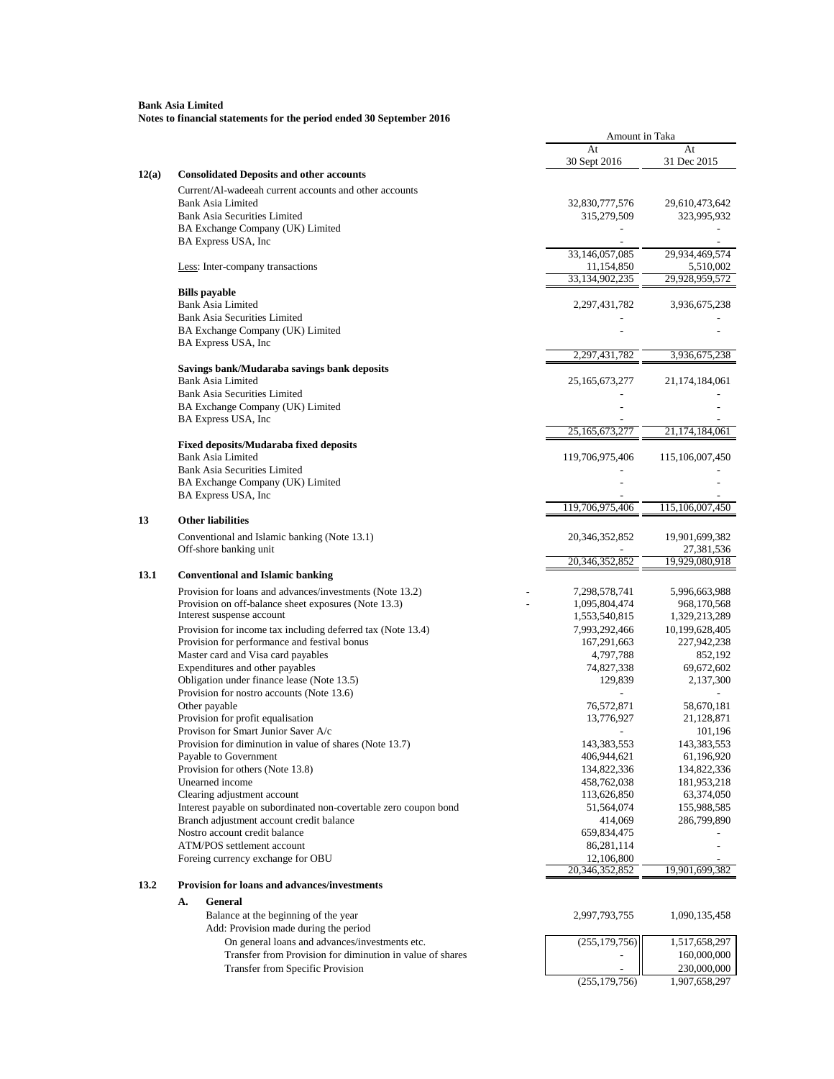|       |                                                                                                             | Amount in Taka                 |                                 |
|-------|-------------------------------------------------------------------------------------------------------------|--------------------------------|---------------------------------|
|       |                                                                                                             | At                             | At                              |
|       |                                                                                                             | 30 Sept 2016                   | 31 Dec 2015                     |
| 12(a) | <b>Consolidated Deposits and other accounts</b>                                                             |                                |                                 |
|       | Current/Al-wadeeah current accounts and other accounts                                                      |                                |                                 |
|       | <b>Bank Asia Limited</b><br><b>Bank Asia Securities Limited</b>                                             | 32,830,777,576                 | 29,610,473,642                  |
|       | BA Exchange Company (UK) Limited                                                                            | 315,279,509                    | 323,995,932                     |
|       | BA Express USA, Inc                                                                                         |                                |                                 |
|       |                                                                                                             | 33,146,057,085                 | 29,934,469,574                  |
|       | Less: Inter-company transactions                                                                            | 11,154,850                     | 5,510,002                       |
|       |                                                                                                             | 33,134,902,235                 | 29.928.959.572                  |
|       | <b>Bills</b> payable                                                                                        |                                |                                 |
|       | <b>Bank Asia Limited</b>                                                                                    | 2, 297, 431, 782               | 3,936,675,238                   |
|       | <b>Bank Asia Securities Limited</b><br>BA Exchange Company (UK) Limited                                     |                                |                                 |
|       | BA Express USA, Inc                                                                                         |                                |                                 |
|       |                                                                                                             | 2,297,431,782                  | 3,936,675,238                   |
|       | Savings bank/Mudaraba savings bank deposits                                                                 |                                |                                 |
|       | <b>Bank Asia Limited</b>                                                                                    | 25,165,673,277                 | 21, 174, 184, 061               |
|       | Bank Asia Securities Limited                                                                                |                                |                                 |
|       | BA Exchange Company (UK) Limited                                                                            |                                |                                 |
|       | BA Express USA, Inc.                                                                                        |                                |                                 |
|       |                                                                                                             | 25, 165, 673, 277              | 21,174,184,061                  |
|       | <b>Fixed deposits/Mudaraba fixed deposits</b><br>Bank Asia Limited                                          | 119,706,975,406                | 115,106,007,450                 |
|       | <b>Bank Asia Securities Limited</b>                                                                         |                                |                                 |
|       | BA Exchange Company (UK) Limited                                                                            |                                |                                 |
|       | BA Express USA, Inc                                                                                         |                                |                                 |
|       |                                                                                                             | 119,706,975,406                | 115,106,007,450                 |
| 13    | <b>Other liabilities</b>                                                                                    |                                |                                 |
|       | Conventional and Islamic banking (Note 13.1)                                                                | 20,346,352,852                 | 19,901,699,382                  |
|       | Off-shore banking unit                                                                                      |                                | 27,381,536                      |
|       |                                                                                                             | 20,346,352,852                 | 19,929,080,918                  |
| 13.1  | <b>Conventional and Islamic banking</b>                                                                     |                                |                                 |
|       | Provision for loans and advances/investments (Note 13.2)                                                    | 7,298,578,741                  | 5,996,663,988                   |
|       | Provision on off-balance sheet exposures (Note 13.3)<br>Interest suspense account                           | 1,095,804,474                  | 968,170,568                     |
|       | Provision for income tax including deferred tax (Note 13.4)                                                 | 1,553,540,815<br>7,993,292,466 | 1,329,213,289<br>10,199,628,405 |
|       | Provision for performance and festival bonus                                                                | 167,291,663                    | 227,942,238                     |
|       | Master card and Visa card payables                                                                          | 4,797,788                      | 852,192                         |
|       | Expenditures and other payables                                                                             | 74,827,338                     | 69,672,602                      |
|       | Obligation under finance lease (Note 13.5)                                                                  | 129,839                        | 2,137,300                       |
|       | Provision for nostro accounts (Note 13.6)                                                                   |                                |                                 |
|       | Other payable                                                                                               | 76,572,871                     | 58,670,181                      |
|       | Provision for profit equalisation                                                                           | 13,776,927                     | 21,128,871                      |
|       | Provison for Smart Junior Saver A/c                                                                         |                                | 101,196                         |
|       | Provision for diminution in value of shares (Note 13.7)                                                     | 143,383,553                    | 143,383,553                     |
|       | Payable to Government<br>Provision for others (Note 13.8)                                                   | 406,944,621<br>134,822,336     | 61,196,920<br>134,822,336       |
|       | Unearned income                                                                                             | 458,762,038                    | 181,953,218                     |
|       | Clearing adjustment account                                                                                 | 113,626,850                    | 63,374,050                      |
|       | Interest payable on subordinated non-covertable zero coupon bond                                            | 51,564,074                     | 155,988,585                     |
|       | Branch adjustment account credit balance                                                                    | 414,069                        | 286,799,890                     |
|       | Nostro account credit balance                                                                               | 659,834,475                    |                                 |
|       | ATM/POS settlement account                                                                                  | 86,281,114                     |                                 |
|       | Foreing currency exchange for OBU                                                                           | 12,106,800                     |                                 |
|       |                                                                                                             | 20,346,352,852                 | 19,901,699,382                  |
| 13.2  | Provision for loans and advances/investments                                                                |                                |                                 |
|       | А.<br>General                                                                                               |                                |                                 |
|       | Balance at the beginning of the year                                                                        | 2,997,793,755                  | 1,090,135,458                   |
|       | Add: Provision made during the period                                                                       |                                |                                 |
|       | On general loans and advances/investments etc.<br>Transfer from Provision for diminution in value of shares | (255, 179, 756)                | 1,517,658,297                   |
|       | Transfer from Specific Provision                                                                            |                                | 160,000,000<br>230,000,000      |
|       |                                                                                                             | (255, 179, 756)                | 1,907,658,297                   |
|       |                                                                                                             |                                |                                 |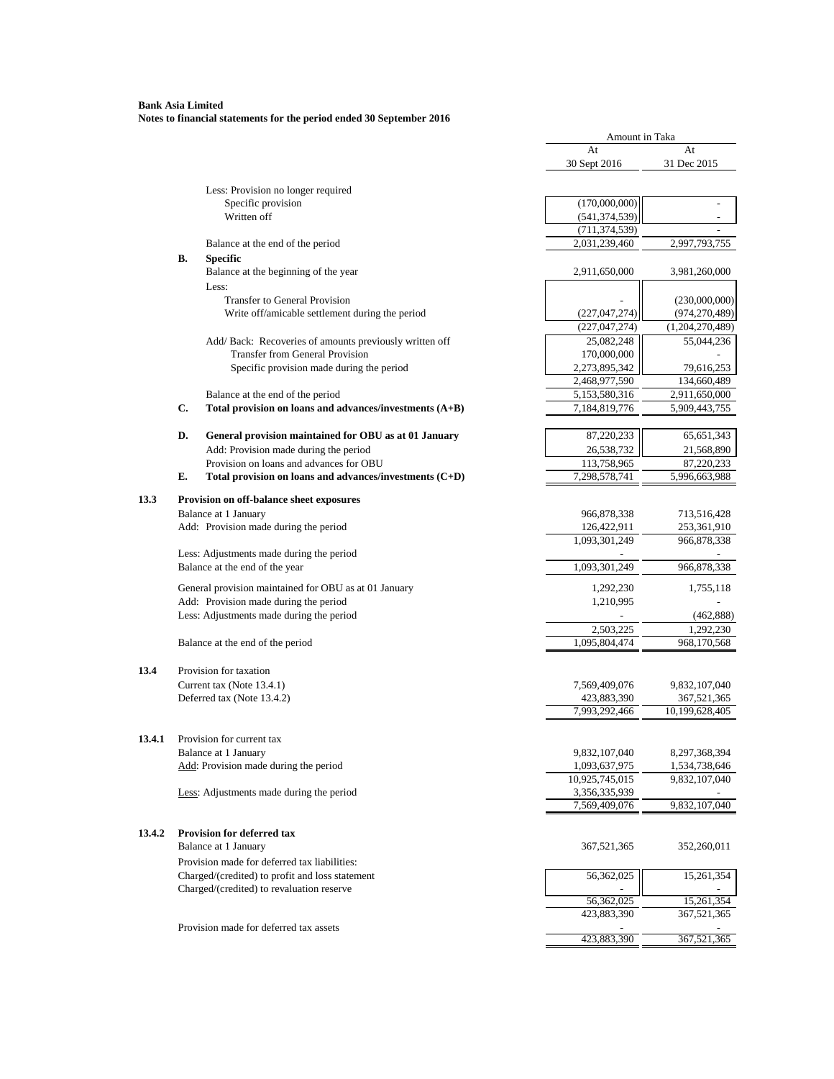|        |    |                                                                                               | Amount in Taka                 |                              |
|--------|----|-----------------------------------------------------------------------------------------------|--------------------------------|------------------------------|
|        |    |                                                                                               | At                             | At                           |
|        |    |                                                                                               | 30 Sept 2016                   | 31 Dec 2015                  |
|        |    | Less: Provision no longer required                                                            |                                |                              |
|        |    | Specific provision                                                                            | (170,000,000)                  | $\overline{a}$               |
|        |    | Written off                                                                                   | (541, 374, 539)                |                              |
|        |    |                                                                                               | (711, 374, 539)                |                              |
|        |    | Balance at the end of the period                                                              | 2,031,239,460                  | 2,997,793,755                |
|        | В. | <b>Specific</b>                                                                               |                                |                              |
|        |    | Balance at the beginning of the year                                                          | 2,911,650,000                  | 3,981,260,000                |
|        |    | Less:                                                                                         |                                |                              |
|        |    | <b>Transfer to General Provision</b>                                                          |                                | (230,000,000)                |
|        |    | Write off/amicable settlement during the period                                               | (227, 047, 274)                | (974, 270, 489)              |
|        |    |                                                                                               | (227, 047, 274)                | (1,204,270,489)              |
|        |    | Add/ Back: Recoveries of amounts previously written off                                       | 25,082,248                     | 55,044,236                   |
|        |    | <b>Transfer from General Provision</b>                                                        | 170,000,000                    |                              |
|        |    | Specific provision made during the period                                                     | 2,273,895,342                  | 79,616,253                   |
|        |    |                                                                                               | 2,468,977,590<br>5,153,580,316 | 134,660,489<br>2,911,650,000 |
|        | C. | Balance at the end of the period<br>Total provision on loans and advances/investments $(A+B)$ | 7,184,819,776                  | 5,909,443,755                |
|        |    |                                                                                               |                                |                              |
|        | D. | General provision maintained for OBU as at 01 January                                         | 87,220,233                     | 65, 651, 343                 |
|        |    | Add: Provision made during the period                                                         | 26,538,732                     | 21,568,890                   |
|        |    | Provision on loans and advances for OBU                                                       | 113,758,965                    | 87,220,233                   |
|        | E. | Total provision on loans and advances/investments (C+D)                                       | 7,298,578,741                  | 5,996,663,988                |
|        |    |                                                                                               |                                |                              |
| 13.3   |    | Provision on off-balance sheet exposures                                                      |                                |                              |
|        |    | Balance at 1 January<br>Add: Provision made during the period                                 | 966,878,338<br>126,422,911     | 713,516,428                  |
|        |    |                                                                                               | 1,093,301,249                  | 253,361,910<br>966,878,338   |
|        |    | Less: Adjustments made during the period                                                      |                                |                              |
|        |    | Balance at the end of the year                                                                | 1,093,301,249                  | 966,878,338                  |
|        |    |                                                                                               |                                |                              |
|        |    | General provision maintained for OBU as at 01 January                                         | 1,292,230                      | 1,755,118                    |
|        |    | Add: Provision made during the period                                                         | 1,210,995                      |                              |
|        |    | Less: Adjustments made during the period                                                      |                                | (462, 888)                   |
|        |    | Balance at the end of the period                                                              | 2,503,225<br>1,095,804,474     | 1,292,230<br>968,170,568     |
|        |    |                                                                                               |                                |                              |
| 13.4   |    | Provision for taxation                                                                        |                                |                              |
|        |    | Current tax (Note 13.4.1)                                                                     | 7,569,409,076                  | 9,832,107,040                |
|        |    | Deferred tax (Note 13.4.2)                                                                    | 423,883,390                    | 367,521,365                  |
|        |    |                                                                                               | 7,993,292,466                  | 10,199,628,405               |
|        |    |                                                                                               |                                |                              |
| 13.4.1 |    | Provision for current tax                                                                     |                                |                              |
|        |    | Balance at 1 January                                                                          | 9,832,107,040                  | 8,297,368,394                |
|        |    | Add: Provision made during the period                                                         | 1,093,637,975                  | 1,534,738,646                |
|        |    |                                                                                               | 10,925,745,015                 | 9,832,107,040                |
|        |    | Less: Adjustments made during the period                                                      | 3,356,335,939                  |                              |
|        |    |                                                                                               | 7,569,409,076                  | 9,832,107,040                |
| 13.4.2 |    | Provision for deferred tax                                                                    |                                |                              |
|        |    | Balance at 1 January                                                                          | 367,521,365                    | 352,260,011                  |
|        |    | Provision made for deferred tax liabilities:                                                  |                                |                              |
|        |    | Charged/(credited) to profit and loss statement                                               |                                |                              |
|        |    | Charged/(credited) to revaluation reserve                                                     | 56,362,025                     | 15,261,354                   |
|        |    |                                                                                               | 56,362,025                     | 15,261,354                   |
|        |    |                                                                                               | 423,883,390                    | 367,521,365                  |
|        |    | Provision made for deferred tax assets                                                        |                                |                              |
|        |    |                                                                                               | 423,883,390                    | 367,521,365                  |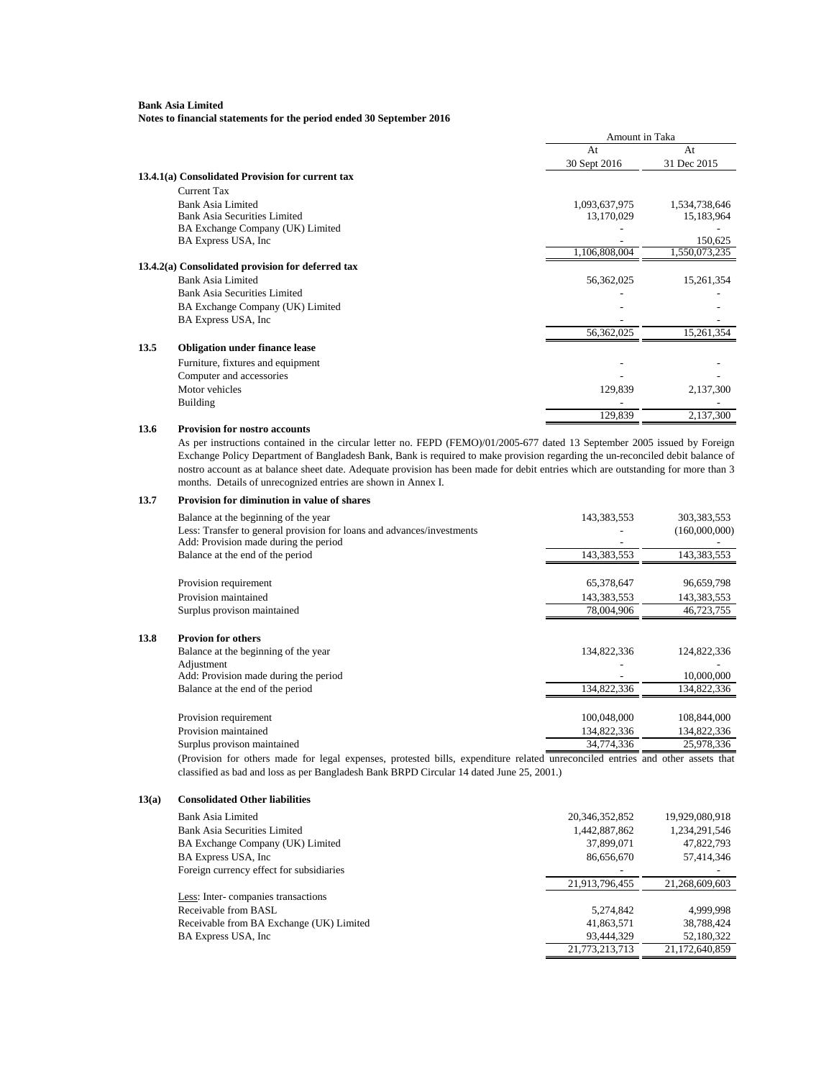**Notes to financial statements for the period ended 30 September 2016**

| At<br>At<br>31 Dec 2015<br>30 Sept 2016<br>13.4.1(a) Consolidated Provision for current tax<br>Current Tax<br>Bank Asia Limited<br>1,093,637,975<br>1,534,738,646<br><b>Bank Asia Securities Limited</b><br>15,183,964<br>13,170,029<br>BA Exchange Company (UK) Limited<br>BA Express USA, Inc.<br>150,625<br>1,106,808,004<br>1,550,073,235<br>13.4.2(a) Consolidated provision for deferred tax<br><b>Bank Asia Limited</b><br>56,362,025<br>15,261,354<br><b>Bank Asia Securities Limited</b><br>BA Exchange Company (UK) Limited<br>BA Express USA, Inc.<br>56,362,025<br>15,261,354<br><b>Obligation under finance lease</b><br>Furniture, fixtures and equipment<br>Computer and accessories<br>Motor vehicles<br>129,839<br>2,137,300 |      |                 | Amount in Taka |  |
|-----------------------------------------------------------------------------------------------------------------------------------------------------------------------------------------------------------------------------------------------------------------------------------------------------------------------------------------------------------------------------------------------------------------------------------------------------------------------------------------------------------------------------------------------------------------------------------------------------------------------------------------------------------------------------------------------------------------------------------------------|------|-----------------|----------------|--|
|                                                                                                                                                                                                                                                                                                                                                                                                                                                                                                                                                                                                                                                                                                                                               |      |                 |                |  |
|                                                                                                                                                                                                                                                                                                                                                                                                                                                                                                                                                                                                                                                                                                                                               |      |                 |                |  |
|                                                                                                                                                                                                                                                                                                                                                                                                                                                                                                                                                                                                                                                                                                                                               |      |                 |                |  |
|                                                                                                                                                                                                                                                                                                                                                                                                                                                                                                                                                                                                                                                                                                                                               |      |                 |                |  |
|                                                                                                                                                                                                                                                                                                                                                                                                                                                                                                                                                                                                                                                                                                                                               |      |                 |                |  |
|                                                                                                                                                                                                                                                                                                                                                                                                                                                                                                                                                                                                                                                                                                                                               |      |                 |                |  |
|                                                                                                                                                                                                                                                                                                                                                                                                                                                                                                                                                                                                                                                                                                                                               |      |                 |                |  |
|                                                                                                                                                                                                                                                                                                                                                                                                                                                                                                                                                                                                                                                                                                                                               |      |                 |                |  |
|                                                                                                                                                                                                                                                                                                                                                                                                                                                                                                                                                                                                                                                                                                                                               |      |                 |                |  |
|                                                                                                                                                                                                                                                                                                                                                                                                                                                                                                                                                                                                                                                                                                                                               |      |                 |                |  |
|                                                                                                                                                                                                                                                                                                                                                                                                                                                                                                                                                                                                                                                                                                                                               |      |                 |                |  |
|                                                                                                                                                                                                                                                                                                                                                                                                                                                                                                                                                                                                                                                                                                                                               |      |                 |                |  |
|                                                                                                                                                                                                                                                                                                                                                                                                                                                                                                                                                                                                                                                                                                                                               |      |                 |                |  |
|                                                                                                                                                                                                                                                                                                                                                                                                                                                                                                                                                                                                                                                                                                                                               |      |                 |                |  |
|                                                                                                                                                                                                                                                                                                                                                                                                                                                                                                                                                                                                                                                                                                                                               |      |                 |                |  |
|                                                                                                                                                                                                                                                                                                                                                                                                                                                                                                                                                                                                                                                                                                                                               | 13.5 |                 |                |  |
|                                                                                                                                                                                                                                                                                                                                                                                                                                                                                                                                                                                                                                                                                                                                               |      |                 |                |  |
|                                                                                                                                                                                                                                                                                                                                                                                                                                                                                                                                                                                                                                                                                                                                               |      |                 |                |  |
|                                                                                                                                                                                                                                                                                                                                                                                                                                                                                                                                                                                                                                                                                                                                               |      |                 |                |  |
|                                                                                                                                                                                                                                                                                                                                                                                                                                                                                                                                                                                                                                                                                                                                               |      | <b>Building</b> |                |  |
| 129,839<br>2,137,300                                                                                                                                                                                                                                                                                                                                                                                                                                                                                                                                                                                                                                                                                                                          |      |                 |                |  |

### **13.6 Provision for nostro accounts**

As per instructions contained in the circular letter no. FEPD (FEMO)/01/2005-677 dated 13 September 2005 issued by Foreign Exchange Policy Department of Bangladesh Bank, Bank is required to make provision regarding the un-reconciled debit balance of nostro account as at balance sheet date. Adequate provision has been made for debit entries which are outstanding for more than 3 months. Details of unrecognized entries are shown in Annex I.

#### **13.7 Provision for diminution in value of shares**

| Balance at the beginning of the year                                                                            | 143,383,553 | 303,383,553   |
|-----------------------------------------------------------------------------------------------------------------|-------------|---------------|
| Less: Transfer to general provision for loans and advances/investments<br>Add: Provision made during the period |             | (160,000,000) |
| Balance at the end of the period                                                                                | 143,383,553 | 143,383,553   |
|                                                                                                                 |             |               |
| Provision requirement                                                                                           | 65,378,647  | 96,659,798    |
| Provision maintained                                                                                            | 143,383,553 | 143,383,553   |
| Surplus provison maintained                                                                                     | 78,004,906  | 46,723,755    |
| <b>Provion for others</b>                                                                                       |             |               |
| Balance at the beginning of the year                                                                            | 134,822,336 | 124,822,336   |
| Adjustment                                                                                                      |             |               |
| Add: Provision made during the period                                                                           |             | 10,000,000    |
| Balance at the end of the period                                                                                | 134,822,336 | 134,822,336   |
|                                                                                                                 |             |               |
| Provision requirement                                                                                           | 100,048,000 | 108,844,000   |
| Provision maintained                                                                                            | 134,822,336 | 134,822,336   |
| Surplus provison maintained                                                                                     | 34,774,336  | 25,978,336    |

(Provision for others made for legal expenses, protested bills, expenditure related unreconciled entries and other assets that classified as bad and loss as per Bangladesh Bank BRPD Circular 14 dated June 25, 2001.)

#### **13(a) Consolidated Other liabilities**

**13.8** 

| Bank Asia Limited                        | 20, 346, 352, 852 | 19,929,080,918 |
|------------------------------------------|-------------------|----------------|
| <b>Bank Asia Securities Limited</b>      | 1,442,887,862     | 1,234,291,546  |
| BA Exchange Company (UK) Limited         | 37,899,071        | 47,822,793     |
| BA Express USA, Inc.                     | 86,656,670        | 57,414,346     |
| Foreign currency effect for subsidiaries |                   |                |
|                                          | 21,913,796,455    | 21.268.609.603 |
| Less: Inter-companies transactions       |                   |                |
| Receivable from BASL                     | 5,274,842         | 4.999.998      |
| Receivable from BA Exchange (UK) Limited | 41,863,571        | 38,788,424     |
| BA Express USA, Inc.                     | 93,444,329        | 52,180,322     |
|                                          | 21,773,213,713    | 21.172.640.859 |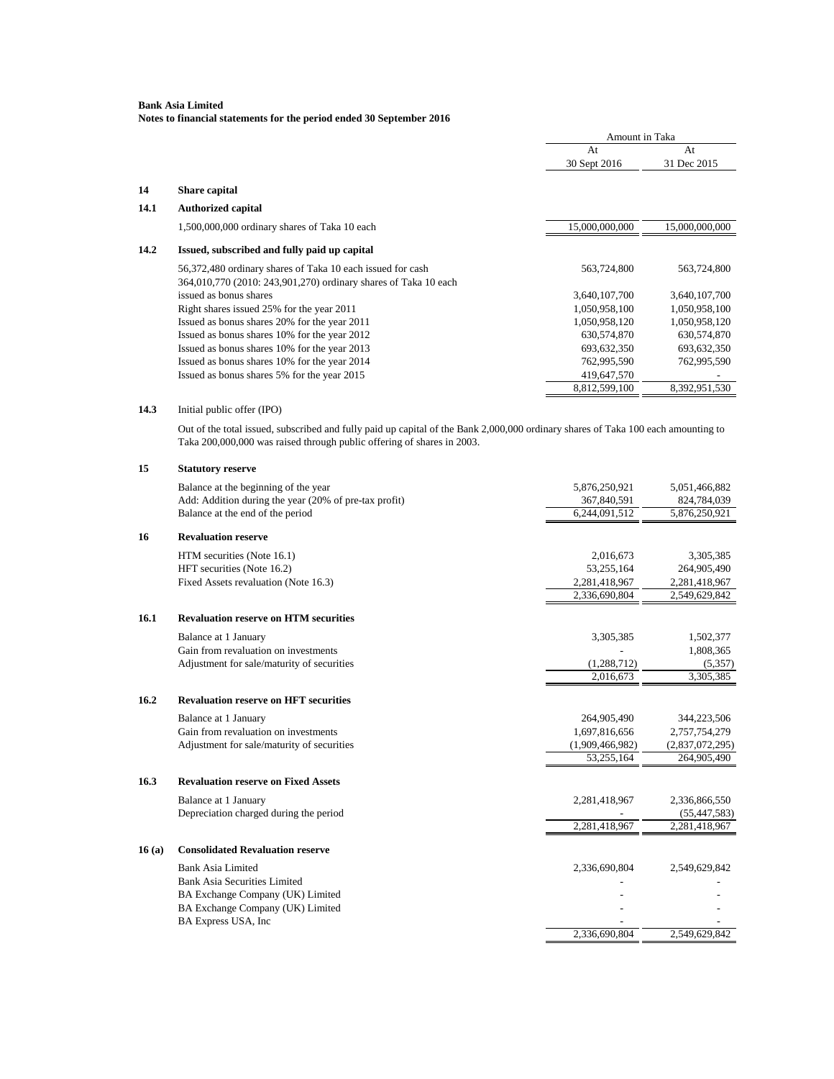**Notes to financial statements for the period ended 30 September 2016**

|      |                                                                                                                                                                                                             | Amount in Taka |                |
|------|-------------------------------------------------------------------------------------------------------------------------------------------------------------------------------------------------------------|----------------|----------------|
|      |                                                                                                                                                                                                             | At             | At             |
|      |                                                                                                                                                                                                             | 30 Sept 2016   | 31 Dec 2015    |
| 14   | Share capital                                                                                                                                                                                               |                |                |
| 14.1 | <b>Authorized capital</b>                                                                                                                                                                                   |                |                |
|      | 1,500,000,000 ordinary shares of Taka 10 each                                                                                                                                                               | 15,000,000,000 | 15,000,000,000 |
| 14.2 | Issued, subscribed and fully paid up capital                                                                                                                                                                |                |                |
|      | 56,372,480 ordinary shares of Taka 10 each issued for cash                                                                                                                                                  | 563,724,800    | 563,724,800    |
|      | 364,010,770 (2010: 243,901,270) ordinary shares of Taka 10 each                                                                                                                                             |                |                |
|      | issued as bonus shares                                                                                                                                                                                      | 3,640,107,700  | 3,640,107,700  |
|      | Right shares issued 25% for the year 2011                                                                                                                                                                   | 1,050,958,100  | 1,050,958,100  |
|      | Issued as bonus shares 20% for the year 2011                                                                                                                                                                | 1,050,958,120  | 1,050,958,120  |
|      | Issued as bonus shares 10% for the year 2012                                                                                                                                                                | 630,574,870    | 630,574,870    |
|      | Issued as bonus shares 10% for the year 2013                                                                                                                                                                | 693,632,350    | 693,632,350    |
|      | Issued as bonus shares 10% for the year 2014                                                                                                                                                                | 762,995,590    | 762,995,590    |
|      | Issued as bonus shares 5% for the year 2015                                                                                                                                                                 | 419,647,570    |                |
|      |                                                                                                                                                                                                             | 8,812,599,100  | 8,392,951,530  |
| 14.3 | Initial public offer (IPO)                                                                                                                                                                                  |                |                |
|      | Out of the total issued, subscribed and fully paid up capital of the Bank 2,000,000 ordinary shares of Taka 100 each amounting to<br>Taka 200,000,000 was raised through public offering of shares in 2003. |                |                |
| 15   | <b>Statutory reserve</b>                                                                                                                                                                                    |                |                |
|      | Balance at the beginning of the year                                                                                                                                                                        | 5,876,250,921  | 5,051,466,882  |
|      | Add: Addition during the year (20% of pre-tax profit)                                                                                                                                                       | 367,840,591    | 824,784,039    |

|    | Balance at the end of the period     | 6,244,091,512 | 5,876,250,921 |
|----|--------------------------------------|---------------|---------------|
| 16 | <b>Revaluation reserve</b>           |               |               |
|    | HTM securities (Note 16.1)           | 2.016.673     | 3,305,385     |
|    | HFT securities (Note 16.2)           | 53.255.164    | 264,905,490   |
|    | Fixed Assets revaluation (Note 16.3) | 2,281,418,967 | 2,281,418,967 |
|    |                                      | 2,336,690,804 | 2,549,629,842 |

#### **16.1 Revaluation reserve on HTM securities**

| Balance at 1 January                       | 3.305.385   | 1,502,377 |
|--------------------------------------------|-------------|-----------|
| Gain from revaluation on investments       |             | 1.808.365 |
| Adjustment for sale/maturity of securities | (1.288.712) | (5,357)   |
|                                            | 2.016.673   | 3.305.385 |

#### **16.2 Revaluation reserve on HFT securities**

Balance at 1 January 264,905,490 344,223,506 Gain from revaluation on investments 1,697,816,656 2,757,754,279<br>Adjustment for sale/maturity of securities (1,909,466,982) (2,837,072,295) Adjustment for sale/maturity of securities (1,909,466,982) (2,909,466,982) 264,905,490

2,281,418,967 2,281,418,967

### **16.3 Revaluation reserve on Fixed Assets**

Balance at 1 January 2,281,418,967 2,336,866,550 Depreciation charged during the period <br>
2,281,418,967 <br>
2,281,418,967 <br>
2,281,418,967 <br>
2,281,418,967 <br>
2,281,418,967 <br>
2,281,418,967 <br>
2,281,418,967 <br>
2,281,418,967 <br>
2,281,418,967 <br>
2,281,418,967 <br>
2,281,418,967 <br>
2,281

#### **16 (a) Consolidated Revaluation reserve**

Bank Asia Limited 2,336,690,804 2,549,629,842 Bank Asia Securities Limited BA Exchange Company (UK) Limited  $\overline{\phantom{a}}$  -BA Exchange Company (UK) Limited - - BA Express USA, Inc. 2,336,690,804 2,549,629,842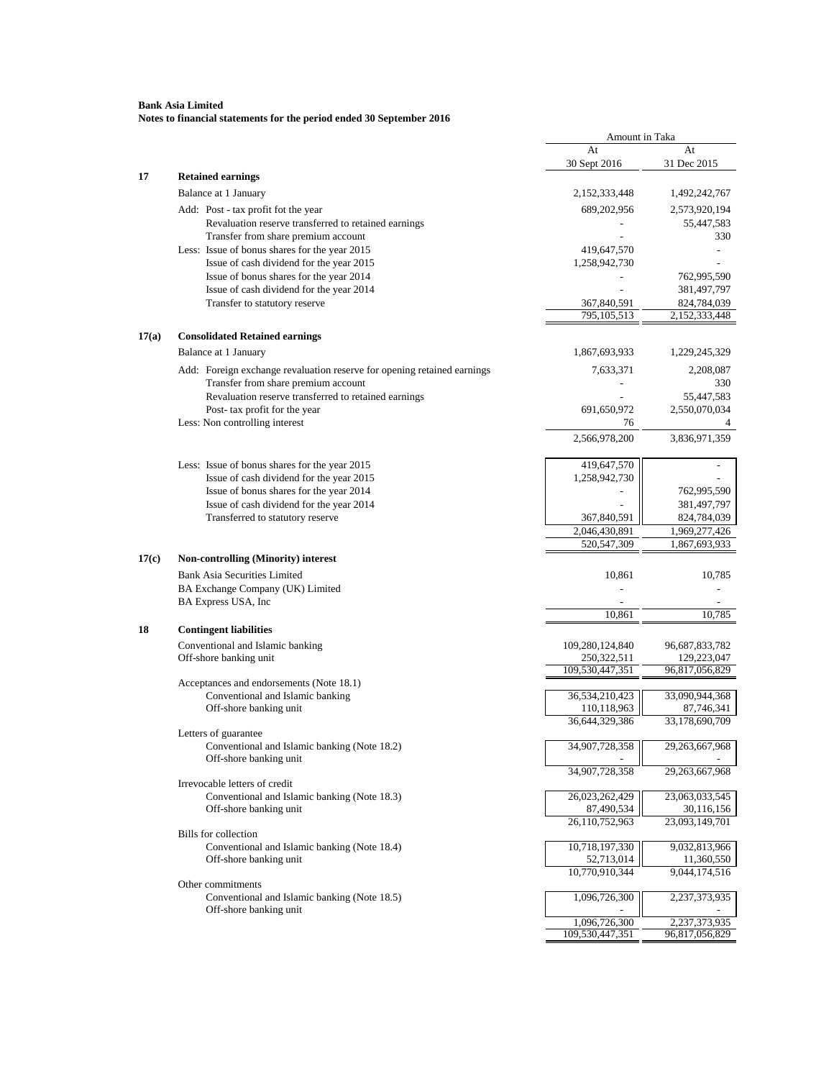| At<br>At<br>31 Dec 2015<br>30 Sept 2016<br><b>Retained earnings</b><br>Balance at 1 January<br>2,152,333,448<br>1,492,242,767<br>Add: Post - tax profit fot the year<br>689,202,956<br>2,573,920,194<br>Revaluation reserve transferred to retained earnings<br>55,447,583<br>Transfer from share premium account<br>330<br>Less: Issue of bonus shares for the year 2015<br>419,647,570<br>Issue of cash dividend for the year 2015<br>1,258,942,730<br>Issue of bonus shares for the year 2014<br>762,995,590<br>Issue of cash dividend for the year 2014<br>381,497,797<br>Transfer to statutory reserve<br>367,840,591<br>824,784,039<br>795,105,513<br>2,152,333,448<br>17(a)<br><b>Consolidated Retained earnings</b><br>Balance at 1 January<br>1,867,693,933<br>1,229,245,329<br>Add: Foreign exchange revaluation reserve for opening retained earnings<br>7,633,371<br>2,208,087<br>Transfer from share premium account<br>330<br>Revaluation reserve transferred to retained earnings<br>55,447,583<br>Post- tax profit for the year<br>691,650,972<br>2,550,070,034<br>Less: Non controlling interest<br>76<br>4<br>2,566,978,200<br>3,836,971,359<br>Less: Issue of bonus shares for the year 2015<br>419,647,570<br>Issue of cash dividend for the year 2015<br>1,258,942,730<br>Issue of bonus shares for the year 2014<br>762,995,590<br>Issue of cash dividend for the year 2014<br>381,497,797<br>Transferred to statutory reserve<br>367,840,591<br>824,784,039<br>2,046,430,891<br>1,969,277,426<br>520,547,309<br>1,867,693,933<br>17(c)<br><b>Non-controlling (Minority) interest</b><br><b>Bank Asia Securities Limited</b><br>10,861<br>10,785<br>BA Exchange Company (UK) Limited<br>BA Express USA, Inc<br>10,861<br>10,785<br><b>Contingent liabilities</b><br>18<br>Conventional and Islamic banking<br>109,280,124,840<br>96,687,833,782<br>Off-shore banking unit<br>250,322,511<br>129,223,047<br>109,530,447,351<br>96,817,056,829<br>Acceptances and endorsements (Note 18.1)<br>36,534,210,423<br>33,090,944,368<br>Conventional and Islamic banking<br>Off-shore banking unit<br>110,118,963<br>87,746,341<br>36,644,329,386<br>33,178,690,709<br>Letters of guarantee<br>Conventional and Islamic banking (Note 18.2)<br>34,907,728,358<br>29,263,667,968<br>Off-shore banking unit<br>34,907,728,358<br>29, 263, 667, 968<br>Irrevocable letters of credit<br>Conventional and Islamic banking (Note 18.3)<br>26,023,262,429<br>23,063,033,545<br>Off-shore banking unit<br>87,490,534<br>30,116,156<br>26,110,752,963<br>23,093,149,701<br><b>Bills</b> for collection<br>Conventional and Islamic banking (Note 18.4)<br>10,718,197,330<br>9,032,813,966<br>Off-shore banking unit<br>52,713,014<br>11,360,550<br>10,770,910,344<br>9,044,174,516<br>Other commitments<br>Conventional and Islamic banking (Note 18.5)<br>1,096,726,300<br>2,237,373,935<br>Off-shore banking unit<br>1,096,726,300<br>2,237,373,935<br>109,530,447,351<br>96,817,056,829 |    | Amount in Taka |  |
|--------------------------------------------------------------------------------------------------------------------------------------------------------------------------------------------------------------------------------------------------------------------------------------------------------------------------------------------------------------------------------------------------------------------------------------------------------------------------------------------------------------------------------------------------------------------------------------------------------------------------------------------------------------------------------------------------------------------------------------------------------------------------------------------------------------------------------------------------------------------------------------------------------------------------------------------------------------------------------------------------------------------------------------------------------------------------------------------------------------------------------------------------------------------------------------------------------------------------------------------------------------------------------------------------------------------------------------------------------------------------------------------------------------------------------------------------------------------------------------------------------------------------------------------------------------------------------------------------------------------------------------------------------------------------------------------------------------------------------------------------------------------------------------------------------------------------------------------------------------------------------------------------------------------------------------------------------------------------------------------------------------------------------------------------------------------------------------------------------------------------------------------------------------------------------------------------------------------------------------------------------------------------------------------------------------------------------------------------------------------------------------------------------------------------------------------------------------------------------------------------------------------------------------------------------------------------------------------------------------------------------------------------------------------------------------------------------------------------------------------------------------------------------------------------------------------------------------------------------------------------------------------------------------------------------------------------------------------------------------------------|----|----------------|--|
|                                                                                                                                                                                                                                                                                                                                                                                                                                                                                                                                                                                                                                                                                                                                                                                                                                                                                                                                                                                                                                                                                                                                                                                                                                                                                                                                                                                                                                                                                                                                                                                                                                                                                                                                                                                                                                                                                                                                                                                                                                                                                                                                                                                                                                                                                                                                                                                                                                                                                                                                                                                                                                                                                                                                                                                                                                                                                                                                                                                                  |    |                |  |
|                                                                                                                                                                                                                                                                                                                                                                                                                                                                                                                                                                                                                                                                                                                                                                                                                                                                                                                                                                                                                                                                                                                                                                                                                                                                                                                                                                                                                                                                                                                                                                                                                                                                                                                                                                                                                                                                                                                                                                                                                                                                                                                                                                                                                                                                                                                                                                                                                                                                                                                                                                                                                                                                                                                                                                                                                                                                                                                                                                                                  |    |                |  |
|                                                                                                                                                                                                                                                                                                                                                                                                                                                                                                                                                                                                                                                                                                                                                                                                                                                                                                                                                                                                                                                                                                                                                                                                                                                                                                                                                                                                                                                                                                                                                                                                                                                                                                                                                                                                                                                                                                                                                                                                                                                                                                                                                                                                                                                                                                                                                                                                                                                                                                                                                                                                                                                                                                                                                                                                                                                                                                                                                                                                  | 17 |                |  |
|                                                                                                                                                                                                                                                                                                                                                                                                                                                                                                                                                                                                                                                                                                                                                                                                                                                                                                                                                                                                                                                                                                                                                                                                                                                                                                                                                                                                                                                                                                                                                                                                                                                                                                                                                                                                                                                                                                                                                                                                                                                                                                                                                                                                                                                                                                                                                                                                                                                                                                                                                                                                                                                                                                                                                                                                                                                                                                                                                                                                  |    |                |  |
|                                                                                                                                                                                                                                                                                                                                                                                                                                                                                                                                                                                                                                                                                                                                                                                                                                                                                                                                                                                                                                                                                                                                                                                                                                                                                                                                                                                                                                                                                                                                                                                                                                                                                                                                                                                                                                                                                                                                                                                                                                                                                                                                                                                                                                                                                                                                                                                                                                                                                                                                                                                                                                                                                                                                                                                                                                                                                                                                                                                                  |    |                |  |
|                                                                                                                                                                                                                                                                                                                                                                                                                                                                                                                                                                                                                                                                                                                                                                                                                                                                                                                                                                                                                                                                                                                                                                                                                                                                                                                                                                                                                                                                                                                                                                                                                                                                                                                                                                                                                                                                                                                                                                                                                                                                                                                                                                                                                                                                                                                                                                                                                                                                                                                                                                                                                                                                                                                                                                                                                                                                                                                                                                                                  |    |                |  |
|                                                                                                                                                                                                                                                                                                                                                                                                                                                                                                                                                                                                                                                                                                                                                                                                                                                                                                                                                                                                                                                                                                                                                                                                                                                                                                                                                                                                                                                                                                                                                                                                                                                                                                                                                                                                                                                                                                                                                                                                                                                                                                                                                                                                                                                                                                                                                                                                                                                                                                                                                                                                                                                                                                                                                                                                                                                                                                                                                                                                  |    |                |  |
|                                                                                                                                                                                                                                                                                                                                                                                                                                                                                                                                                                                                                                                                                                                                                                                                                                                                                                                                                                                                                                                                                                                                                                                                                                                                                                                                                                                                                                                                                                                                                                                                                                                                                                                                                                                                                                                                                                                                                                                                                                                                                                                                                                                                                                                                                                                                                                                                                                                                                                                                                                                                                                                                                                                                                                                                                                                                                                                                                                                                  |    |                |  |
|                                                                                                                                                                                                                                                                                                                                                                                                                                                                                                                                                                                                                                                                                                                                                                                                                                                                                                                                                                                                                                                                                                                                                                                                                                                                                                                                                                                                                                                                                                                                                                                                                                                                                                                                                                                                                                                                                                                                                                                                                                                                                                                                                                                                                                                                                                                                                                                                                                                                                                                                                                                                                                                                                                                                                                                                                                                                                                                                                                                                  |    |                |  |
|                                                                                                                                                                                                                                                                                                                                                                                                                                                                                                                                                                                                                                                                                                                                                                                                                                                                                                                                                                                                                                                                                                                                                                                                                                                                                                                                                                                                                                                                                                                                                                                                                                                                                                                                                                                                                                                                                                                                                                                                                                                                                                                                                                                                                                                                                                                                                                                                                                                                                                                                                                                                                                                                                                                                                                                                                                                                                                                                                                                                  |    |                |  |
|                                                                                                                                                                                                                                                                                                                                                                                                                                                                                                                                                                                                                                                                                                                                                                                                                                                                                                                                                                                                                                                                                                                                                                                                                                                                                                                                                                                                                                                                                                                                                                                                                                                                                                                                                                                                                                                                                                                                                                                                                                                                                                                                                                                                                                                                                                                                                                                                                                                                                                                                                                                                                                                                                                                                                                                                                                                                                                                                                                                                  |    |                |  |
|                                                                                                                                                                                                                                                                                                                                                                                                                                                                                                                                                                                                                                                                                                                                                                                                                                                                                                                                                                                                                                                                                                                                                                                                                                                                                                                                                                                                                                                                                                                                                                                                                                                                                                                                                                                                                                                                                                                                                                                                                                                                                                                                                                                                                                                                                                                                                                                                                                                                                                                                                                                                                                                                                                                                                                                                                                                                                                                                                                                                  |    |                |  |
|                                                                                                                                                                                                                                                                                                                                                                                                                                                                                                                                                                                                                                                                                                                                                                                                                                                                                                                                                                                                                                                                                                                                                                                                                                                                                                                                                                                                                                                                                                                                                                                                                                                                                                                                                                                                                                                                                                                                                                                                                                                                                                                                                                                                                                                                                                                                                                                                                                                                                                                                                                                                                                                                                                                                                                                                                                                                                                                                                                                                  |    |                |  |
|                                                                                                                                                                                                                                                                                                                                                                                                                                                                                                                                                                                                                                                                                                                                                                                                                                                                                                                                                                                                                                                                                                                                                                                                                                                                                                                                                                                                                                                                                                                                                                                                                                                                                                                                                                                                                                                                                                                                                                                                                                                                                                                                                                                                                                                                                                                                                                                                                                                                                                                                                                                                                                                                                                                                                                                                                                                                                                                                                                                                  |    |                |  |
|                                                                                                                                                                                                                                                                                                                                                                                                                                                                                                                                                                                                                                                                                                                                                                                                                                                                                                                                                                                                                                                                                                                                                                                                                                                                                                                                                                                                                                                                                                                                                                                                                                                                                                                                                                                                                                                                                                                                                                                                                                                                                                                                                                                                                                                                                                                                                                                                                                                                                                                                                                                                                                                                                                                                                                                                                                                                                                                                                                                                  |    |                |  |
|                                                                                                                                                                                                                                                                                                                                                                                                                                                                                                                                                                                                                                                                                                                                                                                                                                                                                                                                                                                                                                                                                                                                                                                                                                                                                                                                                                                                                                                                                                                                                                                                                                                                                                                                                                                                                                                                                                                                                                                                                                                                                                                                                                                                                                                                                                                                                                                                                                                                                                                                                                                                                                                                                                                                                                                                                                                                                                                                                                                                  |    |                |  |
|                                                                                                                                                                                                                                                                                                                                                                                                                                                                                                                                                                                                                                                                                                                                                                                                                                                                                                                                                                                                                                                                                                                                                                                                                                                                                                                                                                                                                                                                                                                                                                                                                                                                                                                                                                                                                                                                                                                                                                                                                                                                                                                                                                                                                                                                                                                                                                                                                                                                                                                                                                                                                                                                                                                                                                                                                                                                                                                                                                                                  |    |                |  |
|                                                                                                                                                                                                                                                                                                                                                                                                                                                                                                                                                                                                                                                                                                                                                                                                                                                                                                                                                                                                                                                                                                                                                                                                                                                                                                                                                                                                                                                                                                                                                                                                                                                                                                                                                                                                                                                                                                                                                                                                                                                                                                                                                                                                                                                                                                                                                                                                                                                                                                                                                                                                                                                                                                                                                                                                                                                                                                                                                                                                  |    |                |  |
|                                                                                                                                                                                                                                                                                                                                                                                                                                                                                                                                                                                                                                                                                                                                                                                                                                                                                                                                                                                                                                                                                                                                                                                                                                                                                                                                                                                                                                                                                                                                                                                                                                                                                                                                                                                                                                                                                                                                                                                                                                                                                                                                                                                                                                                                                                                                                                                                                                                                                                                                                                                                                                                                                                                                                                                                                                                                                                                                                                                                  |    |                |  |
|                                                                                                                                                                                                                                                                                                                                                                                                                                                                                                                                                                                                                                                                                                                                                                                                                                                                                                                                                                                                                                                                                                                                                                                                                                                                                                                                                                                                                                                                                                                                                                                                                                                                                                                                                                                                                                                                                                                                                                                                                                                                                                                                                                                                                                                                                                                                                                                                                                                                                                                                                                                                                                                                                                                                                                                                                                                                                                                                                                                                  |    |                |  |
|                                                                                                                                                                                                                                                                                                                                                                                                                                                                                                                                                                                                                                                                                                                                                                                                                                                                                                                                                                                                                                                                                                                                                                                                                                                                                                                                                                                                                                                                                                                                                                                                                                                                                                                                                                                                                                                                                                                                                                                                                                                                                                                                                                                                                                                                                                                                                                                                                                                                                                                                                                                                                                                                                                                                                                                                                                                                                                                                                                                                  |    |                |  |
|                                                                                                                                                                                                                                                                                                                                                                                                                                                                                                                                                                                                                                                                                                                                                                                                                                                                                                                                                                                                                                                                                                                                                                                                                                                                                                                                                                                                                                                                                                                                                                                                                                                                                                                                                                                                                                                                                                                                                                                                                                                                                                                                                                                                                                                                                                                                                                                                                                                                                                                                                                                                                                                                                                                                                                                                                                                                                                                                                                                                  |    |                |  |
|                                                                                                                                                                                                                                                                                                                                                                                                                                                                                                                                                                                                                                                                                                                                                                                                                                                                                                                                                                                                                                                                                                                                                                                                                                                                                                                                                                                                                                                                                                                                                                                                                                                                                                                                                                                                                                                                                                                                                                                                                                                                                                                                                                                                                                                                                                                                                                                                                                                                                                                                                                                                                                                                                                                                                                                                                                                                                                                                                                                                  |    |                |  |
|                                                                                                                                                                                                                                                                                                                                                                                                                                                                                                                                                                                                                                                                                                                                                                                                                                                                                                                                                                                                                                                                                                                                                                                                                                                                                                                                                                                                                                                                                                                                                                                                                                                                                                                                                                                                                                                                                                                                                                                                                                                                                                                                                                                                                                                                                                                                                                                                                                                                                                                                                                                                                                                                                                                                                                                                                                                                                                                                                                                                  |    |                |  |
|                                                                                                                                                                                                                                                                                                                                                                                                                                                                                                                                                                                                                                                                                                                                                                                                                                                                                                                                                                                                                                                                                                                                                                                                                                                                                                                                                                                                                                                                                                                                                                                                                                                                                                                                                                                                                                                                                                                                                                                                                                                                                                                                                                                                                                                                                                                                                                                                                                                                                                                                                                                                                                                                                                                                                                                                                                                                                                                                                                                                  |    |                |  |
|                                                                                                                                                                                                                                                                                                                                                                                                                                                                                                                                                                                                                                                                                                                                                                                                                                                                                                                                                                                                                                                                                                                                                                                                                                                                                                                                                                                                                                                                                                                                                                                                                                                                                                                                                                                                                                                                                                                                                                                                                                                                                                                                                                                                                                                                                                                                                                                                                                                                                                                                                                                                                                                                                                                                                                                                                                                                                                                                                                                                  |    |                |  |
|                                                                                                                                                                                                                                                                                                                                                                                                                                                                                                                                                                                                                                                                                                                                                                                                                                                                                                                                                                                                                                                                                                                                                                                                                                                                                                                                                                                                                                                                                                                                                                                                                                                                                                                                                                                                                                                                                                                                                                                                                                                                                                                                                                                                                                                                                                                                                                                                                                                                                                                                                                                                                                                                                                                                                                                                                                                                                                                                                                                                  |    |                |  |
|                                                                                                                                                                                                                                                                                                                                                                                                                                                                                                                                                                                                                                                                                                                                                                                                                                                                                                                                                                                                                                                                                                                                                                                                                                                                                                                                                                                                                                                                                                                                                                                                                                                                                                                                                                                                                                                                                                                                                                                                                                                                                                                                                                                                                                                                                                                                                                                                                                                                                                                                                                                                                                                                                                                                                                                                                                                                                                                                                                                                  |    |                |  |
|                                                                                                                                                                                                                                                                                                                                                                                                                                                                                                                                                                                                                                                                                                                                                                                                                                                                                                                                                                                                                                                                                                                                                                                                                                                                                                                                                                                                                                                                                                                                                                                                                                                                                                                                                                                                                                                                                                                                                                                                                                                                                                                                                                                                                                                                                                                                                                                                                                                                                                                                                                                                                                                                                                                                                                                                                                                                                                                                                                                                  |    |                |  |
|                                                                                                                                                                                                                                                                                                                                                                                                                                                                                                                                                                                                                                                                                                                                                                                                                                                                                                                                                                                                                                                                                                                                                                                                                                                                                                                                                                                                                                                                                                                                                                                                                                                                                                                                                                                                                                                                                                                                                                                                                                                                                                                                                                                                                                                                                                                                                                                                                                                                                                                                                                                                                                                                                                                                                                                                                                                                                                                                                                                                  |    |                |  |
|                                                                                                                                                                                                                                                                                                                                                                                                                                                                                                                                                                                                                                                                                                                                                                                                                                                                                                                                                                                                                                                                                                                                                                                                                                                                                                                                                                                                                                                                                                                                                                                                                                                                                                                                                                                                                                                                                                                                                                                                                                                                                                                                                                                                                                                                                                                                                                                                                                                                                                                                                                                                                                                                                                                                                                                                                                                                                                                                                                                                  |    |                |  |
|                                                                                                                                                                                                                                                                                                                                                                                                                                                                                                                                                                                                                                                                                                                                                                                                                                                                                                                                                                                                                                                                                                                                                                                                                                                                                                                                                                                                                                                                                                                                                                                                                                                                                                                                                                                                                                                                                                                                                                                                                                                                                                                                                                                                                                                                                                                                                                                                                                                                                                                                                                                                                                                                                                                                                                                                                                                                                                                                                                                                  |    |                |  |
|                                                                                                                                                                                                                                                                                                                                                                                                                                                                                                                                                                                                                                                                                                                                                                                                                                                                                                                                                                                                                                                                                                                                                                                                                                                                                                                                                                                                                                                                                                                                                                                                                                                                                                                                                                                                                                                                                                                                                                                                                                                                                                                                                                                                                                                                                                                                                                                                                                                                                                                                                                                                                                                                                                                                                                                                                                                                                                                                                                                                  |    |                |  |
|                                                                                                                                                                                                                                                                                                                                                                                                                                                                                                                                                                                                                                                                                                                                                                                                                                                                                                                                                                                                                                                                                                                                                                                                                                                                                                                                                                                                                                                                                                                                                                                                                                                                                                                                                                                                                                                                                                                                                                                                                                                                                                                                                                                                                                                                                                                                                                                                                                                                                                                                                                                                                                                                                                                                                                                                                                                                                                                                                                                                  |    |                |  |
|                                                                                                                                                                                                                                                                                                                                                                                                                                                                                                                                                                                                                                                                                                                                                                                                                                                                                                                                                                                                                                                                                                                                                                                                                                                                                                                                                                                                                                                                                                                                                                                                                                                                                                                                                                                                                                                                                                                                                                                                                                                                                                                                                                                                                                                                                                                                                                                                                                                                                                                                                                                                                                                                                                                                                                                                                                                                                                                                                                                                  |    |                |  |
|                                                                                                                                                                                                                                                                                                                                                                                                                                                                                                                                                                                                                                                                                                                                                                                                                                                                                                                                                                                                                                                                                                                                                                                                                                                                                                                                                                                                                                                                                                                                                                                                                                                                                                                                                                                                                                                                                                                                                                                                                                                                                                                                                                                                                                                                                                                                                                                                                                                                                                                                                                                                                                                                                                                                                                                                                                                                                                                                                                                                  |    |                |  |
|                                                                                                                                                                                                                                                                                                                                                                                                                                                                                                                                                                                                                                                                                                                                                                                                                                                                                                                                                                                                                                                                                                                                                                                                                                                                                                                                                                                                                                                                                                                                                                                                                                                                                                                                                                                                                                                                                                                                                                                                                                                                                                                                                                                                                                                                                                                                                                                                                                                                                                                                                                                                                                                                                                                                                                                                                                                                                                                                                                                                  |    |                |  |
|                                                                                                                                                                                                                                                                                                                                                                                                                                                                                                                                                                                                                                                                                                                                                                                                                                                                                                                                                                                                                                                                                                                                                                                                                                                                                                                                                                                                                                                                                                                                                                                                                                                                                                                                                                                                                                                                                                                                                                                                                                                                                                                                                                                                                                                                                                                                                                                                                                                                                                                                                                                                                                                                                                                                                                                                                                                                                                                                                                                                  |    |                |  |
|                                                                                                                                                                                                                                                                                                                                                                                                                                                                                                                                                                                                                                                                                                                                                                                                                                                                                                                                                                                                                                                                                                                                                                                                                                                                                                                                                                                                                                                                                                                                                                                                                                                                                                                                                                                                                                                                                                                                                                                                                                                                                                                                                                                                                                                                                                                                                                                                                                                                                                                                                                                                                                                                                                                                                                                                                                                                                                                                                                                                  |    |                |  |
|                                                                                                                                                                                                                                                                                                                                                                                                                                                                                                                                                                                                                                                                                                                                                                                                                                                                                                                                                                                                                                                                                                                                                                                                                                                                                                                                                                                                                                                                                                                                                                                                                                                                                                                                                                                                                                                                                                                                                                                                                                                                                                                                                                                                                                                                                                                                                                                                                                                                                                                                                                                                                                                                                                                                                                                                                                                                                                                                                                                                  |    |                |  |
|                                                                                                                                                                                                                                                                                                                                                                                                                                                                                                                                                                                                                                                                                                                                                                                                                                                                                                                                                                                                                                                                                                                                                                                                                                                                                                                                                                                                                                                                                                                                                                                                                                                                                                                                                                                                                                                                                                                                                                                                                                                                                                                                                                                                                                                                                                                                                                                                                                                                                                                                                                                                                                                                                                                                                                                                                                                                                                                                                                                                  |    |                |  |
|                                                                                                                                                                                                                                                                                                                                                                                                                                                                                                                                                                                                                                                                                                                                                                                                                                                                                                                                                                                                                                                                                                                                                                                                                                                                                                                                                                                                                                                                                                                                                                                                                                                                                                                                                                                                                                                                                                                                                                                                                                                                                                                                                                                                                                                                                                                                                                                                                                                                                                                                                                                                                                                                                                                                                                                                                                                                                                                                                                                                  |    |                |  |
|                                                                                                                                                                                                                                                                                                                                                                                                                                                                                                                                                                                                                                                                                                                                                                                                                                                                                                                                                                                                                                                                                                                                                                                                                                                                                                                                                                                                                                                                                                                                                                                                                                                                                                                                                                                                                                                                                                                                                                                                                                                                                                                                                                                                                                                                                                                                                                                                                                                                                                                                                                                                                                                                                                                                                                                                                                                                                                                                                                                                  |    |                |  |
|                                                                                                                                                                                                                                                                                                                                                                                                                                                                                                                                                                                                                                                                                                                                                                                                                                                                                                                                                                                                                                                                                                                                                                                                                                                                                                                                                                                                                                                                                                                                                                                                                                                                                                                                                                                                                                                                                                                                                                                                                                                                                                                                                                                                                                                                                                                                                                                                                                                                                                                                                                                                                                                                                                                                                                                                                                                                                                                                                                                                  |    |                |  |
|                                                                                                                                                                                                                                                                                                                                                                                                                                                                                                                                                                                                                                                                                                                                                                                                                                                                                                                                                                                                                                                                                                                                                                                                                                                                                                                                                                                                                                                                                                                                                                                                                                                                                                                                                                                                                                                                                                                                                                                                                                                                                                                                                                                                                                                                                                                                                                                                                                                                                                                                                                                                                                                                                                                                                                                                                                                                                                                                                                                                  |    |                |  |
|                                                                                                                                                                                                                                                                                                                                                                                                                                                                                                                                                                                                                                                                                                                                                                                                                                                                                                                                                                                                                                                                                                                                                                                                                                                                                                                                                                                                                                                                                                                                                                                                                                                                                                                                                                                                                                                                                                                                                                                                                                                                                                                                                                                                                                                                                                                                                                                                                                                                                                                                                                                                                                                                                                                                                                                                                                                                                                                                                                                                  |    |                |  |
|                                                                                                                                                                                                                                                                                                                                                                                                                                                                                                                                                                                                                                                                                                                                                                                                                                                                                                                                                                                                                                                                                                                                                                                                                                                                                                                                                                                                                                                                                                                                                                                                                                                                                                                                                                                                                                                                                                                                                                                                                                                                                                                                                                                                                                                                                                                                                                                                                                                                                                                                                                                                                                                                                                                                                                                                                                                                                                                                                                                                  |    |                |  |
|                                                                                                                                                                                                                                                                                                                                                                                                                                                                                                                                                                                                                                                                                                                                                                                                                                                                                                                                                                                                                                                                                                                                                                                                                                                                                                                                                                                                                                                                                                                                                                                                                                                                                                                                                                                                                                                                                                                                                                                                                                                                                                                                                                                                                                                                                                                                                                                                                                                                                                                                                                                                                                                                                                                                                                                                                                                                                                                                                                                                  |    |                |  |
|                                                                                                                                                                                                                                                                                                                                                                                                                                                                                                                                                                                                                                                                                                                                                                                                                                                                                                                                                                                                                                                                                                                                                                                                                                                                                                                                                                                                                                                                                                                                                                                                                                                                                                                                                                                                                                                                                                                                                                                                                                                                                                                                                                                                                                                                                                                                                                                                                                                                                                                                                                                                                                                                                                                                                                                                                                                                                                                                                                                                  |    |                |  |
|                                                                                                                                                                                                                                                                                                                                                                                                                                                                                                                                                                                                                                                                                                                                                                                                                                                                                                                                                                                                                                                                                                                                                                                                                                                                                                                                                                                                                                                                                                                                                                                                                                                                                                                                                                                                                                                                                                                                                                                                                                                                                                                                                                                                                                                                                                                                                                                                                                                                                                                                                                                                                                                                                                                                                                                                                                                                                                                                                                                                  |    |                |  |
|                                                                                                                                                                                                                                                                                                                                                                                                                                                                                                                                                                                                                                                                                                                                                                                                                                                                                                                                                                                                                                                                                                                                                                                                                                                                                                                                                                                                                                                                                                                                                                                                                                                                                                                                                                                                                                                                                                                                                                                                                                                                                                                                                                                                                                                                                                                                                                                                                                                                                                                                                                                                                                                                                                                                                                                                                                                                                                                                                                                                  |    |                |  |
|                                                                                                                                                                                                                                                                                                                                                                                                                                                                                                                                                                                                                                                                                                                                                                                                                                                                                                                                                                                                                                                                                                                                                                                                                                                                                                                                                                                                                                                                                                                                                                                                                                                                                                                                                                                                                                                                                                                                                                                                                                                                                                                                                                                                                                                                                                                                                                                                                                                                                                                                                                                                                                                                                                                                                                                                                                                                                                                                                                                                  |    |                |  |
|                                                                                                                                                                                                                                                                                                                                                                                                                                                                                                                                                                                                                                                                                                                                                                                                                                                                                                                                                                                                                                                                                                                                                                                                                                                                                                                                                                                                                                                                                                                                                                                                                                                                                                                                                                                                                                                                                                                                                                                                                                                                                                                                                                                                                                                                                                                                                                                                                                                                                                                                                                                                                                                                                                                                                                                                                                                                                                                                                                                                  |    |                |  |
|                                                                                                                                                                                                                                                                                                                                                                                                                                                                                                                                                                                                                                                                                                                                                                                                                                                                                                                                                                                                                                                                                                                                                                                                                                                                                                                                                                                                                                                                                                                                                                                                                                                                                                                                                                                                                                                                                                                                                                                                                                                                                                                                                                                                                                                                                                                                                                                                                                                                                                                                                                                                                                                                                                                                                                                                                                                                                                                                                                                                  |    |                |  |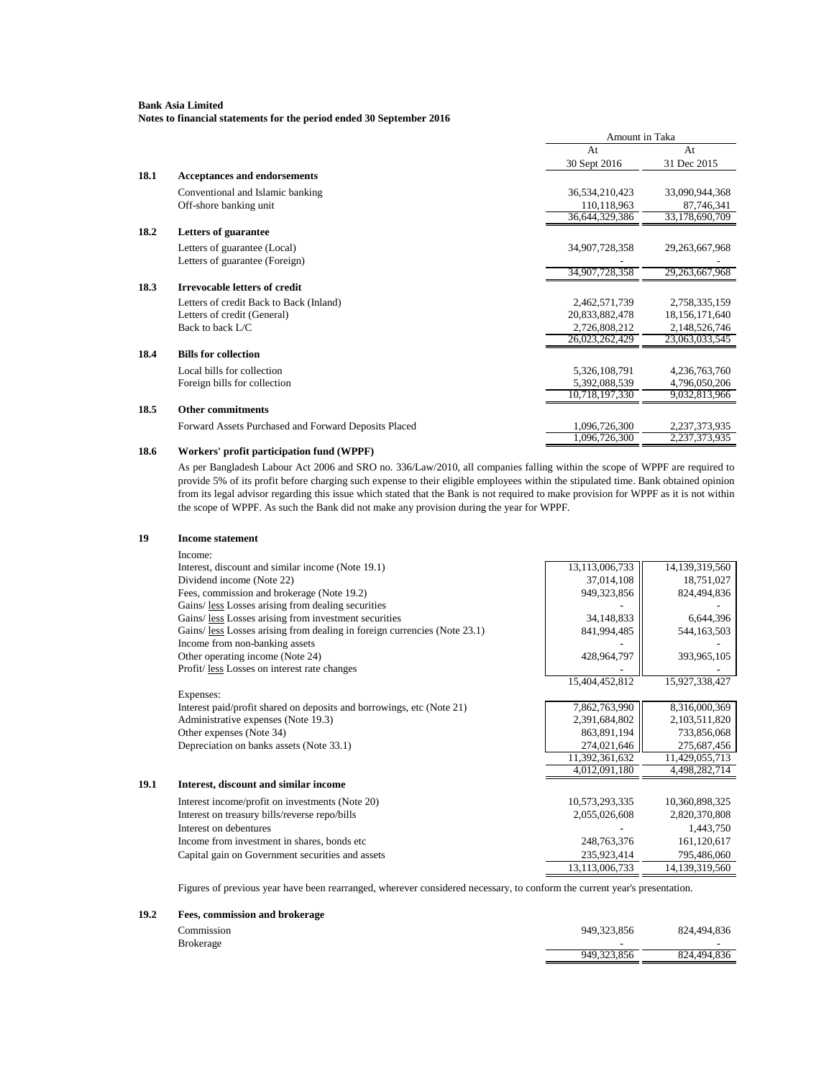**Notes to financial statements for the period ended 30 September 2016**

|      |                                                      | Amount in Taka |                   |
|------|------------------------------------------------------|----------------|-------------------|
|      |                                                      | At             | At                |
|      |                                                      | 30 Sept 2016   | 31 Dec 2015       |
| 18.1 | <b>Acceptances and endorsements</b>                  |                |                   |
|      | Conventional and Islamic banking                     | 36,534,210,423 | 33,090,944,368    |
|      | Off-shore banking unit                               | 110,118,963    | 87,746,341        |
|      |                                                      | 36,644,329,386 | 33,178,690,709    |
| 18.2 | Letters of guarantee                                 |                |                   |
|      | Letters of guarantee (Local)                         | 34,907,728,358 | 29, 263, 667, 968 |
|      | Letters of guarantee (Foreign)                       |                |                   |
|      |                                                      | 34,907,728,358 | 29, 263, 667, 968 |
| 18.3 | <b>Irrevocable letters of credit</b>                 |                |                   |
|      | Letters of credit Back to Back (Inland)              | 2,462,571,739  | 2,758,335,159     |
|      | Letters of credit (General)                          | 20,833,882,478 | 18,156,171,640    |
|      | Back to back L/C                                     | 2,726,808,212  | 2,148,526,746     |
|      |                                                      | 26,023,262,429 | 23,063,033,545    |
| 18.4 | <b>Bills for collection</b>                          |                |                   |
|      | Local bills for collection                           | 5,326,108,791  | 4,236,763,760     |
|      | Foreign bills for collection                         | 5,392,088,539  | 4,796,050,206     |
|      |                                                      | 10,718,197,330 | 9,032,813,966     |
| 18.5 | <b>Other commitments</b>                             |                |                   |
|      | Forward Assets Purchased and Forward Deposits Placed | 1,096,726,300  | 2,237,373,935     |
|      |                                                      | 1,096,726,300  | 2.237.373.935     |
| 18.6 | Workers' profit participation fund (WPPF)            |                |                   |

### As per Bangladesh Labour Act 2006 and SRO no. 336/Law/2010, all companies falling within the scope of WPPF are required to provide 5% of its profit before charging such expense to their eligible employees within the stipulated time. Bank obtained opinion from its legal advisor regarding this issue which stated that the Bank is not required to make provision for WPPF as it is not within the scope of WPPF. As such the Bank did not make any provision during the year for WPPF.

#### **19 Income statement** Income: Interest, discount and similar income (Note 19.1) 13,113,006,733 14,139,319,560<br>Dividend income (Note 22) 18,751,027 Dividend income (Note 22) Fees, commission and brokerage (Note 19.2) 949,323,856 | 824,494,836 Gains/ less Losses arising from dealing securities Gains/ <u>less</u> Losses arising from investment securities 34,148,833 (34,148,833 6,644,396 Gains/ <u>less</u> Losses arising from dealing in foreign currencies (Note 23.1) 841,994,485 (3503 644,163,503 Gains/ <u>less</u> Losses arising from dealing in foreign currencies (Note 23.1) 841,994,485  $\sim$  841,163,503 Income from non-banking assets Other operating income (Note 24) 428,964,797  $\vert$  428,964,797  $\vert$  393,965,105 Profit/ less Losses on interest rate changes 15,404,452,812 15,927,338,427 Expenses: Interest paid/profit shared on deposits and borrowings, etc (Note 21) <br>
Administrative expenses (Note 19.3) <br>
2,391,684,802 <br>
2,103,511,820 Administrative expenses (Note 19.3) Other expenses (Note 34) 863,891,194 733,856,068 Depreciation on banks assets (Note 33.1) 274,021,646 275,687,456  $\frac{11,392,361,632}{4,012,091,180}$   $\frac{11,429,055,713}{4,498,282,714}$ 4,498,282,714 **19.1 Interest, discount and similar income** Interest income/profit on investments (Note 20) 10,573,293,335 10,360,898,325 Interest on treasury bills/reverse repo/bills 2,055,026,608 2,820,370,808 Interest on debentures and the state of the state of the state of the state of the state of the state of the state of the state of the state of the state of the state of the state of the state of the state of the state of Income from investment in shares, bonds etc 248,763,376 161,120,617 Capital gain on Government securities and assets 235,923,414 795,486,060<br>13.113.006.733 14.139.319.560 13,113,006,733

Figures of previous year have been rearranged, wherever considered necessary, to conform the current year's presentation.

### **19.2 Fees, commission and brokerage**

| Commission | 949.323.856 | 824.494.836              |
|------------|-------------|--------------------------|
| Brokerage  |             | $\overline{\phantom{0}}$ |
|            | 949.323.856 | 824.494.836              |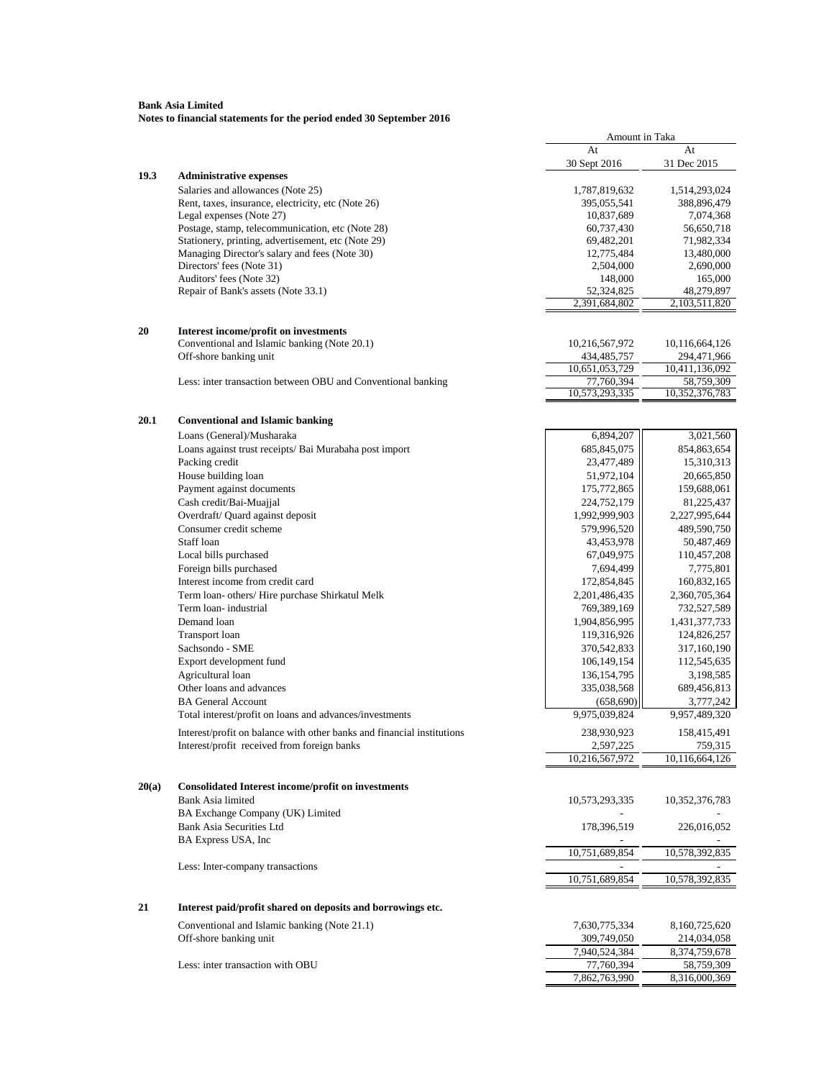|       |                                                                              |                          | Amount in Taka           |  |
|-------|------------------------------------------------------------------------------|--------------------------|--------------------------|--|
|       |                                                                              | At                       | At                       |  |
|       |                                                                              | 30 Sept 2016             | 31 Dec 2015              |  |
| 19.3  | <b>Administrative expenses</b>                                               |                          |                          |  |
|       | Salaries and allowances (Note 25)                                            | 1,787,819,632            | 1,514,293,024            |  |
|       | Rent, taxes, insurance, electricity, etc (Note 26)                           | 395,055,541              | 388,896,479              |  |
|       | Legal expenses (Note 27)<br>Postage, stamp, telecommunication, etc (Note 28) | 10,837,689               | 7,074,368                |  |
|       | Stationery, printing, advertisement, etc (Note 29)                           | 60,737,430<br>69,482,201 | 56,650,718<br>71,982,334 |  |
|       | Managing Director's salary and fees (Note 30)                                | 12,775,484               | 13,480,000               |  |
|       | Directors' fees (Note 31)                                                    | 2,504,000                | 2,690,000                |  |
|       | Auditors' fees (Note 32)                                                     | 148,000                  | 165,000                  |  |
|       | Repair of Bank's assets (Note 33.1)                                          | 52,324,825               | 48,279,897               |  |
|       |                                                                              | 2,391,684,802            | 2,103,511,820            |  |
| 20    | Interest income/profit on investments                                        |                          |                          |  |
|       | Conventional and Islamic banking (Note 20.1)                                 | 10,216,567,972           | 10,116,664,126           |  |
|       | Off-shore banking unit                                                       | 434,485,757              | 294,471,966              |  |
|       |                                                                              | 10,651,053,729           | 10,411,136,092           |  |
|       | Less: inter transaction between OBU and Conventional banking                 | 77,760,394               | 58,759,309               |  |
|       |                                                                              | 10,573,293,335           | 10,352,376,783           |  |
| 20.1  | <b>Conventional and Islamic banking</b>                                      |                          |                          |  |
|       | Loans (General)/Musharaka                                                    | 6,894,207                | 3,021,560                |  |
|       | Loans against trust receipts/ Bai Murabaha post import                       | 685, 845, 075            | 854,863,654              |  |
|       | Packing credit                                                               | 23,477,489               | 15,310,313               |  |
|       | House building loan                                                          | 51,972,104               | 20,665,850               |  |
|       | Payment against documents                                                    | 175,772,865              | 159,688,061              |  |
|       | Cash credit/Bai-Muajjal                                                      | 224,752,179              | 81,225,437               |  |
|       | Overdraft/ Quard against deposit                                             | 1,992,999,903            | 2,227,995,644            |  |
|       | Consumer credit scheme                                                       | 579,996,520              | 489,590,750              |  |
|       | Staff loan                                                                   | 43,453,978               | 50,487,469               |  |
|       | Local bills purchased                                                        | 67,049,975               | 110,457,208              |  |
|       | Foreign bills purchased                                                      | 7,694,499                | 7,775,801                |  |
|       | Interest income from credit card                                             | 172,854,845              | 160,832,165              |  |
|       | Term loan- others/ Hire purchase Shirkatul Melk                              | 2,201,486,435            | 2,360,705,364            |  |
|       | Term loan-industrial                                                         | 769,389,169              | 732,527,589              |  |
|       | Demand loan                                                                  | 1,904,856,995            | 1,431,377,733            |  |
|       | <b>Transport</b> loan                                                        | 119,316,926              | 124,826,257              |  |
|       | Sachsondo - SME                                                              | 370,542,833              | 317,160,190              |  |
|       | Export development fund                                                      | 106, 149, 154            | 112,545,635              |  |
|       | Agricultural loan                                                            | 136, 154, 795            | 3,198,585                |  |
|       | Other loans and advances                                                     | 335,038,568              | 689,456,813              |  |
|       | <b>BA General Account</b>                                                    | (658, 690)               | 3,777,242                |  |
|       | Total interest/profit on loans and advances/investments                      | 9,975,039,824            | 9,957,489,320            |  |
|       | Interest/profit on balance with other banks and financial institutions       | 238,930,923              | 158,415,491              |  |
|       | Interest/profit received from foreign banks                                  | 2,597,225                | 759,315                  |  |
|       |                                                                              | 10,216,567,972           | 10,116,664,126           |  |
| 20(a) | <b>Consolidated Interest income/profit on investments</b>                    |                          |                          |  |
|       | Bank Asia limited                                                            | 10,573,293,335           | 10,352,376,783           |  |
|       | BA Exchange Company (UK) Limited                                             |                          |                          |  |
|       | <b>Bank Asia Securities Ltd</b>                                              | 178,396,519              | 226,016,052              |  |
|       | BA Express USA, Inc                                                          |                          |                          |  |
|       |                                                                              | 10,751,689,854           | 10,578,392,835           |  |
|       | Less: Inter-company transactions                                             | 10,751,689,854           | 10,578,392,835           |  |
|       |                                                                              |                          |                          |  |
| 21    | Interest paid/profit shared on deposits and borrowings etc.                  |                          |                          |  |
|       | Conventional and Islamic banking (Note 21.1)                                 | 7,630,775,334            | 8,160,725,620            |  |
|       | Off-shore banking unit                                                       | 309,749,050              | 214,034,058              |  |
|       |                                                                              | 7,940,524,384            | 8,374,759,678            |  |
|       | Less: inter transaction with OBU                                             | 77,760,394               | 58,759,309               |  |
|       |                                                                              | 7,862,763,990            | 8,316,000,369            |  |
|       |                                                                              |                          |                          |  |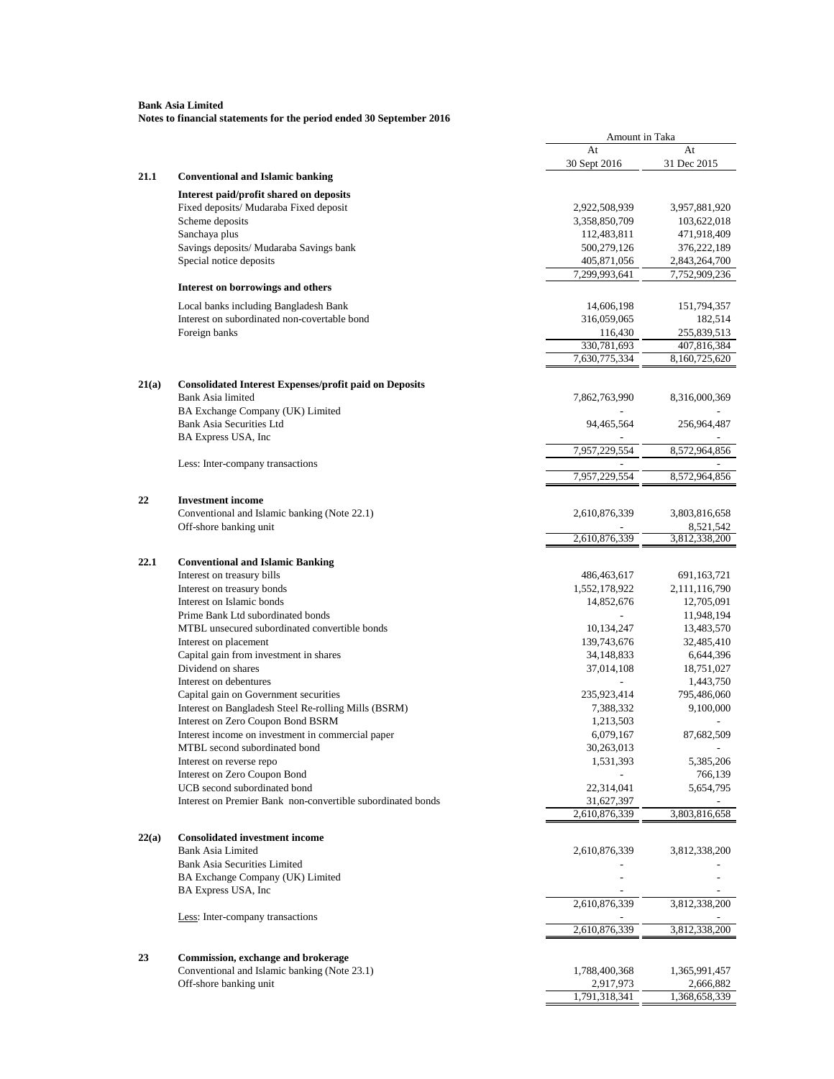|       |                                                                                       | Amount in Taka           |                            |
|-------|---------------------------------------------------------------------------------------|--------------------------|----------------------------|
|       |                                                                                       | At                       | At                         |
|       |                                                                                       | 30 Sept 2016             | 31 Dec 2015                |
| 21.1  | <b>Conventional and Islamic banking</b>                                               |                          |                            |
|       | Interest paid/profit shared on deposits                                               |                          |                            |
|       | Fixed deposits/ Mudaraba Fixed deposit                                                | 2,922,508,939            | 3,957,881,920              |
|       | Scheme deposits                                                                       | 3,358,850,709            | 103,622,018                |
|       | Sanchaya plus                                                                         | 112,483,811              | 471,918,409                |
|       | Savings deposits/ Mudaraba Savings bank                                               | 500,279,126              | 376,222,189                |
|       | Special notice deposits                                                               | 405,871,056              | 2,843,264,700              |
|       | Interest on borrowings and others                                                     | 7,299,993,641            | 7,752,909,236              |
|       |                                                                                       |                          |                            |
|       | Local banks including Bangladesh Bank<br>Interest on subordinated non-covertable bond | 14,606,198               | 151,794,357                |
|       | Foreign banks                                                                         | 316,059,065              | 182,514<br>255,839,513     |
|       |                                                                                       | 116,430<br>330,781,693   | 407,816,384                |
|       |                                                                                       | 7,630,775,334            | 8,160,725,620              |
|       |                                                                                       |                          |                            |
| 21(a) | <b>Consolidated Interest Expenses/profit paid on Deposits</b>                         |                          |                            |
|       | Bank Asia limited                                                                     | 7,862,763,990            | 8,316,000,369              |
|       | BA Exchange Company (UK) Limited                                                      |                          |                            |
|       | <b>Bank Asia Securities Ltd</b>                                                       | 94,465,564               | 256,964,487                |
|       | BA Express USA, Inc.                                                                  | 7,957,229,554            | 8,572,964,856              |
|       | Less: Inter-company transactions                                                      |                          |                            |
|       |                                                                                       | 7.957.229.554            | 8,572,964,856              |
|       | <b>Investment</b> income                                                              |                          |                            |
| 22    | Conventional and Islamic banking (Note 22.1)                                          |                          |                            |
|       | Off-shore banking unit                                                                | 2,610,876,339            | 3,803,816,658<br>8,521,542 |
|       |                                                                                       | 2,610,876,339            | 3,812,338,200              |
|       |                                                                                       |                          |                            |
| 22.1  | <b>Conventional and Islamic Banking</b>                                               |                          |                            |
|       | Interest on treasury bills                                                            | 486,463,617              | 691,163,721                |
|       | Interest on treasury bonds                                                            | 1,552,178,922            | 2,111,116,790              |
|       | Interest on Islamic bonds                                                             | 14,852,676               | 12,705,091                 |
|       | Prime Bank Ltd subordinated bonds                                                     |                          | 11,948,194                 |
|       | MTBL unsecured subordinated convertible bonds                                         | 10,134,247               | 13,483,570                 |
|       | Interest on placement<br>Capital gain from investment in shares                       | 139,743,676              | 32,485,410                 |
|       | Dividend on shares                                                                    | 34,148,833               | 6,644,396                  |
|       | Interest on debentures                                                                | 37,014,108               | 18,751,027                 |
|       | Capital gain on Government securities                                                 |                          | 1,443,750                  |
|       | Interest on Bangladesh Steel Re-rolling Mills (BSRM)                                  | 235,923,414<br>7,388,332 | 795,486,060                |
|       | Interest on Zero Coupon Bond BSRM                                                     |                          | 9,100,000                  |
|       | Interest income on investment in commercial paper                                     | 1,213,503<br>6,079,167   | 87,682,509                 |
|       | MTBL second subordinated bond                                                         | 30,263,013               |                            |
|       | Interest on reverse repo                                                              | 1,531,393                | 5,385,206                  |
|       | Interest on Zero Coupon Bond                                                          |                          | 766,139                    |
|       | UCB second subordinated bond                                                          | 22,314,041               | 5,654,795                  |
|       | Interest on Premier Bank non-convertible subordinated bonds                           | 31,627,397               |                            |
|       |                                                                                       | 2,610,876,339            | 3,803,816,658              |
|       |                                                                                       |                          |                            |
| 22(a) | <b>Consolidated investment income</b>                                                 |                          |                            |
|       | <b>Bank Asia Limited</b>                                                              | 2,610,876,339            | 3,812,338,200              |
|       | <b>Bank Asia Securities Limited</b>                                                   |                          |                            |
|       | BA Exchange Company (UK) Limited<br>BA Express USA, Inc                               |                          |                            |
|       |                                                                                       | 2,610,876,339            | 3,812,338,200              |
|       | Less: Inter-company transactions                                                      |                          |                            |
|       |                                                                                       | 2,610,876,339            | 3,812,338,200              |
|       |                                                                                       |                          |                            |
| 23    | Commission, exchange and brokerage                                                    |                          |                            |
|       | Conventional and Islamic banking (Note 23.1)                                          | 1,788,400,368            | 1,365,991,457              |
|       | Off-shore banking unit                                                                | 2,917,973                | 2,666,882                  |
|       |                                                                                       | 1,791,318,341            | 1,368,658,339              |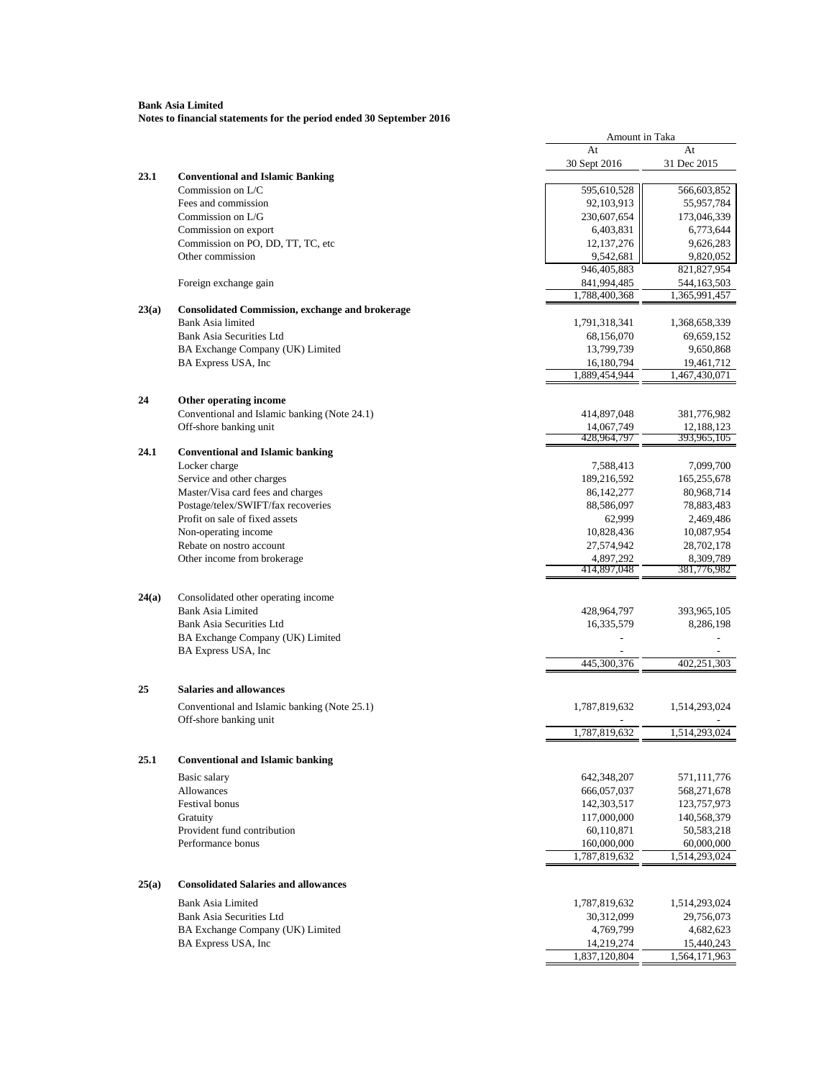|       |                                                                     | Amount in Taka              |                           |
|-------|---------------------------------------------------------------------|-----------------------------|---------------------------|
|       |                                                                     | At                          | At                        |
|       |                                                                     | 30 Sept 2016                | 31 Dec 2015               |
| 23.1  | <b>Conventional and Islamic Banking</b>                             |                             |                           |
|       | Commission on L/C<br>Fees and commission                            | 595,610,528<br>92, 103, 913 | 566,603,852<br>55,957,784 |
|       | Commission on L/G                                                   | 230,607,654                 | 173,046,339               |
|       | Commission on export                                                | 6,403,831                   | 6,773,644                 |
|       | Commission on PO, DD, TT, TC, etc                                   | 12, 137, 276                | 9,626,283                 |
|       | Other commission                                                    | 9,542,681                   | 9,820,052                 |
|       |                                                                     | 946,405,883                 | 821,827,954               |
|       | Foreign exchange gain                                               | 841,994,485                 | 544,163,503               |
|       |                                                                     | 1,788,400,368               | 1,365,991,457             |
| 23(a) | <b>Consolidated Commission, exchange and brokerage</b>              |                             |                           |
|       | <b>Bank Asia limited</b>                                            | 1,791,318,341               | 1,368,658,339             |
|       | <b>Bank Asia Securities Ltd</b>                                     | 68,156,070                  | 69,659,152                |
|       | BA Exchange Company (UK) Limited                                    | 13,799,739                  | 9,650,868                 |
|       | BA Express USA, Inc                                                 | 16,180,794                  | 19,461,712                |
|       |                                                                     | 1,889,454,944               | 1,467,430,071             |
| 24    | Other operating income                                              |                             |                           |
|       | Conventional and Islamic banking (Note 24.1)                        | 414,897,048                 | 381,776,982               |
|       | Off-shore banking unit                                              | 14,067,749                  | 12,188,123                |
|       |                                                                     | 428,964,797                 | 393,965,105               |
| 24.1  | <b>Conventional and Islamic banking</b>                             |                             |                           |
|       | Locker charge                                                       | 7,588,413                   | 7,099,700                 |
|       | Service and other charges                                           | 189,216,592                 | 165,255,678               |
|       | Master/Visa card fees and charges                                   | 86, 142, 277                | 80,968,714                |
|       | Postage/telex/SWIFT/fax recoveries                                  | 88,586,097                  | 78,883,483                |
|       | Profit on sale of fixed assets                                      | 62,999                      | 2,469,486                 |
|       | Non-operating income<br>Rebate on nostro account                    | 10,828,436<br>27,574,942    | 10,087,954<br>28,702,178  |
|       | Other income from brokerage                                         | 4,897,292                   | 8,309,789                 |
|       |                                                                     | 414,897,048                 | 381,776,982               |
|       |                                                                     |                             |                           |
| 24(a) | Consolidated other operating income                                 |                             |                           |
|       | <b>Bank Asia Limited</b>                                            | 428,964,797                 | 393,965,105               |
|       | <b>Bank Asia Securities Ltd</b>                                     | 16,335,579                  | 8,286,198                 |
|       | BA Exchange Company (UK) Limited                                    |                             |                           |
|       | BA Express USA, Inc                                                 | 445,300,376                 |                           |
|       |                                                                     |                             | 402,251,303               |
| 25    | <b>Salaries and allowances</b>                                      |                             |                           |
|       | Conventional and Islamic banking (Note 25.1)                        | 1,787,819,632               | 1,514,293,024             |
|       | Off-shore banking unit                                              |                             |                           |
|       |                                                                     | 1,787,819,632               | 1,514,293,024             |
|       |                                                                     |                             |                           |
| 25.1  | <b>Conventional and Islamic banking</b>                             |                             |                           |
|       | Basic salary                                                        | 642,348,207                 | 571,111,776               |
|       | Allowances                                                          | 666,057,037                 | 568,271,678               |
|       | Festival bonus                                                      | 142,303,517                 | 123,757,973               |
|       | Gratuity                                                            | 117,000,000                 | 140,568,379               |
|       | Provident fund contribution                                         | 60,110,871                  | 50,583,218                |
|       | Performance bonus                                                   | 160,000,000                 | 60,000,000                |
|       |                                                                     | 1,787,819,632               | 1,514,293,024             |
| 25(a) | <b>Consolidated Salaries and allowances</b>                         |                             |                           |
|       |                                                                     |                             |                           |
|       | <b>Bank Asia Limited</b>                                            | 1,787,819,632               | 1,514,293,024             |
|       | <b>Bank Asia Securities Ltd</b><br>BA Exchange Company (UK) Limited | 30,312,099<br>4,769,799     | 29,756,073<br>4,682,623   |
|       | BA Express USA, Inc                                                 | 14,219,274                  | 15,440,243                |
|       |                                                                     | 1,837,120,804               | 1,564,171,963             |
|       |                                                                     |                             |                           |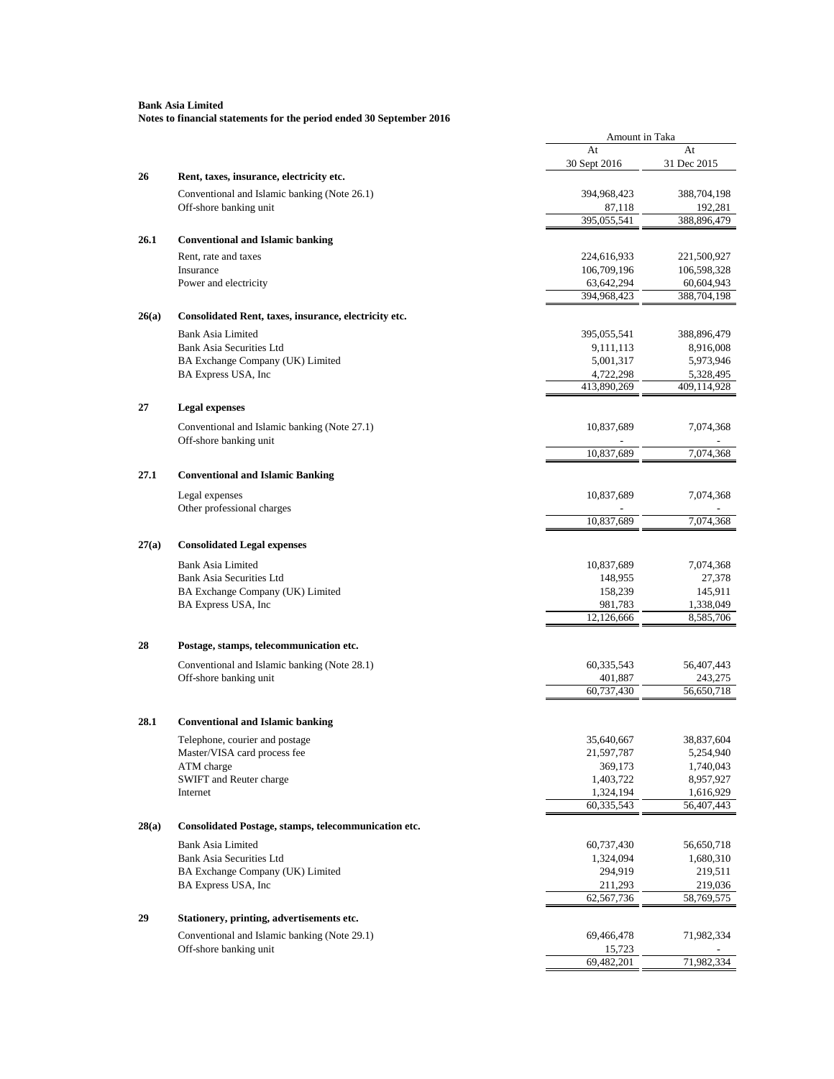|       |                                                                        | Amount in Taka          |                         |
|-------|------------------------------------------------------------------------|-------------------------|-------------------------|
|       |                                                                        | At                      | At                      |
|       |                                                                        | 30 Sept 2016            | 31 Dec 2015             |
| 26    | Rent, taxes, insurance, electricity etc.                               |                         |                         |
|       | Conventional and Islamic banking (Note 26.1)                           | 394,968,423             | 388,704,198             |
|       | Off-shore banking unit                                                 | 87,118                  | 192,281                 |
|       |                                                                        | 395,055,541             | 388,896,479             |
| 26.1  | <b>Conventional and Islamic banking</b>                                |                         |                         |
|       | Rent, rate and taxes                                                   | 224,616,933             | 221,500,927             |
|       | Insurance                                                              | 106,709,196             | 106,598,328             |
|       | Power and electricity                                                  | 63,642,294              | 60,604,943              |
|       |                                                                        | 394,968,423             | 388,704,198             |
| 26(a) | Consolidated Rent, taxes, insurance, electricity etc.                  |                         |                         |
|       | <b>Bank Asia Limited</b>                                               | 395,055,541             | 388,896,479             |
|       | <b>Bank Asia Securities Ltd</b>                                        | 9,111,113               | 8,916,008               |
|       | BA Exchange Company (UK) Limited                                       | 5,001,317               | 5,973,946               |
|       | BA Express USA, Inc                                                    | 4,722,298               | 5,328,495               |
|       |                                                                        | 413,890,269             | 409,114,928             |
| 27    | <b>Legal expenses</b>                                                  |                         |                         |
|       |                                                                        |                         |                         |
|       | Conventional and Islamic banking (Note 27.1)<br>Off-shore banking unit | 10,837,689              | 7,074,368               |
|       |                                                                        | 10,837,689              | 7,074,368               |
|       |                                                                        |                         |                         |
| 27.1  | <b>Conventional and Islamic Banking</b>                                |                         |                         |
|       | Legal expenses                                                         | 10,837,689              | 7,074,368               |
|       | Other professional charges                                             |                         |                         |
|       |                                                                        | 10,837,689              | 7,074,368               |
|       |                                                                        |                         |                         |
| 27(a) | <b>Consolidated Legal expenses</b>                                     |                         |                         |
|       | <b>Bank Asia Limited</b>                                               | 10,837,689              | 7,074,368               |
|       | Bank Asia Securities Ltd                                               | 148,955                 | 27,378                  |
|       | BA Exchange Company (UK) Limited                                       | 158,239                 | 145,911                 |
|       | BA Express USA, Inc                                                    | 981,783<br>12,126,666   | 1,338,049<br>8,585,706  |
|       |                                                                        |                         |                         |
| 28    | Postage, stamps, telecommunication etc.                                |                         |                         |
|       | Conventional and Islamic banking (Note 28.1)                           | 60,335,543              | 56,407,443              |
|       | Off-shore banking unit                                                 | 401,887                 | 243,275                 |
|       |                                                                        | 60,737,430              | 56,650,718              |
|       |                                                                        |                         |                         |
| 28.1  | <b>Conventional and Islamic banking</b>                                |                         |                         |
|       | Telephone, courier and postage                                         | 35,640,667              | 38,837,604              |
|       | Master/VISA card process fee                                           | 21,597,787              | 5,254,940               |
|       | ATM charge                                                             | 369,173                 | 1,740,043               |
|       | SWIFT and Reuter charge                                                | 1,403,722               | 8,957,927               |
|       | Internet                                                               | 1,324,194               | 1,616,929               |
|       |                                                                        | 60,335,543              | 56,407,443              |
| 28(a) | Consolidated Postage, stamps, telecommunication etc.                   |                         |                         |
|       |                                                                        |                         |                         |
|       | <b>Bank Asia Limited</b><br><b>Bank Asia Securities Ltd</b>            | 60,737,430<br>1,324,094 | 56,650,718<br>1,680,310 |
|       | BA Exchange Company (UK) Limited                                       | 294,919                 | 219,511                 |
|       | BA Express USA, Inc                                                    | 211,293                 | 219,036                 |
|       |                                                                        | 62,567,736              | 58,769,575              |
|       |                                                                        |                         |                         |
| 29    | Stationery, printing, advertisements etc.                              |                         |                         |
|       | Conventional and Islamic banking (Note 29.1)                           | 69,466,478              | 71,982,334              |
|       | Off-shore banking unit                                                 | 15,723                  |                         |
|       |                                                                        | 69,482,201              | 71,982,334              |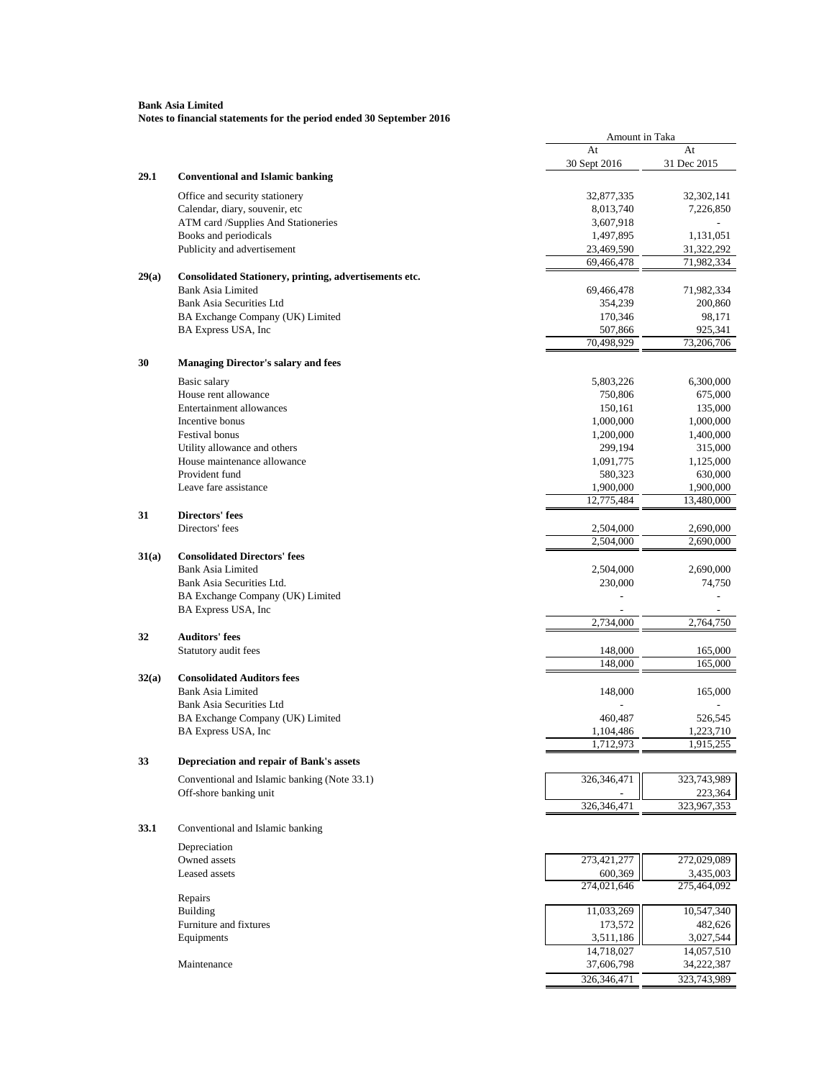| At<br>At<br>30 Sept 2016<br>31 Dec 2015<br>29.1<br><b>Conventional and Islamic banking</b><br>Office and security stationery<br>32,877,335<br>32,302,141<br>Calendar, diary, souvenir, etc<br>8,013,740<br>7,226,850<br>ATM card /Supplies And Stationeries<br>3,607,918<br>Books and periodicals<br>1,497,895<br>1,131,051<br>Publicity and advertisement<br>23,469,590<br>31,322,292<br>71,982,334<br>69,466,478<br>29(a)<br>Consolidated Stationery, printing, advertisements etc.<br><b>Bank Asia Limited</b><br>71,982,334<br>69,466,478<br><b>Bank Asia Securities Ltd</b><br>354,239<br>200,860<br>BA Exchange Company (UK) Limited<br>170,346<br>98,171<br>BA Express USA, Inc<br>507,866<br>925,341<br>$\overline{70}$ ,498,929<br>73,206,706<br>30<br><b>Managing Director's salary and fees</b><br>Basic salary<br>5,803,226<br>6,300,000<br>House rent allowance<br>750,806<br>675,000<br>Entertainment allowances<br>150,161<br>135,000<br>Incentive bonus<br>1,000,000<br>1,000,000<br>Festival bonus<br>1,200,000<br>1,400,000<br>Utility allowance and others<br>299,194<br>315,000<br>House maintenance allowance<br>1,091,775<br>1,125,000<br>Provident fund<br>580,323<br>630,000<br>Leave fare assistance<br>1,900,000<br>1,900,000<br>12,775,484<br>13,480,000<br>31<br><b>Directors' fees</b><br>Directors' fees<br>2,504,000<br>2,690,000<br>2,504,000<br>2,690,000<br>31(a)<br><b>Consolidated Directors' fees</b><br><b>Bank Asia Limited</b><br>2,504,000<br>2,690,000<br>Bank Asia Securities Ltd.<br>230,000<br>74,750<br>BA Exchange Company (UK) Limited<br>BA Express USA, Inc<br>2,734,000<br>2,764,750<br>32<br><b>Auditors' fees</b><br>Statutory audit fees<br>148,000<br>165,000<br>148,000<br>165,000<br><b>Consolidated Auditors fees</b><br>32(a)<br><b>Bank Asia Limited</b><br>148,000<br>165,000<br>Bank Asia Securities Ltd<br>BA Exchange Company (UK) Limited<br>460,487<br>526,545<br>BA Express USA, Inc.<br>1,104,486<br>1,223,710<br>1,712,973<br>1,915,255<br>33<br>Depreciation and repair of Bank's assets<br>326,346,471<br>Conventional and Islamic banking (Note 33.1)<br>323,743,989<br>Off-shore banking unit<br>223,364<br>326,346,471<br>323,967,353<br>33.1<br>Conventional and Islamic banking<br>Depreciation<br>Owned assets<br>273,421,277<br>272,029,089<br>Leased assets<br>600,369<br>3,435,003<br>274,021,646<br>275,464,092<br>Repairs<br>Building<br>11,033,269<br>10,547,340<br>Furniture and fixtures<br>482,626<br>173,572<br>Equipments<br>3,511,186<br>3,027,544<br>14,718,027<br>14,057,510<br>Maintenance<br>37,606,798<br>34,222,387<br>326,346,471<br>323,743,989 |  | Amount in Taka |  |
|--------------------------------------------------------------------------------------------------------------------------------------------------------------------------------------------------------------------------------------------------------------------------------------------------------------------------------------------------------------------------------------------------------------------------------------------------------------------------------------------------------------------------------------------------------------------------------------------------------------------------------------------------------------------------------------------------------------------------------------------------------------------------------------------------------------------------------------------------------------------------------------------------------------------------------------------------------------------------------------------------------------------------------------------------------------------------------------------------------------------------------------------------------------------------------------------------------------------------------------------------------------------------------------------------------------------------------------------------------------------------------------------------------------------------------------------------------------------------------------------------------------------------------------------------------------------------------------------------------------------------------------------------------------------------------------------------------------------------------------------------------------------------------------------------------------------------------------------------------------------------------------------------------------------------------------------------------------------------------------------------------------------------------------------------------------------------------------------------------------------------------------------------------------------------------------------------------------------------------------------------------------------------------------------------------------------------------------------------------------------------------------------------------------------------------------------------------------------------------------------------------------------------------------------------------------------------------------------------------------------------------------------------|--|----------------|--|
|                                                                                                                                                                                                                                                                                                                                                                                                                                                                                                                                                                                                                                                                                                                                                                                                                                                                                                                                                                                                                                                                                                                                                                                                                                                                                                                                                                                                                                                                                                                                                                                                                                                                                                                                                                                                                                                                                                                                                                                                                                                                                                                                                                                                                                                                                                                                                                                                                                                                                                                                                                                                                                                  |  |                |  |
|                                                                                                                                                                                                                                                                                                                                                                                                                                                                                                                                                                                                                                                                                                                                                                                                                                                                                                                                                                                                                                                                                                                                                                                                                                                                                                                                                                                                                                                                                                                                                                                                                                                                                                                                                                                                                                                                                                                                                                                                                                                                                                                                                                                                                                                                                                                                                                                                                                                                                                                                                                                                                                                  |  |                |  |
|                                                                                                                                                                                                                                                                                                                                                                                                                                                                                                                                                                                                                                                                                                                                                                                                                                                                                                                                                                                                                                                                                                                                                                                                                                                                                                                                                                                                                                                                                                                                                                                                                                                                                                                                                                                                                                                                                                                                                                                                                                                                                                                                                                                                                                                                                                                                                                                                                                                                                                                                                                                                                                                  |  |                |  |
|                                                                                                                                                                                                                                                                                                                                                                                                                                                                                                                                                                                                                                                                                                                                                                                                                                                                                                                                                                                                                                                                                                                                                                                                                                                                                                                                                                                                                                                                                                                                                                                                                                                                                                                                                                                                                                                                                                                                                                                                                                                                                                                                                                                                                                                                                                                                                                                                                                                                                                                                                                                                                                                  |  |                |  |
|                                                                                                                                                                                                                                                                                                                                                                                                                                                                                                                                                                                                                                                                                                                                                                                                                                                                                                                                                                                                                                                                                                                                                                                                                                                                                                                                                                                                                                                                                                                                                                                                                                                                                                                                                                                                                                                                                                                                                                                                                                                                                                                                                                                                                                                                                                                                                                                                                                                                                                                                                                                                                                                  |  |                |  |
|                                                                                                                                                                                                                                                                                                                                                                                                                                                                                                                                                                                                                                                                                                                                                                                                                                                                                                                                                                                                                                                                                                                                                                                                                                                                                                                                                                                                                                                                                                                                                                                                                                                                                                                                                                                                                                                                                                                                                                                                                                                                                                                                                                                                                                                                                                                                                                                                                                                                                                                                                                                                                                                  |  |                |  |
|                                                                                                                                                                                                                                                                                                                                                                                                                                                                                                                                                                                                                                                                                                                                                                                                                                                                                                                                                                                                                                                                                                                                                                                                                                                                                                                                                                                                                                                                                                                                                                                                                                                                                                                                                                                                                                                                                                                                                                                                                                                                                                                                                                                                                                                                                                                                                                                                                                                                                                                                                                                                                                                  |  |                |  |
|                                                                                                                                                                                                                                                                                                                                                                                                                                                                                                                                                                                                                                                                                                                                                                                                                                                                                                                                                                                                                                                                                                                                                                                                                                                                                                                                                                                                                                                                                                                                                                                                                                                                                                                                                                                                                                                                                                                                                                                                                                                                                                                                                                                                                                                                                                                                                                                                                                                                                                                                                                                                                                                  |  |                |  |
|                                                                                                                                                                                                                                                                                                                                                                                                                                                                                                                                                                                                                                                                                                                                                                                                                                                                                                                                                                                                                                                                                                                                                                                                                                                                                                                                                                                                                                                                                                                                                                                                                                                                                                                                                                                                                                                                                                                                                                                                                                                                                                                                                                                                                                                                                                                                                                                                                                                                                                                                                                                                                                                  |  |                |  |
|                                                                                                                                                                                                                                                                                                                                                                                                                                                                                                                                                                                                                                                                                                                                                                                                                                                                                                                                                                                                                                                                                                                                                                                                                                                                                                                                                                                                                                                                                                                                                                                                                                                                                                                                                                                                                                                                                                                                                                                                                                                                                                                                                                                                                                                                                                                                                                                                                                                                                                                                                                                                                                                  |  |                |  |
|                                                                                                                                                                                                                                                                                                                                                                                                                                                                                                                                                                                                                                                                                                                                                                                                                                                                                                                                                                                                                                                                                                                                                                                                                                                                                                                                                                                                                                                                                                                                                                                                                                                                                                                                                                                                                                                                                                                                                                                                                                                                                                                                                                                                                                                                                                                                                                                                                                                                                                                                                                                                                                                  |  |                |  |
|                                                                                                                                                                                                                                                                                                                                                                                                                                                                                                                                                                                                                                                                                                                                                                                                                                                                                                                                                                                                                                                                                                                                                                                                                                                                                                                                                                                                                                                                                                                                                                                                                                                                                                                                                                                                                                                                                                                                                                                                                                                                                                                                                                                                                                                                                                                                                                                                                                                                                                                                                                                                                                                  |  |                |  |
|                                                                                                                                                                                                                                                                                                                                                                                                                                                                                                                                                                                                                                                                                                                                                                                                                                                                                                                                                                                                                                                                                                                                                                                                                                                                                                                                                                                                                                                                                                                                                                                                                                                                                                                                                                                                                                                                                                                                                                                                                                                                                                                                                                                                                                                                                                                                                                                                                                                                                                                                                                                                                                                  |  |                |  |
|                                                                                                                                                                                                                                                                                                                                                                                                                                                                                                                                                                                                                                                                                                                                                                                                                                                                                                                                                                                                                                                                                                                                                                                                                                                                                                                                                                                                                                                                                                                                                                                                                                                                                                                                                                                                                                                                                                                                                                                                                                                                                                                                                                                                                                                                                                                                                                                                                                                                                                                                                                                                                                                  |  |                |  |
|                                                                                                                                                                                                                                                                                                                                                                                                                                                                                                                                                                                                                                                                                                                                                                                                                                                                                                                                                                                                                                                                                                                                                                                                                                                                                                                                                                                                                                                                                                                                                                                                                                                                                                                                                                                                                                                                                                                                                                                                                                                                                                                                                                                                                                                                                                                                                                                                                                                                                                                                                                                                                                                  |  |                |  |
|                                                                                                                                                                                                                                                                                                                                                                                                                                                                                                                                                                                                                                                                                                                                                                                                                                                                                                                                                                                                                                                                                                                                                                                                                                                                                                                                                                                                                                                                                                                                                                                                                                                                                                                                                                                                                                                                                                                                                                                                                                                                                                                                                                                                                                                                                                                                                                                                                                                                                                                                                                                                                                                  |  |                |  |
|                                                                                                                                                                                                                                                                                                                                                                                                                                                                                                                                                                                                                                                                                                                                                                                                                                                                                                                                                                                                                                                                                                                                                                                                                                                                                                                                                                                                                                                                                                                                                                                                                                                                                                                                                                                                                                                                                                                                                                                                                                                                                                                                                                                                                                                                                                                                                                                                                                                                                                                                                                                                                                                  |  |                |  |
|                                                                                                                                                                                                                                                                                                                                                                                                                                                                                                                                                                                                                                                                                                                                                                                                                                                                                                                                                                                                                                                                                                                                                                                                                                                                                                                                                                                                                                                                                                                                                                                                                                                                                                                                                                                                                                                                                                                                                                                                                                                                                                                                                                                                                                                                                                                                                                                                                                                                                                                                                                                                                                                  |  |                |  |
|                                                                                                                                                                                                                                                                                                                                                                                                                                                                                                                                                                                                                                                                                                                                                                                                                                                                                                                                                                                                                                                                                                                                                                                                                                                                                                                                                                                                                                                                                                                                                                                                                                                                                                                                                                                                                                                                                                                                                                                                                                                                                                                                                                                                                                                                                                                                                                                                                                                                                                                                                                                                                                                  |  |                |  |
|                                                                                                                                                                                                                                                                                                                                                                                                                                                                                                                                                                                                                                                                                                                                                                                                                                                                                                                                                                                                                                                                                                                                                                                                                                                                                                                                                                                                                                                                                                                                                                                                                                                                                                                                                                                                                                                                                                                                                                                                                                                                                                                                                                                                                                                                                                                                                                                                                                                                                                                                                                                                                                                  |  |                |  |
|                                                                                                                                                                                                                                                                                                                                                                                                                                                                                                                                                                                                                                                                                                                                                                                                                                                                                                                                                                                                                                                                                                                                                                                                                                                                                                                                                                                                                                                                                                                                                                                                                                                                                                                                                                                                                                                                                                                                                                                                                                                                                                                                                                                                                                                                                                                                                                                                                                                                                                                                                                                                                                                  |  |                |  |
|                                                                                                                                                                                                                                                                                                                                                                                                                                                                                                                                                                                                                                                                                                                                                                                                                                                                                                                                                                                                                                                                                                                                                                                                                                                                                                                                                                                                                                                                                                                                                                                                                                                                                                                                                                                                                                                                                                                                                                                                                                                                                                                                                                                                                                                                                                                                                                                                                                                                                                                                                                                                                                                  |  |                |  |
|                                                                                                                                                                                                                                                                                                                                                                                                                                                                                                                                                                                                                                                                                                                                                                                                                                                                                                                                                                                                                                                                                                                                                                                                                                                                                                                                                                                                                                                                                                                                                                                                                                                                                                                                                                                                                                                                                                                                                                                                                                                                                                                                                                                                                                                                                                                                                                                                                                                                                                                                                                                                                                                  |  |                |  |
|                                                                                                                                                                                                                                                                                                                                                                                                                                                                                                                                                                                                                                                                                                                                                                                                                                                                                                                                                                                                                                                                                                                                                                                                                                                                                                                                                                                                                                                                                                                                                                                                                                                                                                                                                                                                                                                                                                                                                                                                                                                                                                                                                                                                                                                                                                                                                                                                                                                                                                                                                                                                                                                  |  |                |  |
|                                                                                                                                                                                                                                                                                                                                                                                                                                                                                                                                                                                                                                                                                                                                                                                                                                                                                                                                                                                                                                                                                                                                                                                                                                                                                                                                                                                                                                                                                                                                                                                                                                                                                                                                                                                                                                                                                                                                                                                                                                                                                                                                                                                                                                                                                                                                                                                                                                                                                                                                                                                                                                                  |  |                |  |
|                                                                                                                                                                                                                                                                                                                                                                                                                                                                                                                                                                                                                                                                                                                                                                                                                                                                                                                                                                                                                                                                                                                                                                                                                                                                                                                                                                                                                                                                                                                                                                                                                                                                                                                                                                                                                                                                                                                                                                                                                                                                                                                                                                                                                                                                                                                                                                                                                                                                                                                                                                                                                                                  |  |                |  |
|                                                                                                                                                                                                                                                                                                                                                                                                                                                                                                                                                                                                                                                                                                                                                                                                                                                                                                                                                                                                                                                                                                                                                                                                                                                                                                                                                                                                                                                                                                                                                                                                                                                                                                                                                                                                                                                                                                                                                                                                                                                                                                                                                                                                                                                                                                                                                                                                                                                                                                                                                                                                                                                  |  |                |  |
|                                                                                                                                                                                                                                                                                                                                                                                                                                                                                                                                                                                                                                                                                                                                                                                                                                                                                                                                                                                                                                                                                                                                                                                                                                                                                                                                                                                                                                                                                                                                                                                                                                                                                                                                                                                                                                                                                                                                                                                                                                                                                                                                                                                                                                                                                                                                                                                                                                                                                                                                                                                                                                                  |  |                |  |
|                                                                                                                                                                                                                                                                                                                                                                                                                                                                                                                                                                                                                                                                                                                                                                                                                                                                                                                                                                                                                                                                                                                                                                                                                                                                                                                                                                                                                                                                                                                                                                                                                                                                                                                                                                                                                                                                                                                                                                                                                                                                                                                                                                                                                                                                                                                                                                                                                                                                                                                                                                                                                                                  |  |                |  |
|                                                                                                                                                                                                                                                                                                                                                                                                                                                                                                                                                                                                                                                                                                                                                                                                                                                                                                                                                                                                                                                                                                                                                                                                                                                                                                                                                                                                                                                                                                                                                                                                                                                                                                                                                                                                                                                                                                                                                                                                                                                                                                                                                                                                                                                                                                                                                                                                                                                                                                                                                                                                                                                  |  |                |  |
|                                                                                                                                                                                                                                                                                                                                                                                                                                                                                                                                                                                                                                                                                                                                                                                                                                                                                                                                                                                                                                                                                                                                                                                                                                                                                                                                                                                                                                                                                                                                                                                                                                                                                                                                                                                                                                                                                                                                                                                                                                                                                                                                                                                                                                                                                                                                                                                                                                                                                                                                                                                                                                                  |  |                |  |
|                                                                                                                                                                                                                                                                                                                                                                                                                                                                                                                                                                                                                                                                                                                                                                                                                                                                                                                                                                                                                                                                                                                                                                                                                                                                                                                                                                                                                                                                                                                                                                                                                                                                                                                                                                                                                                                                                                                                                                                                                                                                                                                                                                                                                                                                                                                                                                                                                                                                                                                                                                                                                                                  |  |                |  |
|                                                                                                                                                                                                                                                                                                                                                                                                                                                                                                                                                                                                                                                                                                                                                                                                                                                                                                                                                                                                                                                                                                                                                                                                                                                                                                                                                                                                                                                                                                                                                                                                                                                                                                                                                                                                                                                                                                                                                                                                                                                                                                                                                                                                                                                                                                                                                                                                                                                                                                                                                                                                                                                  |  |                |  |
|                                                                                                                                                                                                                                                                                                                                                                                                                                                                                                                                                                                                                                                                                                                                                                                                                                                                                                                                                                                                                                                                                                                                                                                                                                                                                                                                                                                                                                                                                                                                                                                                                                                                                                                                                                                                                                                                                                                                                                                                                                                                                                                                                                                                                                                                                                                                                                                                                                                                                                                                                                                                                                                  |  |                |  |
|                                                                                                                                                                                                                                                                                                                                                                                                                                                                                                                                                                                                                                                                                                                                                                                                                                                                                                                                                                                                                                                                                                                                                                                                                                                                                                                                                                                                                                                                                                                                                                                                                                                                                                                                                                                                                                                                                                                                                                                                                                                                                                                                                                                                                                                                                                                                                                                                                                                                                                                                                                                                                                                  |  |                |  |
|                                                                                                                                                                                                                                                                                                                                                                                                                                                                                                                                                                                                                                                                                                                                                                                                                                                                                                                                                                                                                                                                                                                                                                                                                                                                                                                                                                                                                                                                                                                                                                                                                                                                                                                                                                                                                                                                                                                                                                                                                                                                                                                                                                                                                                                                                                                                                                                                                                                                                                                                                                                                                                                  |  |                |  |
|                                                                                                                                                                                                                                                                                                                                                                                                                                                                                                                                                                                                                                                                                                                                                                                                                                                                                                                                                                                                                                                                                                                                                                                                                                                                                                                                                                                                                                                                                                                                                                                                                                                                                                                                                                                                                                                                                                                                                                                                                                                                                                                                                                                                                                                                                                                                                                                                                                                                                                                                                                                                                                                  |  |                |  |
|                                                                                                                                                                                                                                                                                                                                                                                                                                                                                                                                                                                                                                                                                                                                                                                                                                                                                                                                                                                                                                                                                                                                                                                                                                                                                                                                                                                                                                                                                                                                                                                                                                                                                                                                                                                                                                                                                                                                                                                                                                                                                                                                                                                                                                                                                                                                                                                                                                                                                                                                                                                                                                                  |  |                |  |
|                                                                                                                                                                                                                                                                                                                                                                                                                                                                                                                                                                                                                                                                                                                                                                                                                                                                                                                                                                                                                                                                                                                                                                                                                                                                                                                                                                                                                                                                                                                                                                                                                                                                                                                                                                                                                                                                                                                                                                                                                                                                                                                                                                                                                                                                                                                                                                                                                                                                                                                                                                                                                                                  |  |                |  |
|                                                                                                                                                                                                                                                                                                                                                                                                                                                                                                                                                                                                                                                                                                                                                                                                                                                                                                                                                                                                                                                                                                                                                                                                                                                                                                                                                                                                                                                                                                                                                                                                                                                                                                                                                                                                                                                                                                                                                                                                                                                                                                                                                                                                                                                                                                                                                                                                                                                                                                                                                                                                                                                  |  |                |  |
|                                                                                                                                                                                                                                                                                                                                                                                                                                                                                                                                                                                                                                                                                                                                                                                                                                                                                                                                                                                                                                                                                                                                                                                                                                                                                                                                                                                                                                                                                                                                                                                                                                                                                                                                                                                                                                                                                                                                                                                                                                                                                                                                                                                                                                                                                                                                                                                                                                                                                                                                                                                                                                                  |  |                |  |
|                                                                                                                                                                                                                                                                                                                                                                                                                                                                                                                                                                                                                                                                                                                                                                                                                                                                                                                                                                                                                                                                                                                                                                                                                                                                                                                                                                                                                                                                                                                                                                                                                                                                                                                                                                                                                                                                                                                                                                                                                                                                                                                                                                                                                                                                                                                                                                                                                                                                                                                                                                                                                                                  |  |                |  |
|                                                                                                                                                                                                                                                                                                                                                                                                                                                                                                                                                                                                                                                                                                                                                                                                                                                                                                                                                                                                                                                                                                                                                                                                                                                                                                                                                                                                                                                                                                                                                                                                                                                                                                                                                                                                                                                                                                                                                                                                                                                                                                                                                                                                                                                                                                                                                                                                                                                                                                                                                                                                                                                  |  |                |  |
|                                                                                                                                                                                                                                                                                                                                                                                                                                                                                                                                                                                                                                                                                                                                                                                                                                                                                                                                                                                                                                                                                                                                                                                                                                                                                                                                                                                                                                                                                                                                                                                                                                                                                                                                                                                                                                                                                                                                                                                                                                                                                                                                                                                                                                                                                                                                                                                                                                                                                                                                                                                                                                                  |  |                |  |
|                                                                                                                                                                                                                                                                                                                                                                                                                                                                                                                                                                                                                                                                                                                                                                                                                                                                                                                                                                                                                                                                                                                                                                                                                                                                                                                                                                                                                                                                                                                                                                                                                                                                                                                                                                                                                                                                                                                                                                                                                                                                                                                                                                                                                                                                                                                                                                                                                                                                                                                                                                                                                                                  |  |                |  |
|                                                                                                                                                                                                                                                                                                                                                                                                                                                                                                                                                                                                                                                                                                                                                                                                                                                                                                                                                                                                                                                                                                                                                                                                                                                                                                                                                                                                                                                                                                                                                                                                                                                                                                                                                                                                                                                                                                                                                                                                                                                                                                                                                                                                                                                                                                                                                                                                                                                                                                                                                                                                                                                  |  |                |  |
|                                                                                                                                                                                                                                                                                                                                                                                                                                                                                                                                                                                                                                                                                                                                                                                                                                                                                                                                                                                                                                                                                                                                                                                                                                                                                                                                                                                                                                                                                                                                                                                                                                                                                                                                                                                                                                                                                                                                                                                                                                                                                                                                                                                                                                                                                                                                                                                                                                                                                                                                                                                                                                                  |  |                |  |
|                                                                                                                                                                                                                                                                                                                                                                                                                                                                                                                                                                                                                                                                                                                                                                                                                                                                                                                                                                                                                                                                                                                                                                                                                                                                                                                                                                                                                                                                                                                                                                                                                                                                                                                                                                                                                                                                                                                                                                                                                                                                                                                                                                                                                                                                                                                                                                                                                                                                                                                                                                                                                                                  |  |                |  |
|                                                                                                                                                                                                                                                                                                                                                                                                                                                                                                                                                                                                                                                                                                                                                                                                                                                                                                                                                                                                                                                                                                                                                                                                                                                                                                                                                                                                                                                                                                                                                                                                                                                                                                                                                                                                                                                                                                                                                                                                                                                                                                                                                                                                                                                                                                                                                                                                                                                                                                                                                                                                                                                  |  |                |  |
|                                                                                                                                                                                                                                                                                                                                                                                                                                                                                                                                                                                                                                                                                                                                                                                                                                                                                                                                                                                                                                                                                                                                                                                                                                                                                                                                                                                                                                                                                                                                                                                                                                                                                                                                                                                                                                                                                                                                                                                                                                                                                                                                                                                                                                                                                                                                                                                                                                                                                                                                                                                                                                                  |  |                |  |
|                                                                                                                                                                                                                                                                                                                                                                                                                                                                                                                                                                                                                                                                                                                                                                                                                                                                                                                                                                                                                                                                                                                                                                                                                                                                                                                                                                                                                                                                                                                                                                                                                                                                                                                                                                                                                                                                                                                                                                                                                                                                                                                                                                                                                                                                                                                                                                                                                                                                                                                                                                                                                                                  |  |                |  |
|                                                                                                                                                                                                                                                                                                                                                                                                                                                                                                                                                                                                                                                                                                                                                                                                                                                                                                                                                                                                                                                                                                                                                                                                                                                                                                                                                                                                                                                                                                                                                                                                                                                                                                                                                                                                                                                                                                                                                                                                                                                                                                                                                                                                                                                                                                                                                                                                                                                                                                                                                                                                                                                  |  |                |  |
|                                                                                                                                                                                                                                                                                                                                                                                                                                                                                                                                                                                                                                                                                                                                                                                                                                                                                                                                                                                                                                                                                                                                                                                                                                                                                                                                                                                                                                                                                                                                                                                                                                                                                                                                                                                                                                                                                                                                                                                                                                                                                                                                                                                                                                                                                                                                                                                                                                                                                                                                                                                                                                                  |  |                |  |
|                                                                                                                                                                                                                                                                                                                                                                                                                                                                                                                                                                                                                                                                                                                                                                                                                                                                                                                                                                                                                                                                                                                                                                                                                                                                                                                                                                                                                                                                                                                                                                                                                                                                                                                                                                                                                                                                                                                                                                                                                                                                                                                                                                                                                                                                                                                                                                                                                                                                                                                                                                                                                                                  |  |                |  |
|                                                                                                                                                                                                                                                                                                                                                                                                                                                                                                                                                                                                                                                                                                                                                                                                                                                                                                                                                                                                                                                                                                                                                                                                                                                                                                                                                                                                                                                                                                                                                                                                                                                                                                                                                                                                                                                                                                                                                                                                                                                                                                                                                                                                                                                                                                                                                                                                                                                                                                                                                                                                                                                  |  |                |  |
|                                                                                                                                                                                                                                                                                                                                                                                                                                                                                                                                                                                                                                                                                                                                                                                                                                                                                                                                                                                                                                                                                                                                                                                                                                                                                                                                                                                                                                                                                                                                                                                                                                                                                                                                                                                                                                                                                                                                                                                                                                                                                                                                                                                                                                                                                                                                                                                                                                                                                                                                                                                                                                                  |  |                |  |
|                                                                                                                                                                                                                                                                                                                                                                                                                                                                                                                                                                                                                                                                                                                                                                                                                                                                                                                                                                                                                                                                                                                                                                                                                                                                                                                                                                                                                                                                                                                                                                                                                                                                                                                                                                                                                                                                                                                                                                                                                                                                                                                                                                                                                                                                                                                                                                                                                                                                                                                                                                                                                                                  |  |                |  |
|                                                                                                                                                                                                                                                                                                                                                                                                                                                                                                                                                                                                                                                                                                                                                                                                                                                                                                                                                                                                                                                                                                                                                                                                                                                                                                                                                                                                                                                                                                                                                                                                                                                                                                                                                                                                                                                                                                                                                                                                                                                                                                                                                                                                                                                                                                                                                                                                                                                                                                                                                                                                                                                  |  |                |  |
|                                                                                                                                                                                                                                                                                                                                                                                                                                                                                                                                                                                                                                                                                                                                                                                                                                                                                                                                                                                                                                                                                                                                                                                                                                                                                                                                                                                                                                                                                                                                                                                                                                                                                                                                                                                                                                                                                                                                                                                                                                                                                                                                                                                                                                                                                                                                                                                                                                                                                                                                                                                                                                                  |  |                |  |
|                                                                                                                                                                                                                                                                                                                                                                                                                                                                                                                                                                                                                                                                                                                                                                                                                                                                                                                                                                                                                                                                                                                                                                                                                                                                                                                                                                                                                                                                                                                                                                                                                                                                                                                                                                                                                                                                                                                                                                                                                                                                                                                                                                                                                                                                                                                                                                                                                                                                                                                                                                                                                                                  |  |                |  |
|                                                                                                                                                                                                                                                                                                                                                                                                                                                                                                                                                                                                                                                                                                                                                                                                                                                                                                                                                                                                                                                                                                                                                                                                                                                                                                                                                                                                                                                                                                                                                                                                                                                                                                                                                                                                                                                                                                                                                                                                                                                                                                                                                                                                                                                                                                                                                                                                                                                                                                                                                                                                                                                  |  |                |  |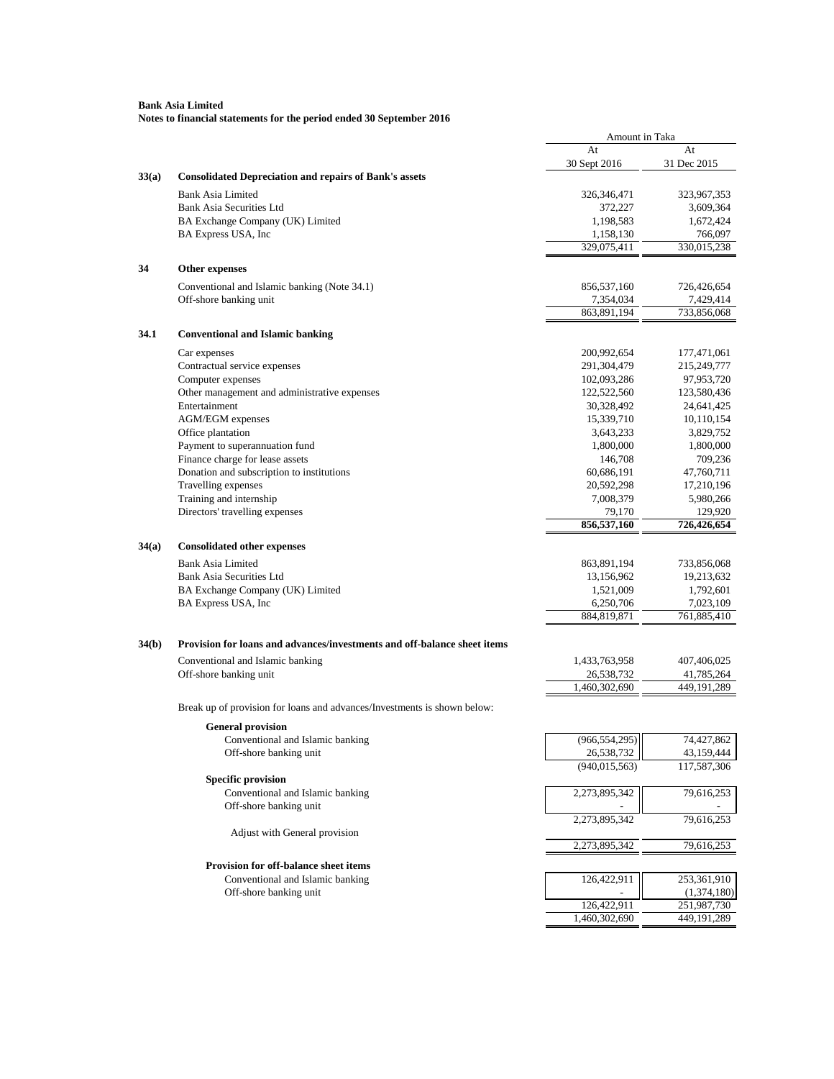|       |                                                                          | Amount in Taka                |                           |
|-------|--------------------------------------------------------------------------|-------------------------------|---------------------------|
|       |                                                                          | At<br>30 Sept 2016            | At<br>31 Dec 2015         |
| 33(a) | <b>Consolidated Depreciation and repairs of Bank's assets</b>            |                               |                           |
|       | <b>Bank Asia Limited</b>                                                 | 326,346,471                   | 323,967,353               |
|       | <b>Bank Asia Securities Ltd</b>                                          | 372,227                       | 3,609,364                 |
|       | BA Exchange Company (UK) Limited                                         | 1,198,583                     | 1,672,424                 |
|       | BA Express USA, Inc                                                      | 1,158,130                     | 766,097                   |
|       |                                                                          | 329,075,411                   | 330,015,238               |
| 34    | <b>Other expenses</b>                                                    |                               |                           |
|       | Conventional and Islamic banking (Note 34.1)                             | 856,537,160                   | 726,426,654               |
|       | Off-shore banking unit                                                   | 7,354,034                     | 7,429,414                 |
|       |                                                                          | 863,891,194                   | 733,856,068               |
| 34.1  | <b>Conventional and Islamic banking</b>                                  |                               |                           |
|       | Car expenses                                                             | 200,992,654                   | 177,471,061               |
|       | Contractual service expenses                                             | 291,304,479                   | 215,249,777               |
|       | Computer expenses                                                        | 102,093,286                   | 97,953,720                |
|       | Other management and administrative expenses                             | 122,522,560                   | 123,580,436               |
|       | Entertainment                                                            | 30,328,492                    | 24,641,425                |
|       | <b>AGM/EGM</b> expenses                                                  | 15,339,710                    | 10,110,154                |
|       | Office plantation                                                        | 3,643,233                     | 3,829,752                 |
|       | Payment to superannuation fund                                           | 1,800,000                     | 1,800,000                 |
|       | Finance charge for lease assets                                          | 146,708                       | 709,236                   |
|       | Donation and subscription to institutions                                | 60,686,191                    | 47,760,711                |
|       | Travelling expenses                                                      | 20,592,298                    | 17,210,196                |
|       | Training and internship                                                  | 7,008,379                     | 5,980,266                 |
|       | Directors' travelling expenses                                           | 79,170<br>856,537,160         | 129,920<br>726,426,654    |
|       |                                                                          |                               |                           |
| 34(a) | <b>Consolidated other expenses</b>                                       |                               |                           |
|       | <b>Bank Asia Limited</b>                                                 | 863,891,194                   | 733,856,068               |
|       | <b>Bank Asia Securities Ltd</b>                                          | 13,156,962                    | 19,213,632                |
|       | BA Exchange Company (UK) Limited                                         | 1,521,009                     | 1,792,601                 |
|       | BA Express USA, Inc                                                      | 6,250,706<br>884,819,871      | 7,023,109<br>761,885,410  |
|       |                                                                          |                               |                           |
| 34(b) | Provision for loans and advances/investments and off-balance sheet items |                               |                           |
|       | Conventional and Islamic banking                                         | 1,433,763,958                 | 407,406,025               |
|       | Off-shore banking unit                                                   | 26,538,732                    | 41,785,264                |
|       |                                                                          | 1,460,302,690                 | 449,191,289               |
|       | Break up of provision for loans and advances/Investments is shown below: |                               |                           |
|       | <b>General provision</b>                                                 |                               |                           |
|       | Conventional and Islamic banking                                         | (966, 554, 295)               | 74,427,862                |
|       | Off-shore banking unit                                                   | 26,538,732<br>(940, 015, 563) | 43,159,444<br>117,587,306 |
|       | <b>Specific provision</b>                                                |                               |                           |
|       | Conventional and Islamic banking                                         | 2,273,895,342                 | 79,616,253                |
|       | Off-shore banking unit                                                   |                               |                           |
|       |                                                                          | 2,273,895,342                 | 79,616,253                |
|       | Adjust with General provision                                            | 2,273,895,342                 | 79,616,253                |
|       | Provision for off-balance sheet items                                    |                               |                           |
|       | Conventional and Islamic banking                                         | 126,422,911                   | 253,361,910               |
|       | Off-shore banking unit                                                   |                               | (1,374,180)               |
|       |                                                                          | 126,422,911                   | 251,987,730               |
|       |                                                                          | 1,460,302,690                 | 449,191,289               |
|       |                                                                          |                               |                           |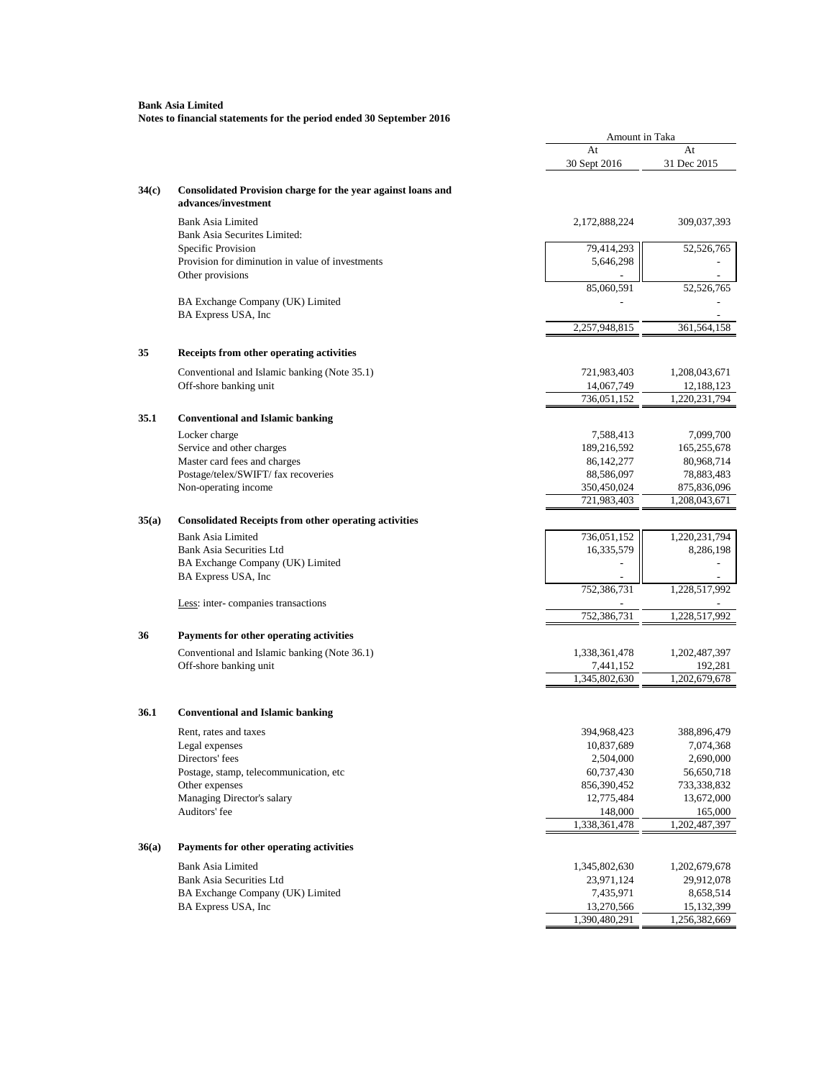|       |                                                                                     |                          | Amount in Taka           |  |
|-------|-------------------------------------------------------------------------------------|--------------------------|--------------------------|--|
|       |                                                                                     | At                       | At                       |  |
|       |                                                                                     | 30 Sept 2016             | 31 Dec 2015              |  |
| 34(c) | Consolidated Provision charge for the year against loans and<br>advances/investment |                          |                          |  |
|       | <b>Bank Asia Limited</b><br>Bank Asia Securites Limited:                            | 2,172,888,224            | 309,037,393              |  |
|       | Specific Provision                                                                  | 79,414,293               | 52,526,765               |  |
|       | Provision for diminution in value of investments                                    | 5,646,298                |                          |  |
|       | Other provisions                                                                    |                          |                          |  |
|       |                                                                                     | 85,060,591               | 52,526,765               |  |
|       | BA Exchange Company (UK) Limited                                                    |                          |                          |  |
|       | BA Express USA, Inc                                                                 | 2,257,948,815            | 361,564,158              |  |
| 35    | Receipts from other operating activities                                            |                          |                          |  |
|       | Conventional and Islamic banking (Note 35.1)                                        | 721,983,403              | 1,208,043,671            |  |
|       | Off-shore banking unit                                                              | 14,067,749               | 12,188,123               |  |
|       |                                                                                     | 736,051,152              | 1,220,231,794            |  |
| 35.1  | <b>Conventional and Islamic banking</b>                                             |                          |                          |  |
|       | Locker charge                                                                       | 7,588,413                | 7,099,700                |  |
|       | Service and other charges                                                           | 189,216,592              | 165,255,678              |  |
|       | Master card fees and charges                                                        | 86, 142, 277             | 80,968,714               |  |
|       | Postage/telex/SWIFT/ fax recoveries                                                 | 88,586,097               | 78,883,483               |  |
|       | Non-operating income                                                                | 350,450,024              | 875,836,096              |  |
|       |                                                                                     | 721,983,403              | 1,208,043,671            |  |
| 35(a) | <b>Consolidated Receipts from other operating activities</b>                        |                          |                          |  |
|       | <b>Bank Asia Limited</b>                                                            | 736,051,152              | 1,220,231,794            |  |
|       | <b>Bank Asia Securities Ltd</b>                                                     | 16,335,579               | 8,286,198                |  |
|       | BA Exchange Company (UK) Limited                                                    |                          |                          |  |
|       | BA Express USA, Inc                                                                 |                          |                          |  |
|       |                                                                                     | 752,386,731              | 1,228,517,992            |  |
|       | Less: inter-companies transactions                                                  | 752,386,731              | 1,228,517,992            |  |
|       |                                                                                     |                          |                          |  |
| 36    | Payments for other operating activities                                             |                          |                          |  |
|       | Conventional and Islamic banking (Note 36.1)                                        | 1,338,361,478            | 1,202,487,397            |  |
|       | Off-shore banking unit                                                              | 7,441,152                | 192,281                  |  |
|       |                                                                                     | 1,345,802,630            | 1,202,679,678            |  |
| 36.1  | <b>Conventional and Islamic banking</b>                                             |                          |                          |  |
|       | Rent, rates and taxes                                                               | 394,968,423              | 388,896,479              |  |
|       | Legal expenses                                                                      | 10,837,689               | 7,074,368                |  |
|       | Directors' fees                                                                     | 2,504,000                | 2,690,000                |  |
|       | Postage, stamp, telecommunication, etc                                              | 60,737,430               | 56,650,718               |  |
|       | Other expenses                                                                      | 856,390,452              | 733,338,832              |  |
|       | Managing Director's salary                                                          | 12,775,484               | 13,672,000               |  |
|       | Auditors' fee                                                                       | 148,000<br>1,338,361,478 | 165,000<br>1,202,487,397 |  |
|       |                                                                                     |                          |                          |  |
| 36(a) | Payments for other operating activities                                             |                          |                          |  |
|       | <b>Bank Asia Limited</b>                                                            | 1,345,802,630            | 1,202,679,678            |  |
|       | <b>Bank Asia Securities Ltd</b>                                                     | 23,971,124               | 29,912,078               |  |
|       | BA Exchange Company (UK) Limited                                                    | 7,435,971                | 8,658,514                |  |
|       | BA Express USA, Inc                                                                 | 13,270,566               | 15, 132, 399             |  |
|       |                                                                                     | 1,390,480,291            | 1,256,382,669            |  |